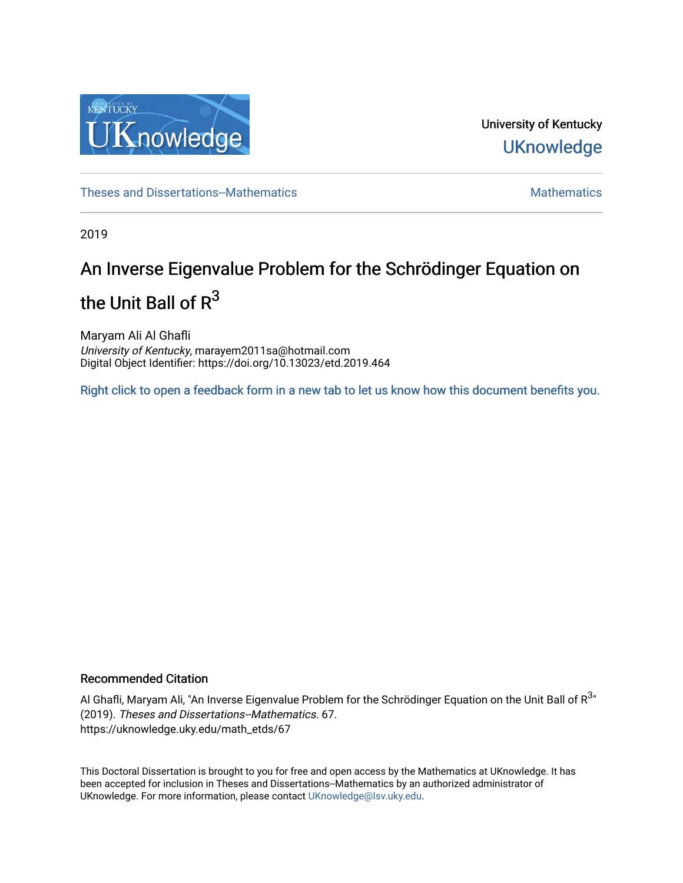

University of Kentucky **UKnowledge** 

[Theses and Dissertations--Mathematics](https://uknowledge.uky.edu/math_etds) **Mathematics** [Mathematics](https://uknowledge.uky.edu/math) Mathematics Mathematics

2019

# An Inverse Eigenvalue Problem for the Schrödinger Equation on the Unit Ball of  $R^3$

Maryam Ali Al Ghafli University of Kentucky, marayem2011sa@hotmail.com Digital Object Identifier: https://doi.org/10.13023/etd.2019.464

[Right click to open a feedback form in a new tab to let us know how this document benefits you.](https://uky.az1.qualtrics.com/jfe/form/SV_9mq8fx2GnONRfz7)

#### Recommended Citation

Al Ghafli, Maryam Ali, "An Inverse Eigenvalue Problem for the Schrödinger Equation on the Unit Ball of R $^{3\ast}$ (2019). Theses and Dissertations--Mathematics. 67. https://uknowledge.uky.edu/math\_etds/67

This Doctoral Dissertation is brought to you for free and open access by the Mathematics at UKnowledge. It has been accepted for inclusion in Theses and Dissertations--Mathematics by an authorized administrator of UKnowledge. For more information, please contact [UKnowledge@lsv.uky.edu](mailto:UKnowledge@lsv.uky.edu).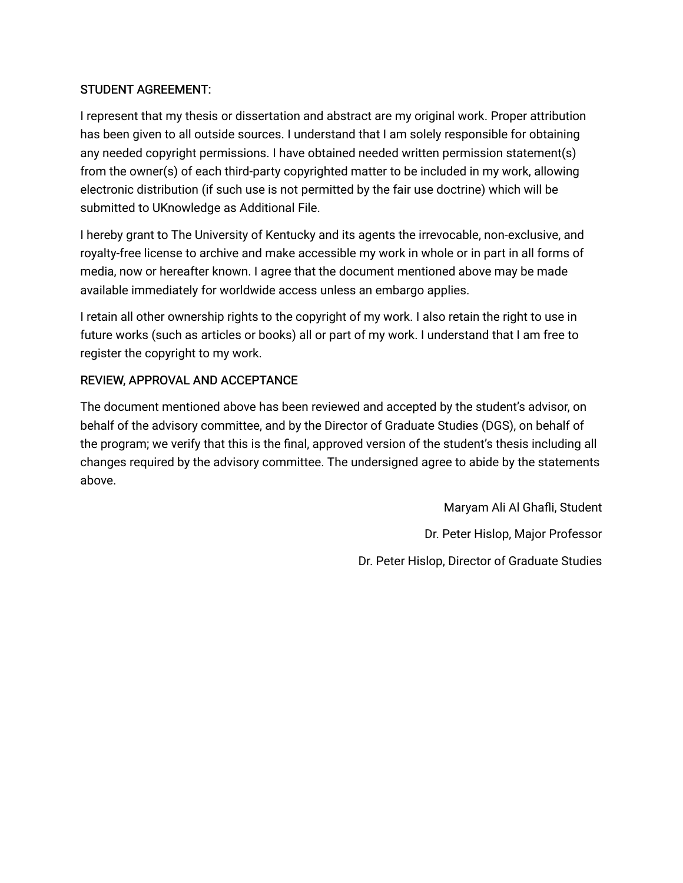# STUDENT AGREEMENT:

I represent that my thesis or dissertation and abstract are my original work. Proper attribution has been given to all outside sources. I understand that I am solely responsible for obtaining any needed copyright permissions. I have obtained needed written permission statement(s) from the owner(s) of each third-party copyrighted matter to be included in my work, allowing electronic distribution (if such use is not permitted by the fair use doctrine) which will be submitted to UKnowledge as Additional File.

I hereby grant to The University of Kentucky and its agents the irrevocable, non-exclusive, and royalty-free license to archive and make accessible my work in whole or in part in all forms of media, now or hereafter known. I agree that the document mentioned above may be made available immediately for worldwide access unless an embargo applies.

I retain all other ownership rights to the copyright of my work. I also retain the right to use in future works (such as articles or books) all or part of my work. I understand that I am free to register the copyright to my work.

# REVIEW, APPROVAL AND ACCEPTANCE

The document mentioned above has been reviewed and accepted by the student's advisor, on behalf of the advisory committee, and by the Director of Graduate Studies (DGS), on behalf of the program; we verify that this is the final, approved version of the student's thesis including all changes required by the advisory committee. The undersigned agree to abide by the statements above.

> Maryam Ali Al Ghafli, Student Dr. Peter Hislop, Major Professor Dr. Peter Hislop, Director of Graduate Studies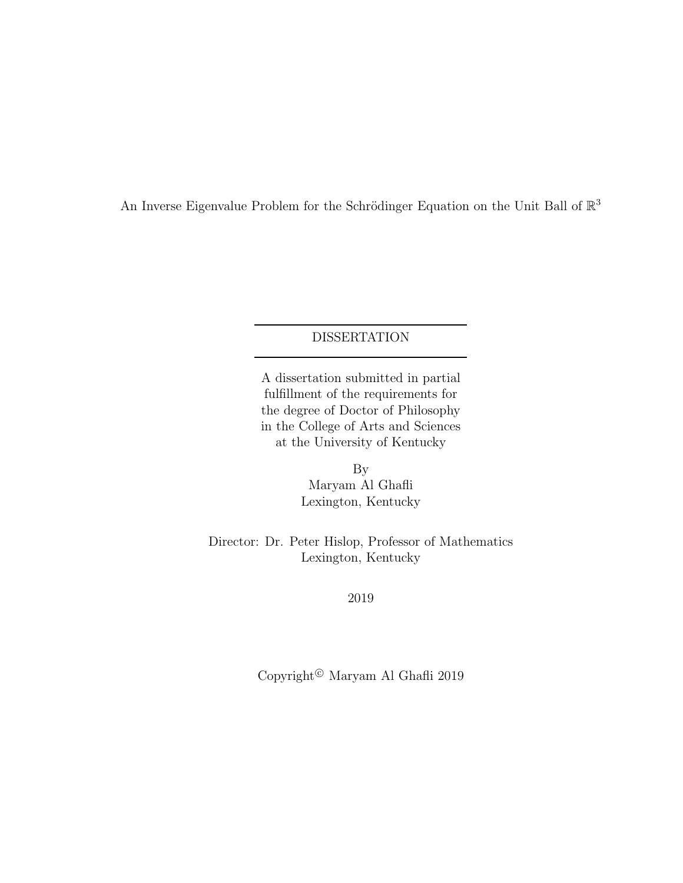An Inverse Eigenvalue Problem for the Schrödinger Equation on the Unit Ball of  $\mathbb{R}^3$ 

### DISSERTATION

A dissertation submitted in partial fulfillment of the requirements for the degree of Doctor of Philosophy in the College of Arts and Sciences at the University of Kentucky

> By Maryam Al Ghafli Lexington, Kentucky

Director: Dr. Peter Hislop, Professor of Mathematics Lexington, Kentucky

2019

 $\operatorname{Copyright}{}^{ \circledcirc}$ Maryam Al Ghafli $2019$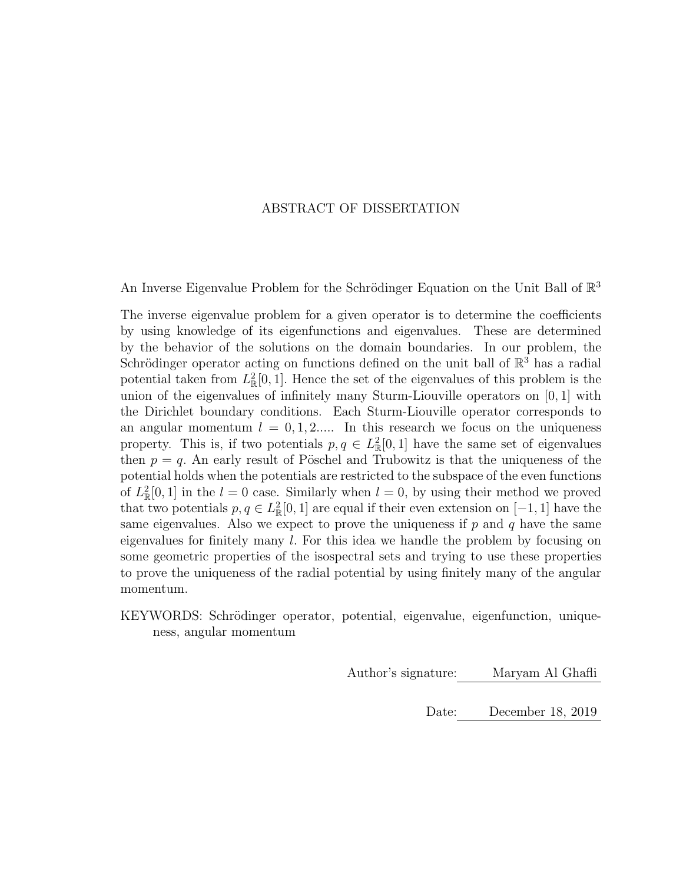#### ABSTRACT OF DISSERTATION

An Inverse Eigenvalue Problem for the Schrödinger Equation on the Unit Ball of  $\mathbb{R}^3$ 

The inverse eigenvalue problem for a given operator is to determine the coefficients by using knowledge of its eigenfunctions and eigenvalues. These are determined by the behavior of the solutions on the domain boundaries. In our problem, the Schrödinger operator acting on functions defined on the unit ball of  $\mathbb{R}^3$  has a radial potential taken from  $L^2_{\mathbb{R}}[0,1]$ . Hence the set of the eigenvalues of this problem is the union of the eigenvalues of infinitely many Sturm-Liouville operators on [0, 1] with the Dirichlet boundary conditions. Each Sturm-Liouville operator corresponds to an angular momentum  $l = 0, 1, 2, \ldots$  In this research we focus on the uniqueness property. This is, if two potentials  $p, q \in L^2_{\mathbb{R}}[0,1]$  have the same set of eigenvalues then  $p = q$ . An early result of Pöschel and Trubowitz is that the uniqueness of the potential holds when the potentials are restricted to the subspace of the even functions of  $L^2_{\mathbb{R}}[0,1]$  in the  $l=0$  case. Similarly when  $l=0$ , by using their method we proved that two potentials  $p, q \in L^2_{\mathbb{R}}[0,1]$  are equal if their even extension on  $[-1,1]$  have the same eigenvalues. Also we expect to prove the uniqueness if  $p$  and  $q$  have the same eigenvalues for finitely many l. For this idea we handle the problem by focusing on some geometric properties of the isospectral sets and trying to use these properties to prove the uniqueness of the radial potential by using finitely many of the angular momentum.

KEYWORDS: Schrödinger operator, potential, eigenvalue, eigenfunction, uniqueness, angular momentum

Author's signature: Maryam Al Ghafli

Date: December 18, 2019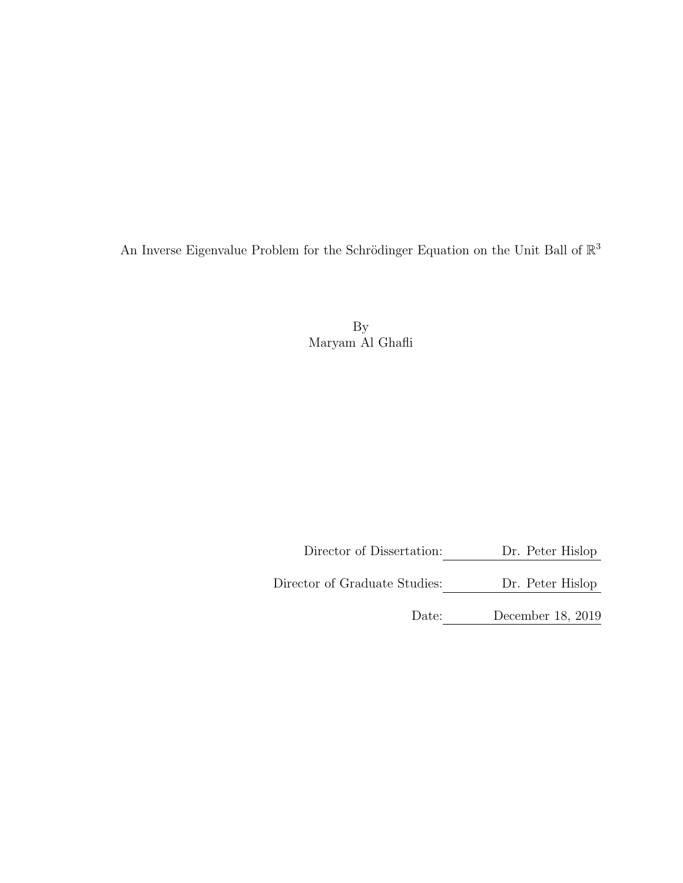An Inverse Eigenvalue Problem for the Schrödinger Equation on the Unit Ball of  $\mathbb{R}^3$ 

By Maryam Al Ghafli

Director of Dissertation: Dr. Peter Hislop

Director of Graduate Studies: <u>Dr. Peter Hislop</u>

Date: December 18, 2019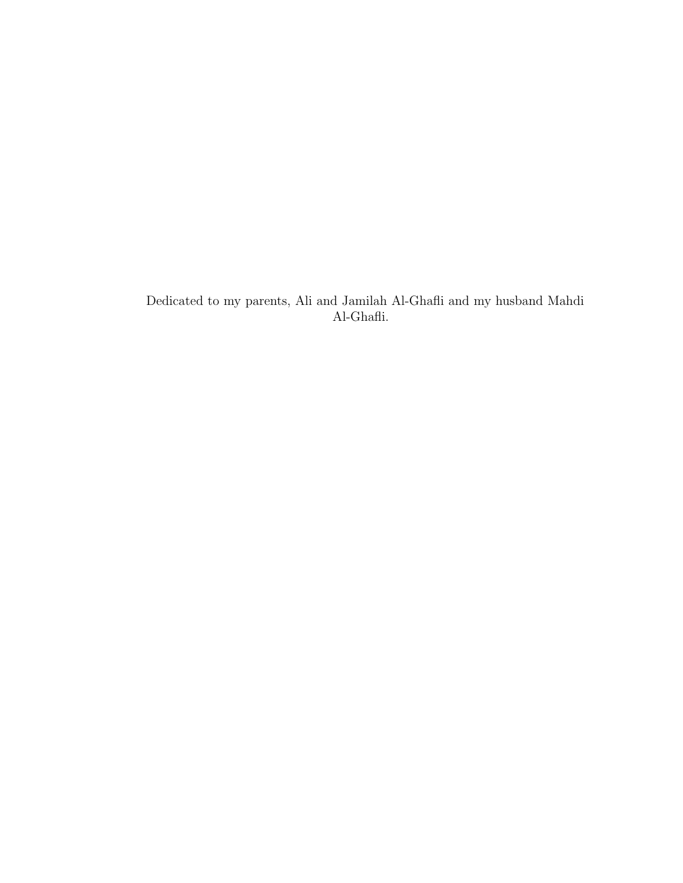Dedicated to my parents, Ali and Jamilah Al-Ghafli and my husband Mahdi  $\operatorname{Al-Ghaffi}.$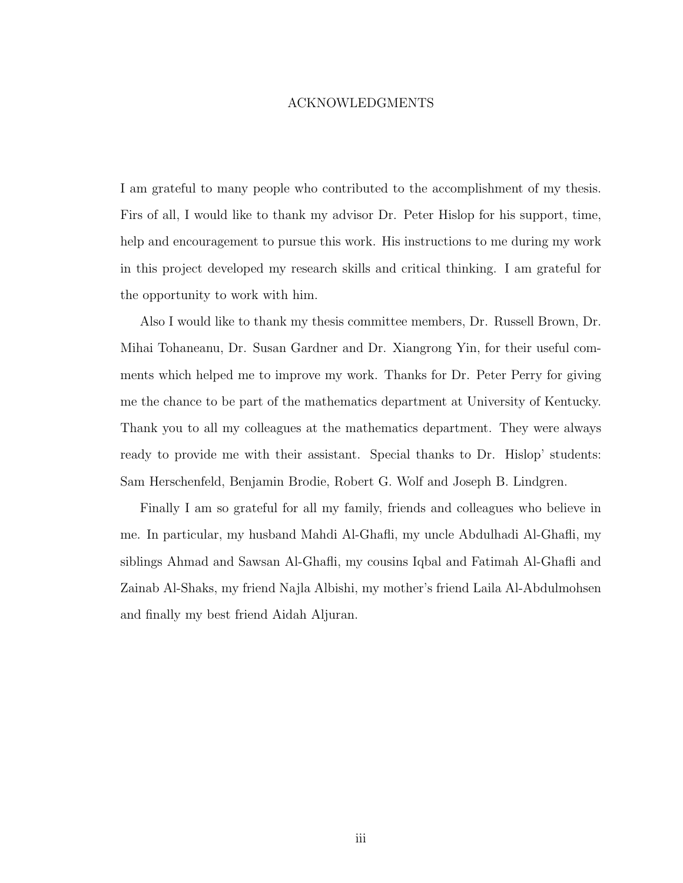#### ACKNOWLEDGMENTS

<span id="page-6-0"></span>I am grateful to many people who contributed to the accomplishment of my thesis. Firs of all, I would like to thank my advisor Dr. Peter Hislop for his support, time, help and encouragement to pursue this work. His instructions to me during my work in this project developed my research skills and critical thinking. I am grateful for the opportunity to work with him.

Also I would like to thank my thesis committee members, Dr. Russell Brown, Dr. Mihai Tohaneanu, Dr. Susan Gardner and Dr. Xiangrong Yin, for their useful comments which helped me to improve my work. Thanks for Dr. Peter Perry for giving me the chance to be part of the mathematics department at University of Kentucky. Thank you to all my colleagues at the mathematics department. They were always ready to provide me with their assistant. Special thanks to Dr. Hislop' students: Sam Herschenfeld, Benjamin Brodie, Robert G. Wolf and Joseph B. Lindgren.

Finally I am so grateful for all my family, friends and colleagues who believe in me. In particular, my husband Mahdi Al-Ghafli, my uncle Abdulhadi Al-Ghafli, my siblings Ahmad and Sawsan Al-Ghafli, my cousins Iqbal and Fatimah Al-Ghafli and Zainab Al-Shaks, my friend Najla Albishi, my mother's friend Laila Al-Abdulmohsen and finally my best friend Aidah Aljuran.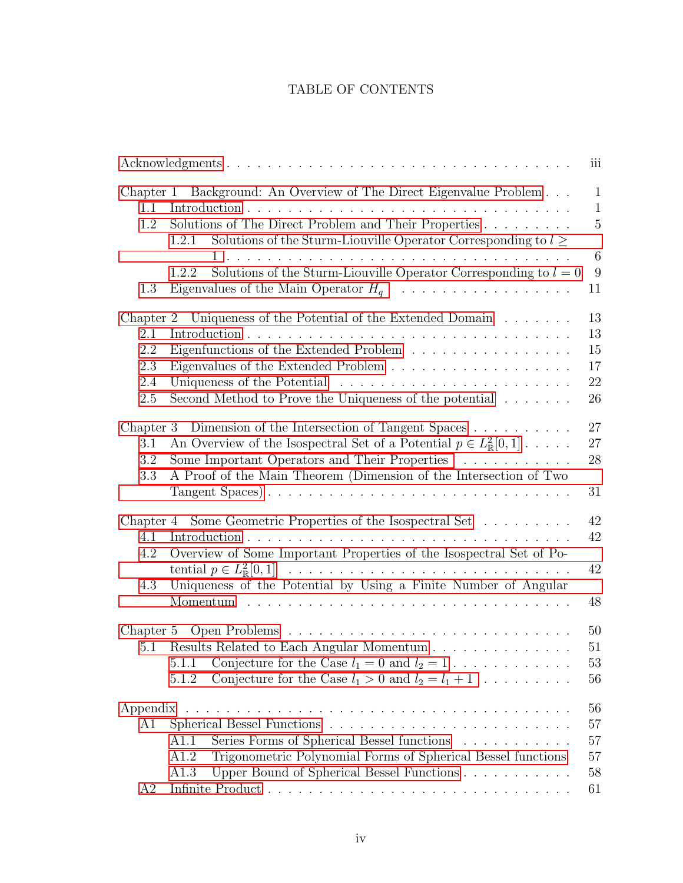# TABLE OF CONTENTS

|           |                                                                                                                                      | iii                          |
|-----------|--------------------------------------------------------------------------------------------------------------------------------------|------------------------------|
| $1.1\,$   | Chapter 1 Background: An Overview of The Direct Eigenvalue Problem                                                                   | $\mathbf{1}$<br>$\mathbf{1}$ |
| 1.2       | Solutions of The Direct Problem and Their Properties<br>Solutions of the Sturm-Liouville Operator Corresponding to $l \geq$<br>1.2.1 | $\mathbf 5$                  |
|           | Solutions of the Sturm-Liouville Operator Corresponding to $l = 0$<br>1.2.2                                                          | $6\phantom{.}6$<br>9         |
| 1.3       |                                                                                                                                      | 11                           |
| Chapter 2 | Uniqueness of the Potential of the Extended Domain                                                                                   | 13                           |
| 2.1       |                                                                                                                                      | 13                           |
| 2.2       | Eigenfunctions of the Extended Problem                                                                                               | 15                           |
| 2.3       |                                                                                                                                      | 17                           |
| 2.4       |                                                                                                                                      | 22                           |
| 2.5       | Second Method to Prove the Uniqueness of the potential                                                                               | 26                           |
|           | Chapter 3 Dimension of the Intersection of Tangent Spaces                                                                            | 27                           |
| 3.1       | An Overview of the Isospectral Set of a Potential $p \in L^2_{\mathbb{R}}[0,1]$                                                      | 27                           |
| 3.2       | Some Important Operators and Their Properties                                                                                        | 28                           |
| 3.3       | A Proof of the Main Theorem (Dimension of the Intersection of Two<br>Tangent Spaces)                                                 | 31                           |
|           | Chapter 4 Some Geometric Properties of the Isospectral Set                                                                           | 42                           |
| 4.1       |                                                                                                                                      | 42                           |
| 4.2       | Overview of Some Important Properties of the Isospectral Set of Po-                                                                  |                              |
|           |                                                                                                                                      | 42                           |
| 4.3       | Uniqueness of the Potential by Using a Finite Number of Angular                                                                      | 48                           |
|           |                                                                                                                                      |                              |
|           |                                                                                                                                      | 50                           |
| 5.1       | Results Related to Each Angular Momentum                                                                                             | 51                           |
|           | Conjecture for the Case $l_1 = 0$ and $l_2 = 1$<br>5.1.1                                                                             | 53                           |
|           | Conjecture for the Case $l_1 > 0$ and $l_2 = l_1 + 1$<br>5.1.2                                                                       | 56                           |
|           |                                                                                                                                      | 56                           |
| A1        |                                                                                                                                      | 57                           |
|           | Series Forms of Spherical Bessel functions<br>A1.1                                                                                   | 57                           |
|           | Trigonometric Polynomial Forms of Spherical Bessel functions<br>A1.2                                                                 | 57                           |
|           | Upper Bound of Spherical Bessel Functions<br>A1.3                                                                                    | 58                           |
| A2        |                                                                                                                                      | 61                           |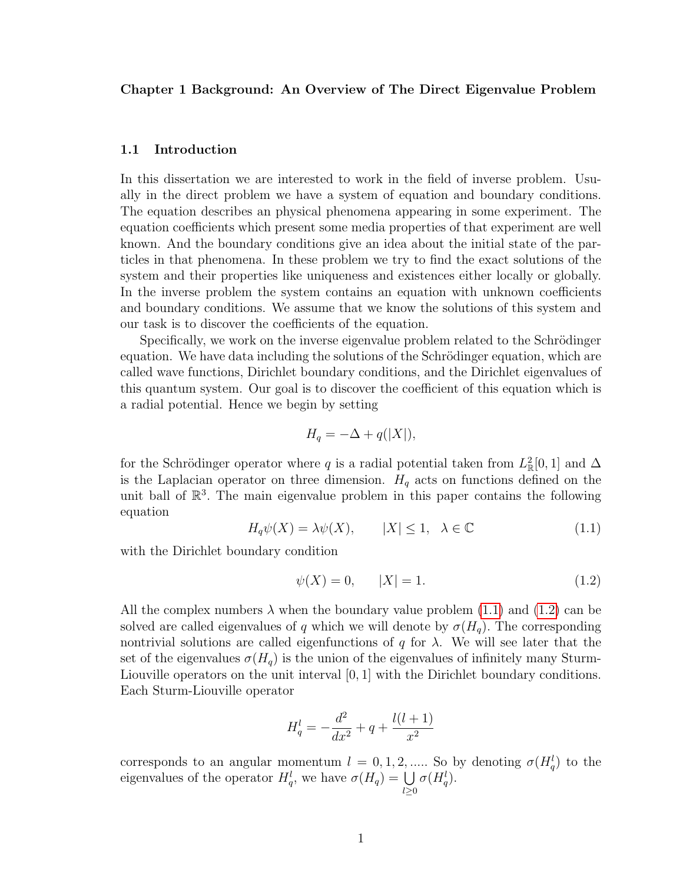#### <span id="page-9-0"></span>Chapter 1 Background: An Overview of The Direct Eigenvalue Problem

#### <span id="page-9-1"></span>1.1 Introduction

In this dissertation we are interested to work in the field of inverse problem. Usually in the direct problem we have a system of equation and boundary conditions. The equation describes an physical phenomena appearing in some experiment. The equation coefficients which present some media properties of that experiment are well known. And the boundary conditions give an idea about the initial state of the particles in that phenomena. In these problem we try to find the exact solutions of the system and their properties like uniqueness and existences either locally or globally. In the inverse problem the system contains an equation with unknown coefficients and boundary conditions. We assume that we know the solutions of this system and our task is to discover the coefficients of the equation.

Specifically, we work on the inverse eigenvalue problem related to the Schrödinger equation. We have data including the solutions of the Schrödinger equation, which are called wave functions, Dirichlet boundary conditions, and the Dirichlet eigenvalues of this quantum system. Our goal is to discover the coefficient of this equation which is a radial potential. Hence we begin by setting

$$
H_q = -\Delta + q(|X|),
$$

<span id="page-9-2"></span>for the Schrödinger operator where q is a radial potential taken from  $L^2_{\mathbb{R}}[0,1]$  and  $\Delta$ is the Laplacian operator on three dimension.  $H_q$  acts on functions defined on the unit ball of  $\mathbb{R}^3$ . The main eigenvalue problem in this paper contains the following equation

$$
H_q \psi(X) = \lambda \psi(X), \qquad |X| \le 1, \quad \lambda \in \mathbb{C} \tag{1.1}
$$

with the Dirichlet boundary condition

<span id="page-9-3"></span>
$$
\psi(X) = 0, \qquad |X| = 1. \tag{1.2}
$$

All the complex numbers  $\lambda$  when the boundary value problem [\(1.1\)](#page-9-2) and [\(1.2\)](#page-9-3) can be solved are called eigenvalues of q which we will denote by  $\sigma(H_q)$ . The corresponding nontrivial solutions are called eigenfunctions of q for  $\lambda$ . We will see later that the set of the eigenvalues  $\sigma(H_q)$  is the union of the eigenvalues of infinitely many Sturm-Liouville operators on the unit interval [0, 1] with the Dirichlet boundary conditions. Each Sturm-Liouville operator

$$
H_q^l = -\frac{d^2}{dx^2} + q + \frac{l(l+1)}{x^2}
$$

corresponds to an angular momentum  $l = 0, 1, 2, \dots$ . So by denoting  $\sigma(H_q^l)$  to the eigenvalues of the operator  $H_q^l$ , we have  $\sigma(H_q) = \bigcup$  $_{l\geq0}$  $\sigma(H_q^l)$ .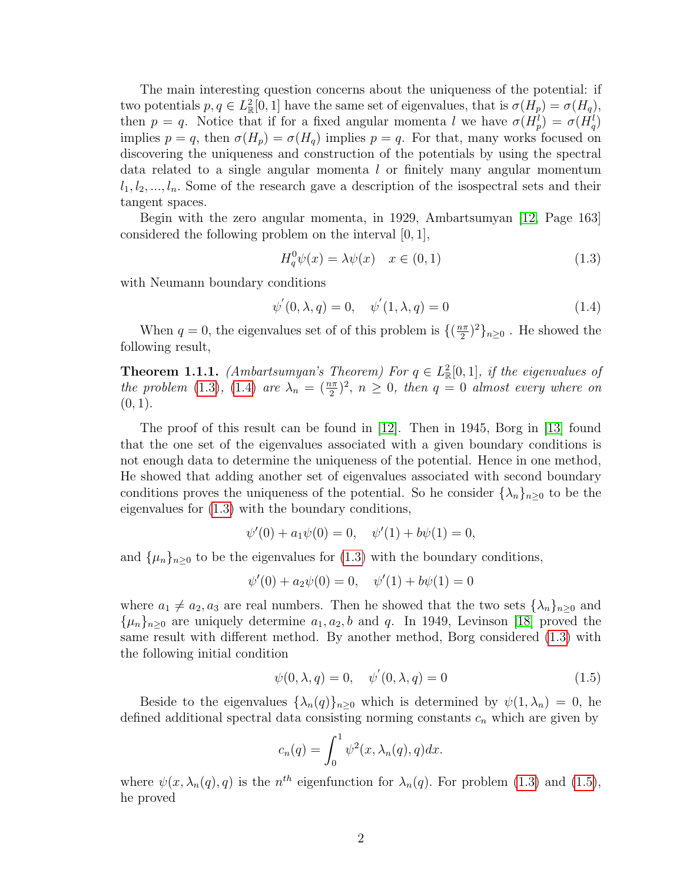The main interesting question concerns about the uniqueness of the potential: if two potentials  $p, q \in L^2_{\mathbb{R}}[0,1]$  have the same set of eigenvalues, that is  $\sigma(H_p) = \sigma(H_q)$ , then  $p = q$ . Notice that if for a fixed angular momenta l we have  $\sigma(H_p^l) = \sigma(H_q^l)$ implies  $p = q$ , then  $\sigma(H_p) = \sigma(H_q)$  implies  $p = q$ . For that, many works focused on discovering the uniqueness and construction of the potentials by using the spectral data related to a single angular momenta l or finitely many angular momentum  $l_1, l_2, ..., l_n$ . Some of the research gave a description of the isospectral sets and their tangent spaces.

Begin with the zero angular momenta, in 1929, Ambartsumyan [\[12,](#page-77-1) Page 163] considered the following problem on the interval [0, 1],

<span id="page-10-1"></span><span id="page-10-0"></span>
$$
H_q^0 \psi(x) = \lambda \psi(x) \quad x \in (0, 1)
$$
\n
$$
(1.3)
$$

with Neumann boundary conditions

$$
\psi'(0, \lambda, q) = 0, \quad \psi'(1, \lambda, q) = 0 \tag{1.4}
$$

When  $q = 0$ , the eigenvalues set of of this problem is  $\{(\frac{n\pi}{2})\}$  $(\frac{n\pi}{2})^2\}_{n\geq 0}$ . He showed the following result,

**Theorem 1.1.1.** (Ambartsumyan's Theorem) For  $q \in L^2_{\mathbb{R}}[0,1]$ , if the eigenvalues of the problem [\(1.3\)](#page-10-0), [\(1.4\)](#page-10-1) are  $\lambda_n = \left(\frac{n\pi}{2}\right)^2$ ,  $n \geq 0$ , then  $q = 0$  almost every where on  $(0, 1).$ 

The proof of this result can be found in [\[12\]](#page-77-1). Then in 1945, Borg in [\[13\]](#page-77-2) found that the one set of the eigenvalues associated with a given boundary conditions is not enough data to determine the uniqueness of the potential. Hence in one method, He showed that adding another set of eigenvalues associated with second boundary conditions proves the uniqueness of the potential. So he consider  $\{\lambda_n\}_{n\geq 0}$  to be the eigenvalues for [\(1.3\)](#page-10-0) with the boundary conditions,

$$
\psi'(0) + a_1 \psi(0) = 0, \quad \psi'(1) + b\psi(1) = 0,
$$

and  $\{\mu_n\}_{n\geq 0}$  to be the eigenvalues for  $(1.3)$  with the boundary conditions,

$$
\psi'(0) + a_2 \psi(0) = 0, \quad \psi'(1) + b\psi(1) = 0
$$

where  $a_1 \neq a_2, a_3$  are real numbers. Then he showed that the two sets  $\{\lambda_n\}_{n\geq 0}$  and  $\{\mu_n\}_{n\geq 0}$  are uniquely determine  $a_1, a_2, b$  and q. In 1949, Levinson [\[18\]](#page-78-0) proved the same result with different method. By another method, Borg considered [\(1.3\)](#page-10-0) with the following initial condition

<span id="page-10-2"></span>
$$
\psi(0, \lambda, q) = 0, \quad \psi'(0, \lambda, q) = 0 \tag{1.5}
$$

Beside to the eigenvalues  $\{\lambda_n(q)\}_{n\geq 0}$  which is determined by  $\psi(1,\lambda_n) = 0$ , he defined additional spectral data consisting norming constants  $c_n$  which are given by

$$
c_n(q) = \int_0^1 \psi^2(x, \lambda_n(q), q) dx.
$$

where  $\psi(x, \lambda_n(q), q)$  is the  $n^{th}$  eigenfunction for  $\lambda_n(q)$ . For problem [\(1.3\)](#page-10-0) and [\(1.5\)](#page-10-2), he proved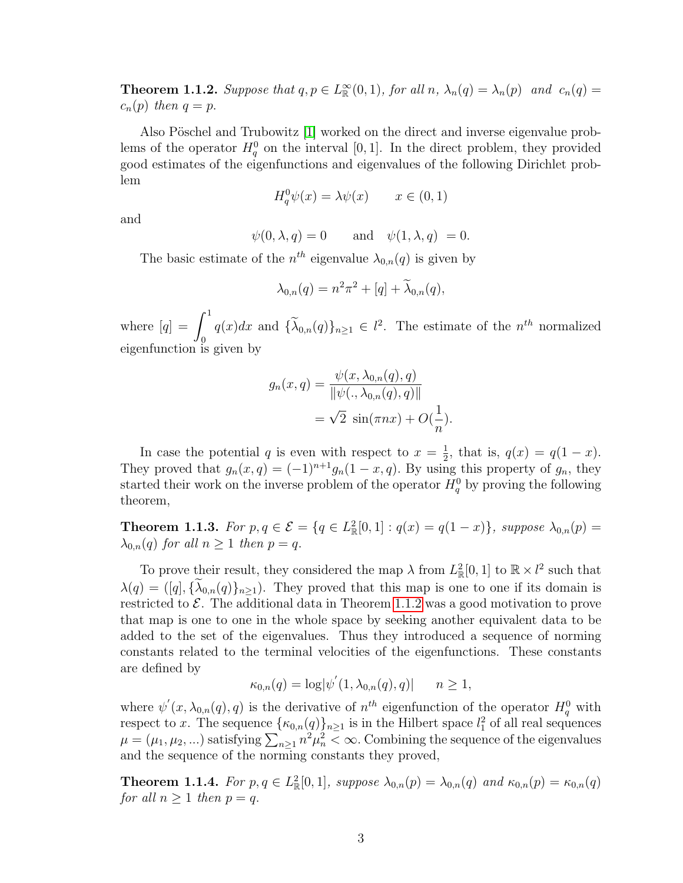<span id="page-11-0"></span>**Theorem 1.1.2.** Suppose that  $q, p \in L^{\infty}_{\mathbb{R}}(0,1)$ , for all  $n, \lambda_n(q) = \lambda_n(p)$  and  $c_n(q) =$  $c_n(p)$  then  $q = p$ .

Also Pöschel and Trubowitz [\[1\]](#page-77-3) worked on the direct and inverse eigenvalue problems of the operator  $H_q^0$  on the interval [0, 1]. In the direct problem, they provided good estimates of the eigenfunctions and eigenvalues of the following Dirichlet problem

$$
H_q^0 \psi(x) = \lambda \psi(x) \qquad x \in (0, 1)
$$

and

$$
\psi(0, \lambda, q) = 0 \quad \text{and} \quad \psi(1, \lambda, q) = 0.
$$

The basic estimate of the  $n^{th}$  eigenvalue  $\lambda_{0,n}(q)$  is given by

$$
\lambda_{0,n}(q) = n^2 \pi^2 + [q] + \widetilde{\lambda}_{0,n}(q),
$$

where  $[q] = \int_0^1$  $q(x)dx$  and  $\{\lambda_{0,n}(q)\}_{n\geq 1} \in l^2$ . The estimate of the  $n^{th}$  normalized eigenfunction is given by

$$
g_n(x,q) = \frac{\psi(x, \lambda_{0,n}(q), q)}{\|\psi(., \lambda_{0,n}(q), q)\|}
$$

$$
= \sqrt{2} \sin(\pi nx) + O(\frac{1}{n}).
$$

In case the potential q is even with respect to  $x=\frac{1}{2}$  $\frac{1}{2}$ , that is,  $q(x) = q(1-x)$ . They proved that  $g_n(x,q) = (-1)^{n+1}g_n(1-x,q)$ . By using this property of  $g_n$ , they started their work on the inverse problem of the operator  $H_q^0$  by proving the following theorem,

<span id="page-11-2"></span>**Theorem 1.1.3.** For  $p, q \in \mathcal{E} = \{q \in L^2_{\mathbb{R}}[0,1] : q(x) = q(1-x)\}\$ , suppose  $\lambda_{0,n}(p) =$  $\lambda_{0,n}(q)$  for all  $n \geq 1$  then  $p = q$ .

To prove their result, they considered the map  $\lambda$  from  $L^2_{\mathbb{R}}[0,1]$  to  $\mathbb{R} \times l^2$  such that  $\lambda(q) = ([q], {\lambda_{0,n}(q)}_{n>1}).$  They proved that this map is one to one if its domain is restricted to  $\mathcal{E}$ . The additional data in Theorem [1.1.2](#page-11-0) was a good motivation to prove that map is one to one in the whole space by seeking another equivalent data to be added to the set of the eigenvalues. Thus they introduced a sequence of norming constants related to the terminal velocities of the eigenfunctions. These constants are defined by

$$
\kappa_{0,n}(q) = \log |\psi'(1, \lambda_{0,n}(q), q)| \qquad n \ge 1,
$$

where  $\psi'(x, \lambda_{0,n}(q), q)$  is the derivative of  $n^{th}$  eigenfunction of the operator  $H_q^0$  with respect to x. The sequence  $\{\kappa_{0,n}(q)\}_{n\geq 1}$  is in the Hilbert space  $l_1^2$  of all real sequences  $\mu = (\mu_1, \mu_2, ...)$  satisfying  $\sum_{n\geq 1} n^2 \mu_n^2 < \infty$ . Combining the sequence of the eigenvalues and the sequence of the norming constants they proved,

<span id="page-11-1"></span>**Theorem 1.1.4.** For  $p, q \in L^2_{\mathbb{R}}[0,1]$ , suppose  $\lambda_{0,n}(p) = \lambda_{0,n}(q)$  and  $\kappa_{0,n}(p) = \kappa_{0,n}(q)$ for all  $n > 1$  then  $p = q$ .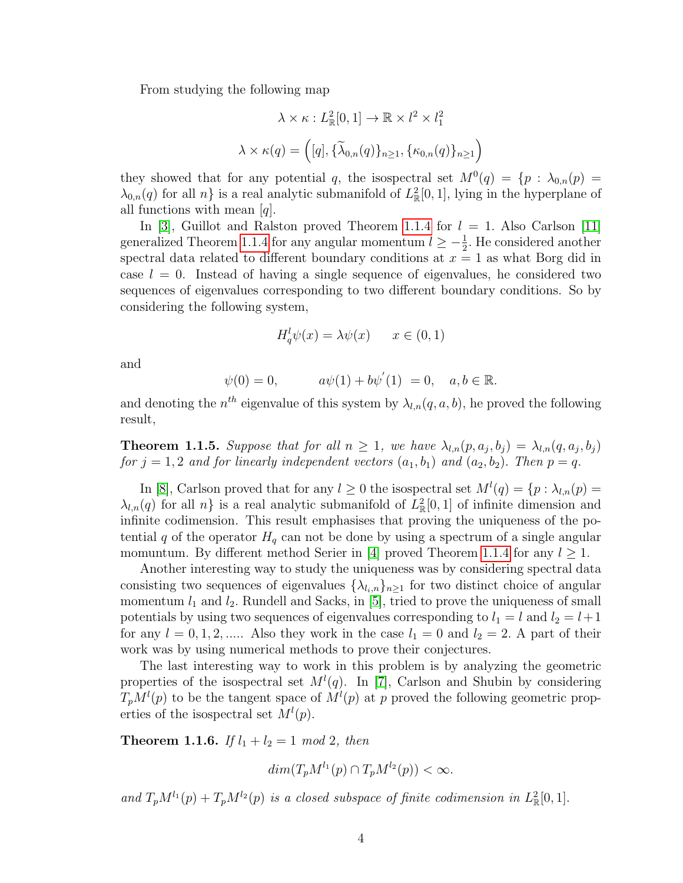From studying the following map

$$
\lambda \times \kappa : L^2_{\mathbb{R}}[0,1] \to \mathbb{R} \times l^2 \times l_1^2
$$

$$
\lambda \times \kappa(q) = ([q], {\tilde{\lambda}_{0,n}(q)}_{n \ge 1}, {\kappa_{0,n}(q)}_{n \ge 1})
$$

they showed that for any potential q, the isospectral set  $M^0(q) = \{p : \lambda_{0,n}(p) =$  $\lambda_{0,n}(q)$  for all  $n$  is a real analytic submanifold of  $L^2_{\mathbb{R}}[0,1]$ , lying in the hyperplane of all functions with mean  $[q]$ .

In [\[3\]](#page-77-4), Guillot and Ralston proved Theorem [1.1.4](#page-11-1) for  $l = 1$ . Also Carlson [\[11\]](#page-77-5) generalized Theorem [1.1.4](#page-11-1) for any angular momentum  $l \geq -\frac{1}{2}$ . He considered another spectral data related to different boundary conditions at  $x = 1$  as what Borg did in case  $l = 0$ . Instead of having a single sequence of eigenvalues, he considered two sequences of eigenvalues corresponding to two different boundary conditions. So by considering the following system,

$$
H_q^l \psi(x) = \lambda \psi(x) \qquad x \in (0, 1)
$$

and

$$
\psi(0) = 0,
$$
\n $a\psi(1) + b\psi'(1) = 0, \quad a, b \in \mathbb{R}.$ 

and denoting the  $n^{th}$  eigenvalue of this system by  $\lambda_{l,n}(q, a, b)$ , he proved the following result,

**Theorem 1.1.5.** Suppose that for all  $n \geq 1$ , we have  $\lambda_{l,n}(p, a_j, b_j) = \lambda_{l,n}(q, a_j, b_j)$ for  $j = 1, 2$  and for linearly independent vectors  $(a_1, b_1)$  and  $(a_2, b_2)$ . Then  $p = q$ .

In [\[8\]](#page-77-6), Carlson proved that for any  $l \geq 0$  the isospectral set  $M^l(q) = \{p : \lambda_{l,n}(p) = 0\}$  $\lambda_{l,n}(q)$  for all  $n\}$  is a real analytic submanifold of  $L_{\mathbb{R}}^2[0,1]$  of infinite dimension and infinite codimension. This result emphasises that proving the uniqueness of the potential q of the operator  $H_q$  can not be done by using a spectrum of a single angular momuntum. By different method Serier in [\[4\]](#page-77-7) proved Theorem [1.1.4](#page-11-1) for any  $l \geq 1$ .

Another interesting way to study the uniqueness was by considering spectral data consisting two sequences of eigenvalues  $\{\lambda_{l_i,n}\}_{n\geq 1}$  for two distinct choice of angular momentum  $l_1$  and  $l_2$ . Rundell and Sacks, in [\[5\]](#page-77-8), tried to prove the uniqueness of small potentials by using two sequences of eigenvalues corresponding to  $l_1 = l$  and  $l_2 = l+1$ for any  $l = 0, 1, 2, \dots$ . Also they work in the case  $l_1 = 0$  and  $l_2 = 2$ . A part of their work was by using numerical methods to prove their conjectures.

The last interesting way to work in this problem is by analyzing the geometric properties of the isospectral set  $M^l(q)$ . In [\[7\]](#page-77-9), Carlson and Shubin by considering  $T_pM^l(p)$  to be the tangent space of  $M^l(p)$  at p proved the following geometric properties of the isospectral set  $M^l(p)$ .

<span id="page-12-0"></span>**Theorem 1.1.6.** If  $l_1 + l_2 = 1 \mod 2$ , then

$$
dim(T_pM^{l_1}(p) \cap T_pM^{l_2}(p)) < \infty.
$$

and  $T_pM^{l_1}(p) + T_pM^{l_2}(p)$  is a closed subspace of finite codimension in  $L^2_{\mathbb{R}}[0,1]$ .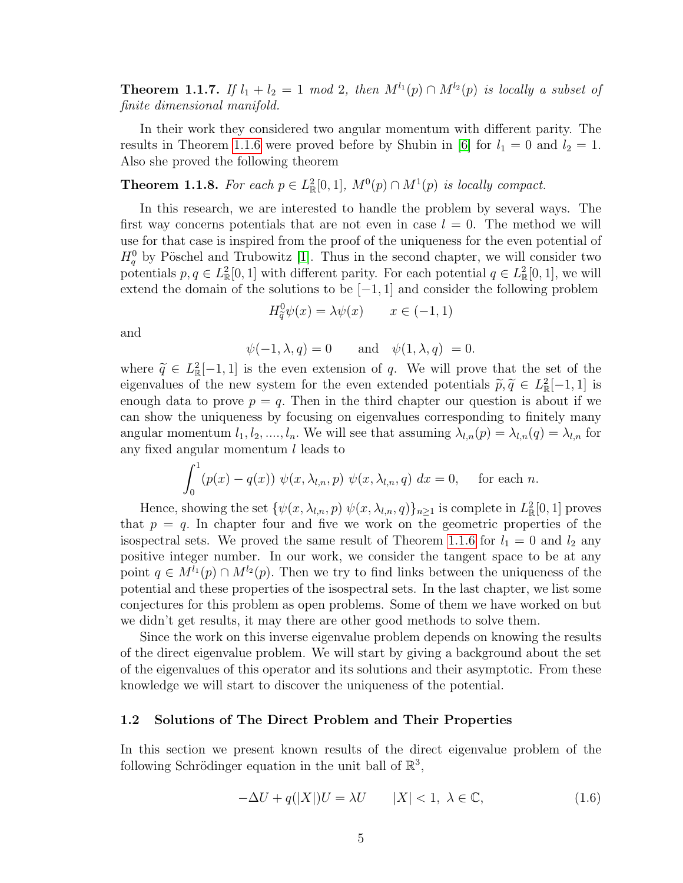**Theorem 1.1.7.** If  $l_1 + l_2 = 1 \mod 2$ , then  $M^{l_1}(p) \cap M^{l_2}(p)$  is locally a subset of finite dimensional manifold.

In their work they considered two angular momentum with different parity. The results in Theorem [1.1.6](#page-12-0) were proved before by Shubin in [\[6\]](#page-77-10) for  $l_1 = 0$  and  $l_2 = 1$ . Also she proved the following theorem

**Theorem 1.1.8.** For each  $p \in L^2_{\mathbb{R}}[0,1]$ ,  $M^0(p) \cap M^1(p)$  is locally compact.

In this research, we are interested to handle the problem by several ways. The first way concerns potentials that are not even in case  $l = 0$ . The method we will use for that case is inspired from the proof of the uniqueness for the even potential of  $H_q^0$  by Pöschel and Trubowitz [\[1\]](#page-77-3). Thus in the second chapter, we will consider two potentials  $p, q \in L^2_{\mathbb{R}}[0,1]$  with different parity. For each potential  $q \in L^2_{\mathbb{R}}[0,1]$ , we will extend the domain of the solutions to be  $[-1, 1]$  and consider the following problem

$$
H_{\tilde{q}}^{0}\psi(x) = \lambda\psi(x) \qquad x \in (-1,1)
$$

and

$$
\psi(-1, \lambda, q) = 0
$$
 and  $\psi(1, \lambda, q) = 0$ .

where  $\tilde{q} \in L^2_{\mathbb{R}}[-1,1]$  is the even extension of q. We will prove that the set of the eigenvalues of the new system for the even extended potentials  $\tilde{q} \tilde{q} \in L^2[-1,1]$  is eigenvalues of the new system for the even extended potentials  $\tilde{p}, \tilde{q} \in L^2_{\mathbb{R}}[-1, 1]$  is<br>enough data to prove  $p = a$ . Then in the third chapter our question is about if we enough data to prove  $p = q$ . Then in the third chapter our question is about if we can show the uniqueness by focusing on eigenvalues corresponding to finitely many angular momentum  $l_1, l_2, ..., l_n$ . We will see that assuming  $\lambda_{l,n}(p) = \lambda_{l,n}(q) = \lambda_{l,n}$  for any fixed angular momentum l leads to

$$
\int_0^1 (p(x) - q(x)) \ \psi(x, \lambda_{l,n}, p) \ \psi(x, \lambda_{l,n}, q) \ dx = 0, \quad \text{for each } n.
$$

Hence, showing the set  $\{\psi(x, \lambda_{l,n}, p) \psi(x, \lambda_{l,n}, q)\}_{n \ge 1}$  is complete in  $L^2_{\mathbb{R}}[0, 1]$  proves that  $p = q$ . In chapter four and five we work on the geometric properties of the isospectral sets. We proved the same result of Theorem [1.1.6](#page-12-0) for  $l_1 = 0$  and  $l_2$  any positive integer number. In our work, we consider the tangent space to be at any point  $q \in M^{l_1}(p) \cap M^{l_2}(p)$ . Then we try to find links between the uniqueness of the potential and these properties of the isospectral sets. In the last chapter, we list some conjectures for this problem as open problems. Some of them we have worked on but we didn't get results, it may there are other good methods to solve them.

Since the work on this inverse eigenvalue problem depends on knowing the results of the direct eigenvalue problem. We will start by giving a background about the set of the eigenvalues of this operator and its solutions and their asymptotic. From these knowledge we will start to discover the uniqueness of the potential.

#### <span id="page-13-0"></span>1.2 Solutions of The Direct Problem and Their Properties

<span id="page-13-1"></span>In this section we present known results of the direct eigenvalue problem of the following Schrödinger equation in the unit ball of  $\mathbb{R}^3$ ,

$$
-\Delta U + q(|X|)U = \lambda U \qquad |X| < 1, \ \lambda \in \mathbb{C}, \tag{1.6}
$$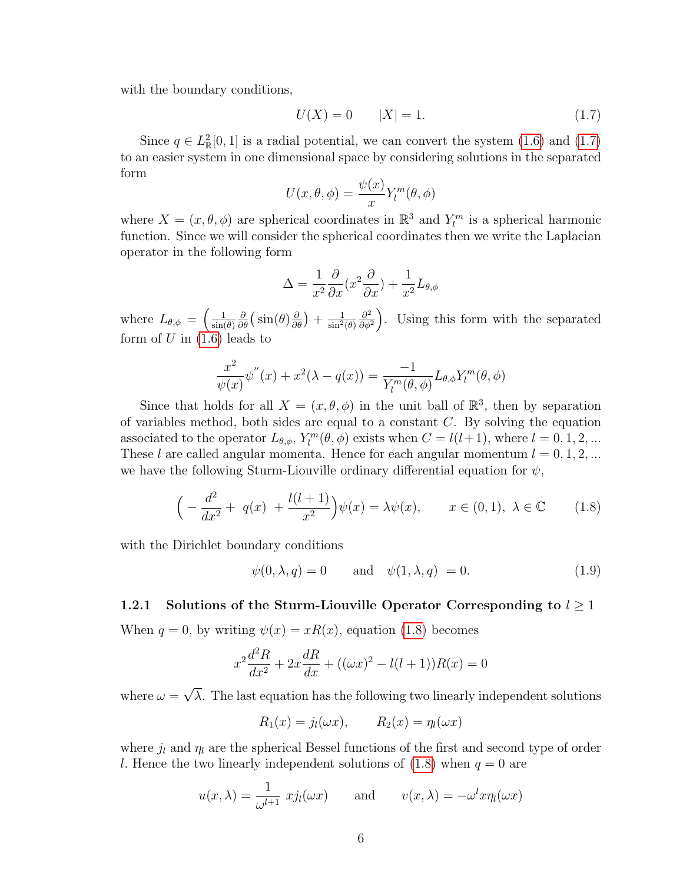with the boundary conditions,

<span id="page-14-1"></span>
$$
U(X) = 0 \t |X| = 1.
$$
\t(1.7)

Since  $q \in L^2_{\mathbb{R}}[0,1]$  is a radial potential, we can convert the system  $(1.6)$  and  $(1.7)$ to an easier system in one dimensional space by considering solutions in the separated form

$$
U(x, \theta, \phi) = \frac{\psi(x)}{x} Y_l^m(\theta, \phi)
$$

where  $X = (x, \theta, \phi)$  are spherical coordinates in  $\mathbb{R}^3$  and  $Y_l^m$  is a spherical harmonic function. Since we will consider the spherical coordinates then we write the Laplacian operator in the following form

$$
\Delta = \frac{1}{x^2} \frac{\partial}{\partial x} (x^2 \frac{\partial}{\partial x}) + \frac{1}{x^2} L_{\theta, \phi}
$$

where  $L_{\theta,\phi} = \left(\frac{1}{\sin(\theta)}\right)$  $\sin(\theta)$  $\frac{\partial}{\partial \theta} \big( \sin(\theta) \frac{\partial}{\partial \theta} \big) + \frac{1}{\sin^2(\theta)}$  $\partial^2$  $\frac{\partial^2}{\partial \phi^2}$ . Using this form with the separated form of  $U$  in  $(1.6)$  leads to

$$
\frac{x^2}{\psi(x)}\psi''(x) + x^2(\lambda - q(x)) = \frac{-1}{Y_l^m(\theta, \phi)}L_{\theta, \phi}Y_l^m(\theta, \phi)
$$

Since that holds for all  $X = (x, \theta, \phi)$  in the unit ball of  $\mathbb{R}^3$ , then by separation of variables method, both sides are equal to a constant C. By solving the equation associated to the operator  $L_{\theta,\phi}$ ,  $Y_l^m(\theta,\phi)$  exists when  $C = l(l+1)$ , where  $l = 0, 1, 2, ...$ These l are called angular momenta. Hence for each angular momentum  $l = 0, 1, 2, ...$ we have the following Sturm-Liouville ordinary differential equation for  $\psi$ ,

<span id="page-14-2"></span>
$$
\left(-\frac{d^2}{dx^2} + q(x) + \frac{l(l+1)}{x^2}\right)\psi(x) = \lambda\psi(x), \qquad x \in (0,1), \ \lambda \in \mathbb{C} \tag{1.8}
$$

with the Dirichlet boundary conditions

<span id="page-14-3"></span>
$$
\psi(0,\lambda,q) = 0 \quad \text{and} \quad \psi(1,\lambda,q) = 0. \tag{1.9}
$$

#### <span id="page-14-0"></span>1.2.1 Solutions of the Sturm-Liouville Operator Corresponding to  $l \geq 1$

When  $q = 0$ , by writing  $\psi(x) = xR(x)$ , equation [\(1.8\)](#page-14-2) becomes

$$
x^{2}\frac{d^{2}R}{dx^{2}} + 2x\frac{dR}{dx} + ((\omega x)^{2} - l(l+1))R(x) = 0
$$

where  $\omega =$ √  $\lambda$ . The last equation has the following two linearly independent solutions

$$
R_1(x) = j_l(\omega x), \qquad R_2(x) = \eta_l(\omega x)
$$

where  $j_l$  and  $\eta_l$  are the spherical Bessel functions of the first and second type of order l. Hence the two linearly independent solutions of  $(1.8)$  when  $q = 0$  are

$$
u(x, \lambda) = \frac{1}{\omega^{l+1}} x j_l(\omega x)
$$
 and  $v(x, \lambda) = -\omega^l x \eta_l(\omega x)$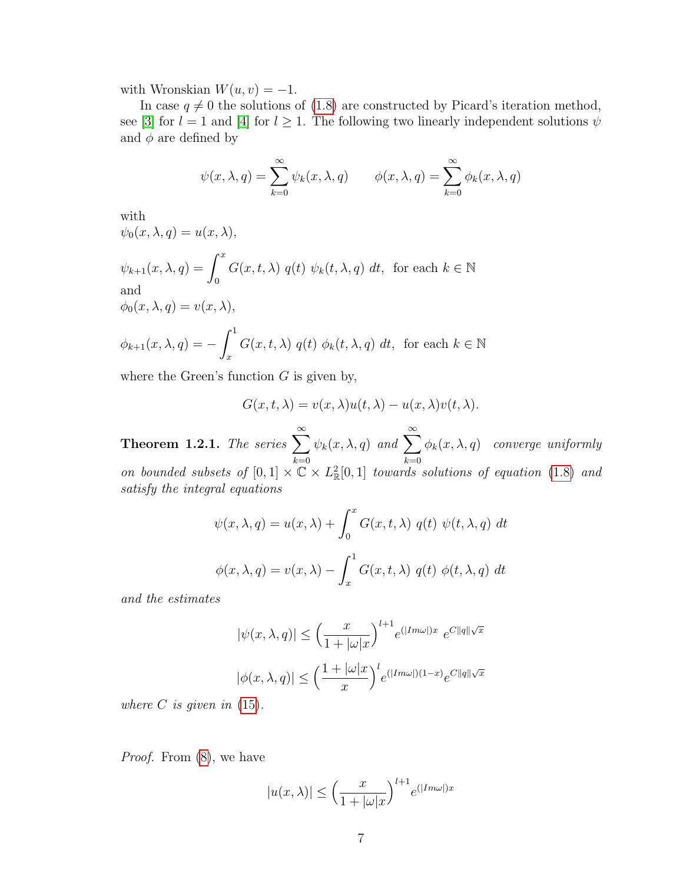with Wronskian  $W(u, v) = -1$ .

In case  $q \neq 0$  the solutions of [\(1.8\)](#page-14-2) are constructed by Picard's iteration method, see [\[3\]](#page-77-4) for  $l = 1$  and [\[4\]](#page-77-7) for  $l \geq 1$ . The following two linearly independent solutions  $\psi$ and  $\phi$  are defined by

$$
\psi(x,\lambda,q) = \sum_{k=0}^{\infty} \psi_k(x,\lambda,q) \qquad \phi(x,\lambda,q) = \sum_{k=0}^{\infty} \phi_k(x,\lambda,q)
$$

with

$$
\psi_0(x, \lambda, q) = u(x, \lambda),
$$
  
\n
$$
\psi_{k+1}(x, \lambda, q) = \int_0^x G(x, t, \lambda) q(t) \psi_k(t, \lambda, q) dt, \text{ for each } k \in \mathbb{N}
$$
  
\nand  
\n
$$
\phi_0(x, \lambda, q) = v(x, \lambda),
$$
  
\n
$$
\phi_{k+1}(x, \lambda, q) = -\int_x^1 G(x, t, \lambda) q(t) \phi_k(t, \lambda, q) dt, \text{ for each } k \in \mathbb{N}
$$

where the Green's function  $G$  is given by,

$$
G(x, t, \lambda) = v(x, \lambda)u(t, \lambda) - u(x, \lambda)v(t, \lambda).
$$

Theorem 1.2.1. The series  $\sum_{n=1}^{\infty}$  $_{k=0}$  $\psi_k(x, \lambda, q)$  and  $\sum^{\infty}$  $_{k=0}$  $\phi_k(x,\lambda,q)$  converge uniformly on bounded subsets of  $[0,1] \times \mathbb{C} \times L^2_{\mathbb{R}}[0,1]$  towards solutions of equation [\(1.8\)](#page-14-2) and satisfy the integral equations

$$
\psi(x,\lambda,q) = u(x,\lambda) + \int_0^x G(x,t,\lambda) q(t) \psi(t,\lambda,q) dt
$$

$$
\phi(x,\lambda,q) = v(x,\lambda) - \int_x^1 G(x,t,\lambda) q(t) \phi(t,\lambda,q) dt
$$

and the estimates

$$
|\psi(x,\lambda,q)| \le \left(\frac{x}{1+|\omega|x}\right)^{l+1} e^{(|Im\omega|)x} e^{C||q||\sqrt{x}}
$$
  

$$
|\phi(x,\lambda,q)| \le \left(\frac{1+|\omega|x|}{x}\right)^l e^{(|Im\omega|)(1-x)} e^{C||q||\sqrt{x}}
$$

where  $C$  is given in  $(15)$ .

Proof. From [\(8\)](#page-66-1), we have

$$
|u(x,\lambda)| \le \left(\frac{x}{1+|\omega| x}\right)^{l+1} e^{(|Im\omega|) x}
$$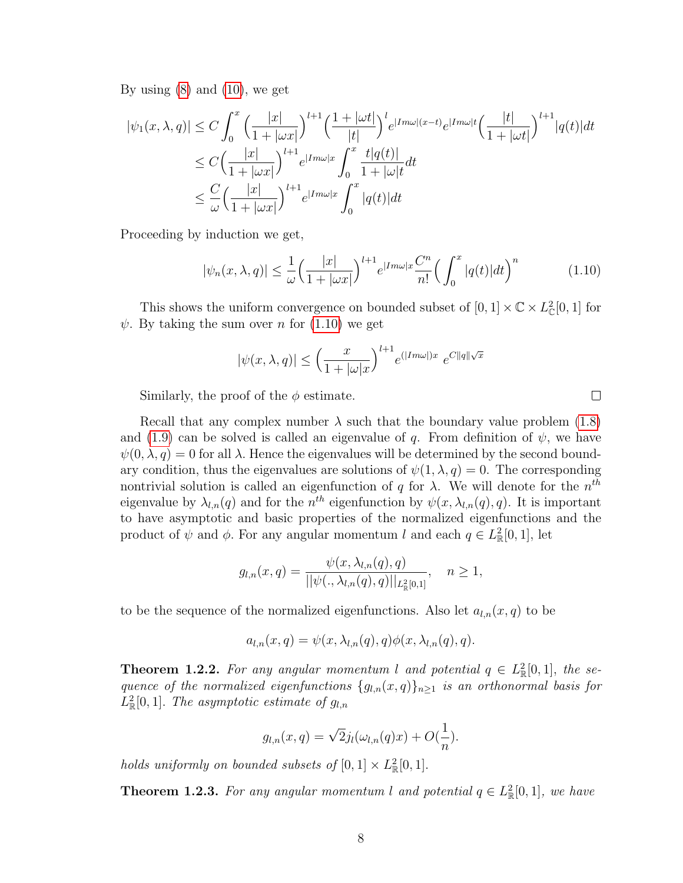By using  $(8)$  and  $(10)$ , we get

$$
|\psi_1(x,\lambda,q)| \le C \int_0^x \left(\frac{|x|}{1+|\omega x|}\right)^{l+1} \left(\frac{1+|\omega t|}{|t|}\right)^l e^{|Im\omega|(x-t)} e^{|Im\omega|t} \left(\frac{|t|}{1+|\omega t|}\right)^{l+1} |q(t)| dt
$$
  
\n
$$
\le C \left(\frac{|x|}{1+|\omega x|}\right)^{l+1} e^{|Im\omega|x} \int_0^x \frac{t|q(t)|}{1+|\omega|t} dt
$$
  
\n
$$
\le \frac{C}{\omega} \left(\frac{|x|}{1+|\omega x|}\right)^{l+1} e^{|Im\omega|x} \int_0^x |q(t)| dt
$$

Proceeding by induction we get,

<span id="page-16-0"></span>
$$
|\psi_n(x,\lambda,q)| \le \frac{1}{\omega} \left(\frac{|x|}{1+|\omega x|}\right)^{l+1} e^{|Im\omega|x} \frac{C^n}{n!} \left(\int_0^x |q(t)|dt\right)^n \tag{1.10}
$$

This shows the uniform convergence on bounded subset of  $[0, 1] \times \mathbb{C} \times L^2_{\mathbb{C}}[0, 1]$  for  $\psi$ . By taking the sum over *n* for [\(1.10\)](#page-16-0) we get

$$
|\psi(x,\lambda,q)| \leq \left(\frac{x}{1+|\omega| x}\right)^{l+1} e^{(|Im \omega|)x} e^{C||q||\sqrt{x}}
$$

Similarly, the proof of the  $\phi$  estimate.

Recall that any complex number  $\lambda$  such that the boundary value problem [\(1.8\)](#page-14-2) and [\(1.9\)](#page-14-3) can be solved is called an eigenvalue of q. From definition of  $\psi$ , we have  $\psi(0, \lambda, q) = 0$  for all  $\lambda$ . Hence the eigenvalues will be determined by the second boundary condition, thus the eigenvalues are solutions of  $\psi(1,\lambda,q) = 0$ . The corresponding nontrivial solution is called an eigenfunction of q for  $\lambda$ . We will denote for the  $n^{th}$ eigenvalue by  $\lambda_{l,n}(q)$  and for the  $n^{th}$  eigenfunction by  $\psi(x, \lambda_{l,n}(q), q)$ . It is important to have asymptotic and basic properties of the normalized eigenfunctions and the product of  $\psi$  and  $\phi$ . For any angular momentum l and each  $q \in L^2_{\mathbb{R}}[0,1]$ , let

$$
g_{l,n}(x,q) = \frac{\psi(x, \lambda_{l,n}(q), q)}{||\psi(., \lambda_{l,n}(q), q)||_{L^2_{\mathbb{R}}[0,1]}}, \quad n \ge 1,
$$

to be the sequence of the normalized eigenfunctions. Also let  $a_{l,n}(x, q)$  to be

$$
a_{l,n}(x,q) = \psi(x, \lambda_{l,n}(q), q)\phi(x, \lambda_{l,n}(q), q).
$$

**Theorem 1.2.2.** For any angular momentum l and potential  $q \in L^2_{\mathbb{R}}[0,1]$ , the sequence of the normalized eigenfunctions  ${g_{l,n}(x,q)}_{n\geq 1}$  is an orthonormal basis for  $L^2_{\mathbb{R}}[0,1]$ . The asymptotic estimate of  $g_{l,n}$ 

$$
g_{l,n}(x,q) = \sqrt{2}j_l(\omega_{l,n}(q)x) + O(\frac{1}{n}).
$$

holds uniformly on bounded subsets of  $[0,1] \times L^2_{\mathbb{R}}[0,1]$ .

**Theorem 1.2.3.** For any angular momentum l and potential  $q \in L^2_{\mathbb{R}}[0,1]$ , we have

 $\Box$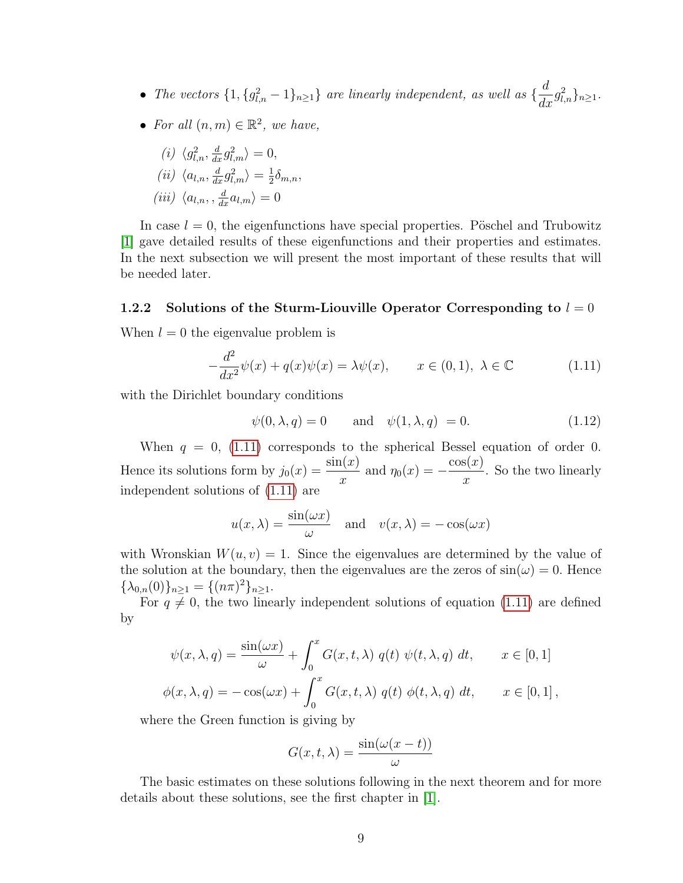- The vectors  $\{1, \{g_{l,n}^2-1\}_{n\geq 1}\}$  are linearly independent, as well as  $\{\frac{d}{d\sigma}\}$  $\frac{a}{dx}g_{l,n}^2\}_{n\geq 1}.$
- For all  $(n, m) \in \mathbb{R}^2$ , we have,

$$
(i) \langle g_{l,n}^2, \frac{d}{dx}g_{l,m}^2 \rangle = 0,
$$
  
\n
$$
(ii) \langle a_{l,n}, \frac{d}{dx}g_{l,m}^2 \rangle = \frac{1}{2}\delta_{m,n},
$$
  
\n
$$
(iii) \langle a_{l,n}, \frac{d}{dx}a_{l,m} \rangle = 0
$$

In case  $l = 0$ , the eigenfunctions have special properties. Pöschel and Trubowitz [\[1\]](#page-77-3) gave detailed results of these eigenfunctions and their properties and estimates. In the next subsection we will present the most important of these results that will be needed later.

#### <span id="page-17-0"></span>1.2.2 Solutions of the Sturm-Liouville Operator Corresponding to  $l = 0$

When  $l = 0$  the eigenvalue problem is

$$
-\frac{d^2}{dx^2}\psi(x) + q(x)\psi(x) = \lambda\psi(x), \qquad x \in (0,1), \ \lambda \in \mathbb{C}
$$
 (1.11)

with the Dirichlet boundary conditions

<span id="page-17-2"></span><span id="page-17-1"></span>
$$
\psi(0,\lambda,q) = 0 \quad \text{and} \quad \psi(1,\lambda,q) = 0. \tag{1.12}
$$

When  $q = 0$ , [\(1.11\)](#page-17-1) corresponds to the spherical Bessel equation of order 0. Hence its solutions form by  $j_0(x) = \frac{\sin(x)}{x}$  and  $\eta_0(x) = -\frac{\cos(x)}{x}$  $\overline{x}$ . So the two linearly independent solutions of [\(1.11\)](#page-17-1) are

$$
u(x, \lambda) = \frac{\sin(\omega x)}{\omega}
$$
 and  $v(x, \lambda) = -\cos(\omega x)$ 

with Wronskian  $W(u, v) = 1$ . Since the eigenvalues are determined by the value of the solution at the boundary, then the eigenvalues are the zeros of  $\sin(\omega) = 0$ . Hence  $\{\lambda_{0,n}(0)\}_{n\geq 1} = \{(n\pi)^2\}_{n\geq 1}.$ 

For  $q \neq 0$ , the two linearly independent solutions of equation [\(1.11\)](#page-17-1) are defined by

$$
\psi(x,\lambda,q) = \frac{\sin(\omega x)}{\omega} + \int_0^x G(x,t,\lambda) q(t) \psi(t,\lambda,q) dt, \qquad x \in [0,1]
$$
  

$$
\phi(x,\lambda,q) = -\cos(\omega x) + \int_0^x G(x,t,\lambda) q(t) \phi(t,\lambda,q) dt, \qquad x \in [0,1],
$$

where the Green function is giving by

$$
G(x, t, \lambda) = \frac{\sin(\omega(x - t))}{\omega}
$$

The basic estimates on these solutions following in the next theorem and for more details about these solutions, see the first chapter in [\[1\]](#page-77-3).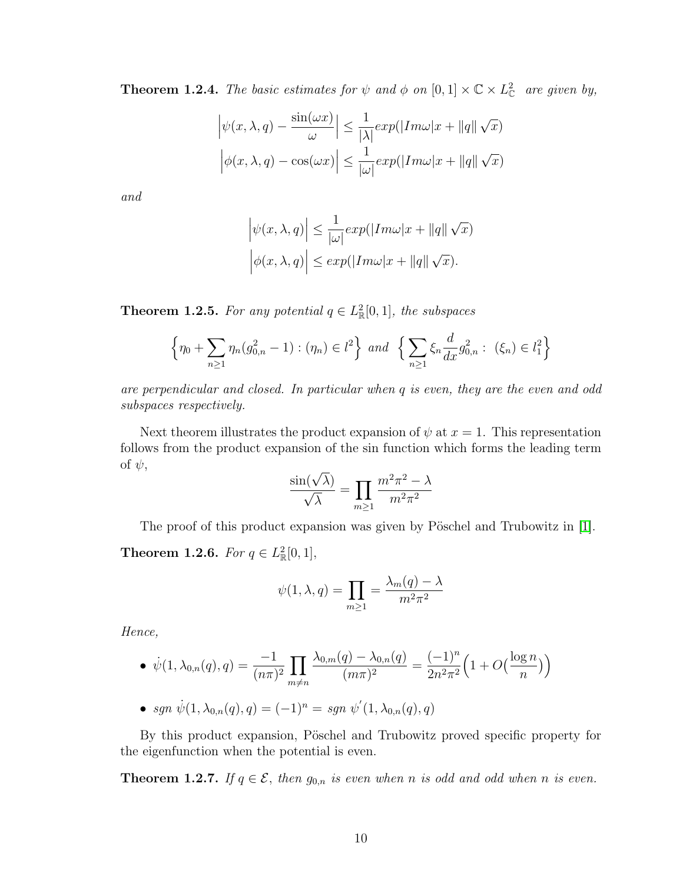**Theorem 1.2.4.** The basic estimates for  $\psi$  and  $\phi$  on  $[0,1] \times \mathbb{C} \times L_{\mathbb{C}}^2$  are given by,

$$
\left| \psi(x, \lambda, q) - \frac{\sin(\omega x)}{\omega} \right| \le \frac{1}{|\lambda|} exp(|Im \omega|x + ||q|| \sqrt{x})
$$

$$
\left| \phi(x, \lambda, q) - \cos(\omega x) \right| \le \frac{1}{|\omega|} exp(|Im \omega|x + ||q|| \sqrt{x})
$$

and

$$
\left|\psi(x,\lambda,q)\right| \le \frac{1}{|\omega|} \exp(|Im \omega|x + ||q||\sqrt{x})
$$

$$
\left|\phi(x,\lambda,q)\right| \le \exp(|Im \omega|x + ||q||\sqrt{x}).
$$

**Theorem 1.2.5.** For any potential  $q \in L^2_{\mathbb{R}}[0,1]$ , the subspaces

$$
\left\{\eta_0 + \sum_{n\geq 1} \eta_n(g_{0,n}^2 - 1) : (\eta_n) \in l^2\right\} \text{ and } \left\{\sum_{n\geq 1} \xi_n \frac{d}{dx} g_{0,n}^2 : (\xi_n) \in l^2_1\right\}
$$

are perpendicular and closed. In particular when q is even, they are the even and odd subspaces respectively.

Next theorem illustrates the product expansion of  $\psi$  at  $x = 1$ . This representation follows from the product expansion of the sin function which forms the leading term of  $\psi$ ,

$$
\frac{\sin(\sqrt{\lambda})}{\sqrt{\lambda}} = \prod_{m \ge 1} \frac{m^2 \pi^2 - \lambda}{m^2 \pi^2}
$$

The proof of this product expansion was given by Pöschel and Trubowitz in [\[1\]](#page-77-3).

**Theorem 1.2.6.** For  $q \in L^2_{\mathbb{R}}[0,1],$ 

$$
\psi(1,\lambda,q) = \prod_{m \ge 1} = \frac{\lambda_m(q) - \lambda}{m^2 \pi^2}
$$

Hence,

• 
$$
\dot{\psi}(1, \lambda_{0,n}(q), q) = \frac{-1}{(n\pi)^2} \prod_{m \neq n} \frac{\lambda_{0,m}(q) - \lambda_{0,n}(q)}{(m\pi)^2} = \frac{(-1)^n}{2n^2\pi^2} \left(1 + O\left(\frac{\log n}{n}\right)\right)
$$

• sgn 
$$
\dot{\psi}(1, \lambda_{0,n}(q), q) = (-1)^n = sgn \psi'(1, \lambda_{0,n}(q), q)
$$

By this product expansion, Pöschel and Trubowitz proved specific property for the eigenfunction when the potential is even.

<span id="page-18-0"></span>**Theorem 1.2.7.** If  $q \in \mathcal{E}$ , then  $g_{0,n}$  is even when n is odd and odd when n is even.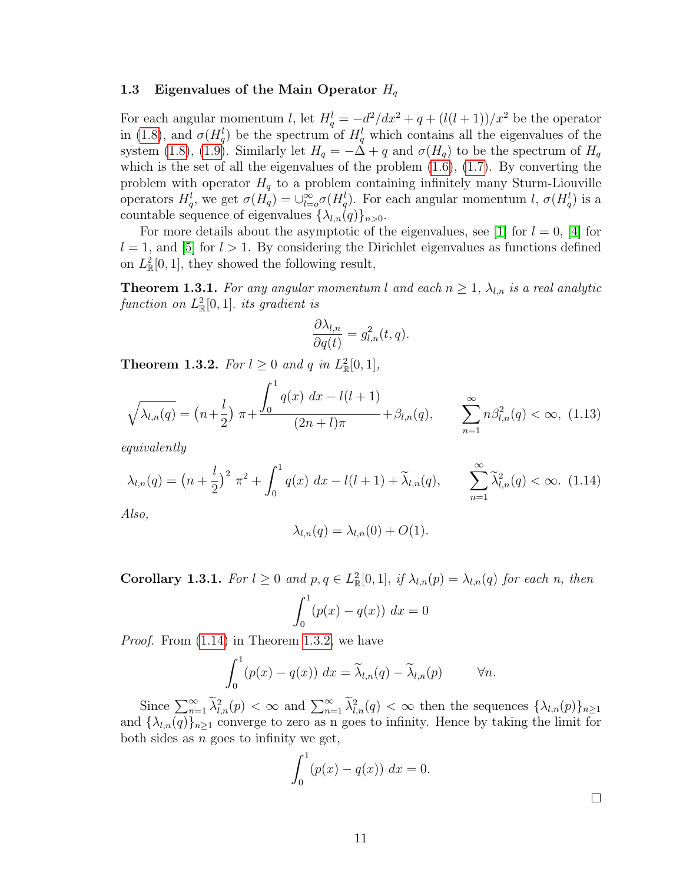#### <span id="page-19-0"></span>1.3 Eigenvalues of the Main Operator  $H_q$

For each angular momentum l, let  $H_q^l = -d^2/dx^2 + q + (l(l+1))/x^2$  be the operator in [\(1.8\)](#page-14-2), and  $\sigma(H_q^l)$  be the spectrum of  $H_q^l$  which contains all the eigenvalues of the system [\(1.8\)](#page-14-2), [\(1.9\)](#page-14-3). Similarly let  $H_q = -\Delta + q$  and  $\sigma(H_q)$  to be the spectrum of  $H_q$ which is the set of all the eigenvalues of the problem  $(1.6)$ ,  $(1.7)$ . By converting the problem with operator  $H<sub>q</sub>$  to a problem containing infinitely many Sturm-Liouville operators  $H_q^l$ , we get  $\sigma(H_q) = \bigcup_{l=0}^{\infty} \sigma(H_q^l)$ . For each angular momentum l,  $\sigma(H_q^l)$  is a countable sequence of eigenvalues  $\{\lambda_{l,n}(q)\}_{n>0}$ .

For more details about the asymptotic of the eigenvalues, see [\[1\]](#page-77-3) for  $l = 0$ , [\[4\]](#page-77-7) for  $l = 1$ , and [\[5\]](#page-77-8) for  $l > 1$ . By considering the Dirichlet eigenvalues as functions defined on  $L^2_{\mathbb{R}}[0,1]$ , they showed the following result,

**Theorem 1.3.1.** For any angular momentum l and each  $n \geq 1$ ,  $\lambda_{l,n}$  is a real analytic function on  $L^2_{\mathbb{R}}[0,1]$ . its gradient is

$$
\frac{\partial \lambda_{l,n}}{\partial q(t)} = g_{l,n}^2(t,q).
$$

<span id="page-19-2"></span>**Theorem 1.3.2.** For  $l \geq 0$  and q in  $L^2_{\mathbb{R}}[0,1]$ ,

$$
\sqrt{\lambda_{l,n}(q)} = \left(n + \frac{l}{2}\right)\pi + \frac{\int_0^1 q(x) \, dx - l(l+1)}{(2n+l)\pi} + \beta_{l,n}(q), \qquad \sum_{n=1}^\infty n \beta_{l,n}^2(q) < \infty, \tag{1.13}
$$

equivalently

<span id="page-19-1"></span>
$$
\lambda_{l,n}(q) = \left(n + \frac{l}{2}\right)^2 \pi^2 + \int_0^1 q(x) \, dx - l(l+1) + \widetilde{\lambda}_{l,n}(q), \qquad \sum_{n=1}^\infty \widetilde{\lambda}_{l,n}^2(q) < \infty. \tag{1.14}
$$

Also,

$$
\lambda_{l,n}(q) = \lambda_{l,n}(0) + O(1).
$$

**Corollary 1.3.1.** For  $l \geq 0$  and  $p, q \in L^2_{\mathbb{R}}[0,1]$ , if  $\lambda_{l,n}(p) = \lambda_{l,n}(q)$  for each n, then

$$
\int_0^1 (p(x) - q(x)) \, dx = 0
$$

Proof. From [\(1.14\)](#page-19-1) in Theorem [1.3.2,](#page-19-2) we have

$$
\int_0^1 (p(x) - q(x)) dx = \widetilde{\lambda}_{l,n}(q) - \widetilde{\lambda}_{l,n}(p) \qquad \forall n.
$$

Since  $\sum_{n=1}^{\infty} \tilde{\lambda}_{l,n}^2(p) < \infty$  and  $\sum_{n=1}^{\infty} \tilde{\lambda}_{l,n}^2(q) < \infty$  then the sequences  $\{\lambda_{l,n}(p)\}_{n\geq 1}$ and  $\{\lambda_{l,n}(q)\}_{n\geq 1}$  converge to zero as n goes to infinity. Hence by taking the limit for both sides as  $n$  goes to infinity we get,

$$
\int_0^1 (p(x) - q(x)) \, dx = 0.
$$

 $\Box$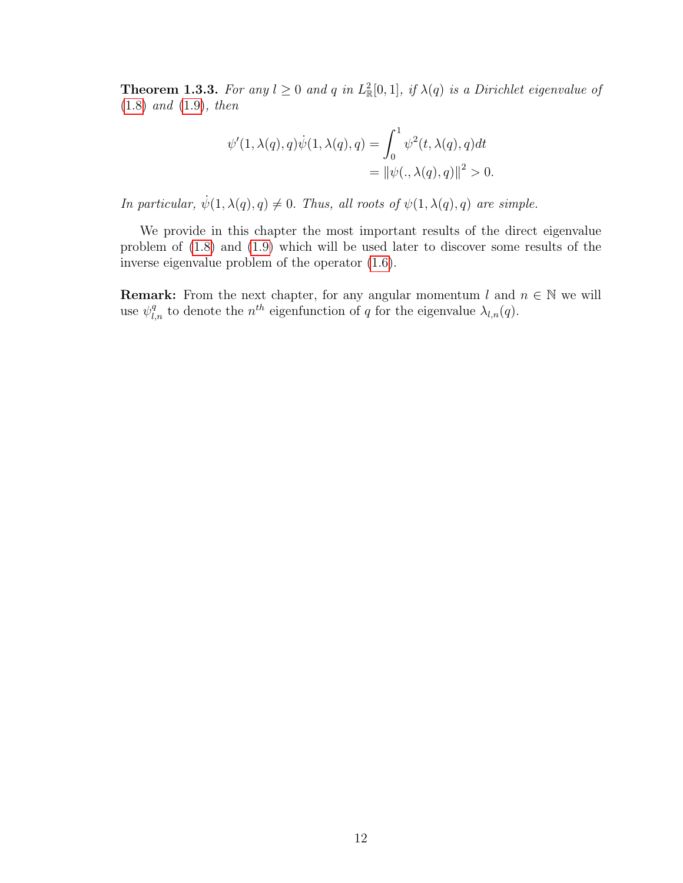**Theorem 1.3.3.** For any  $l \geq 0$  and q in  $L^2_{\mathbb{R}}[0,1]$ , if  $\lambda(q)$  is a Dirichlet eigenvalue of [\(1.8\)](#page-14-2) and [\(1.9\)](#page-14-3), then

$$
\psi'(1, \lambda(q), q)\dot{\psi}(1, \lambda(q), q) = \int_0^1 \psi^2(t, \lambda(q), q)dt
$$
  
= 
$$
\|\psi(., \lambda(q), q)\|^2 > 0.
$$

In particular,  $\dot{\psi}(1, \lambda(q), q) \neq 0$ . Thus, all roots of  $\psi(1, \lambda(q), q)$  are simple.

We provide in this chapter the most important results of the direct eigenvalue problem of [\(1.8\)](#page-14-2) and [\(1.9\)](#page-14-3) which will be used later to discover some results of the inverse eigenvalue problem of the operator [\(1.6\)](#page-13-1).

**Remark:** From the next chapter, for any angular momentum l and  $n \in \mathbb{N}$  we will use  $\psi_{l,n}^q$  to denote the  $n^{th}$  eigenfunction of q for the eigenvalue  $\lambda_{l,n}(q)$ .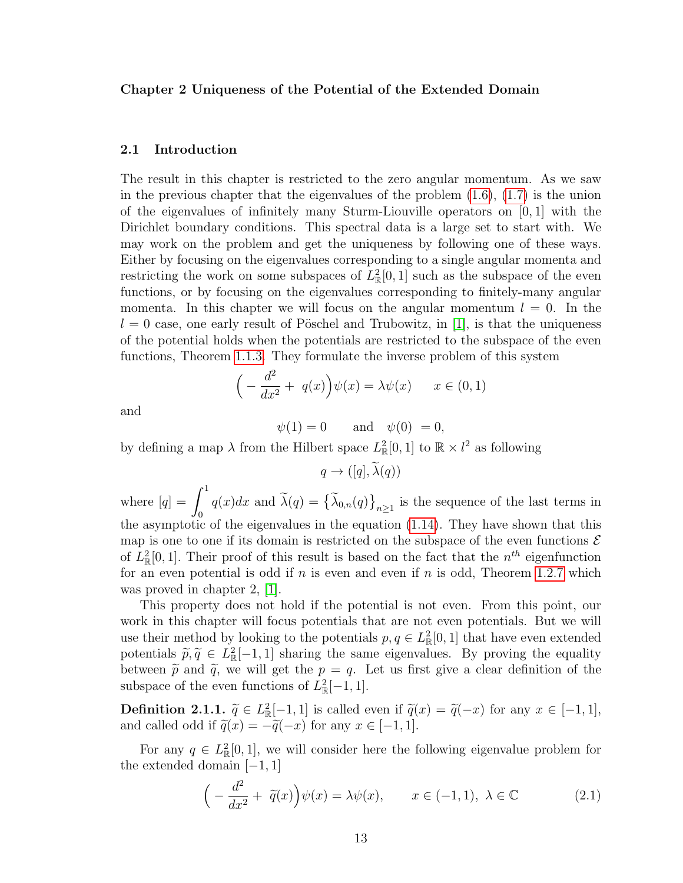#### <span id="page-21-0"></span>Chapter 2 Uniqueness of the Potential of the Extended Domain

#### <span id="page-21-1"></span>2.1 Introduction

The result in this chapter is restricted to the zero angular momentum. As we saw in the previous chapter that the eigenvalues of the problem [\(1.6\)](#page-13-1), [\(1.7\)](#page-14-1) is the union of the eigenvalues of infinitely many Sturm-Liouville operators on  $[0, 1]$  with the Dirichlet boundary conditions. This spectral data is a large set to start with. We may work on the problem and get the uniqueness by following one of these ways. Either by focusing on the eigenvalues corresponding to a single angular momenta and restricting the work on some subspaces of  $L^2_{\mathbb{R}}[0,1]$  such as the subspace of the even functions, or by focusing on the eigenvalues corresponding to finitely-many angular momenta. In this chapter we will focus on the angular momentum  $l = 0$ . In the  $l = 0$  case, one early result of Pöschel and Trubowitz, in [\[1\]](#page-77-3), is that the uniqueness of the potential holds when the potentials are restricted to the subspace of the even functions, Theorem [1.1.3.](#page-11-2) They formulate the inverse problem of this system

$$
\left(-\frac{d^2}{dx^2} + q(x)\right)\psi(x) = \lambda\psi(x) \qquad x \in (0,1)
$$

and

$$
\psi(1) = 0 \quad \text{and} \quad \psi(0) = 0,
$$

by defining a map  $\lambda$  from the Hilbert space  $L^2_{\mathbb{R}}[0,1]$  to  $\mathbb{R} \times l^2$  as following

 $q \rightarrow ([q], \widetilde{\lambda}(q))$ 

where  $[q] = \int_0^1$  $q(x)dx$  and  $\lambda(q) = {\lambda_{0,n}(q)}_{n \geq 1}$  is the sequence of the last terms in the asymptotic of the eigenvalues in the equation [\(1.14\)](#page-19-1). They have shown that this map is one to one if its domain is restricted on the subspace of the even functions  $\mathcal E$ of  $L^2_{\mathbb{R}}[0,1]$ . Their proof of this result is based on the fact that the  $n^{th}$  eigenfunction for an even potential is odd if  $n$  is even and even if  $n$  is odd, Theorem [1.2.7](#page-18-0) which was proved in chapter 2, [\[1\]](#page-77-3).

This property does not hold if the potential is not even. From this point, our work in this chapter will focus potentials that are not even potentials. But we will use their method by looking to the potentials  $p, q \in L^2_{\mathbb{R}}[0,1]$  that have even extended potentials  $\tilde{p}, \tilde{q} \in L^2_{\mathbb{R}}[-1, 1]$  sharing the same eigenvalues. By proving the equality<br>between  $\tilde{p}$  and  $\tilde{q}$  we will get the  $p = q$ . Let us first give a clear definition of the between  $\tilde{p}$  and  $\tilde{q}$ , we will get the  $p = q$ . Let us first give a clear definition of the subspace of the even functions of  $L^2_{\mathbb{R}}[-1,1]$ .

**Definition 2.1.1.**  $\tilde{q} \in L^2_{\mathbb{R}}[-1,1]$  is called even if  $\tilde{q}(x) = \tilde{q}(-x)$  for any  $x \in [-1,1]$ , and called add if  $\tilde{q}(x) = \tilde{q}(-x)$  for any  $x \in [-1,1]$ . and called odd if  $\tilde{q}(x) = -\tilde{q}(-x)$  for any  $x \in [-1, 1]$ .

For any  $q \in L^2_{\mathbb{R}}[0,1]$ , we will consider here the following eigenvalue problem for the extended domain  $[-1, 1]$ 

<span id="page-21-2"></span>
$$
\left(-\frac{d^2}{dx^2} + \tilde{q}(x)\right)\psi(x) = \lambda\psi(x), \qquad x \in (-1, 1), \ \lambda \in \mathbb{C}
$$
\n(2.1)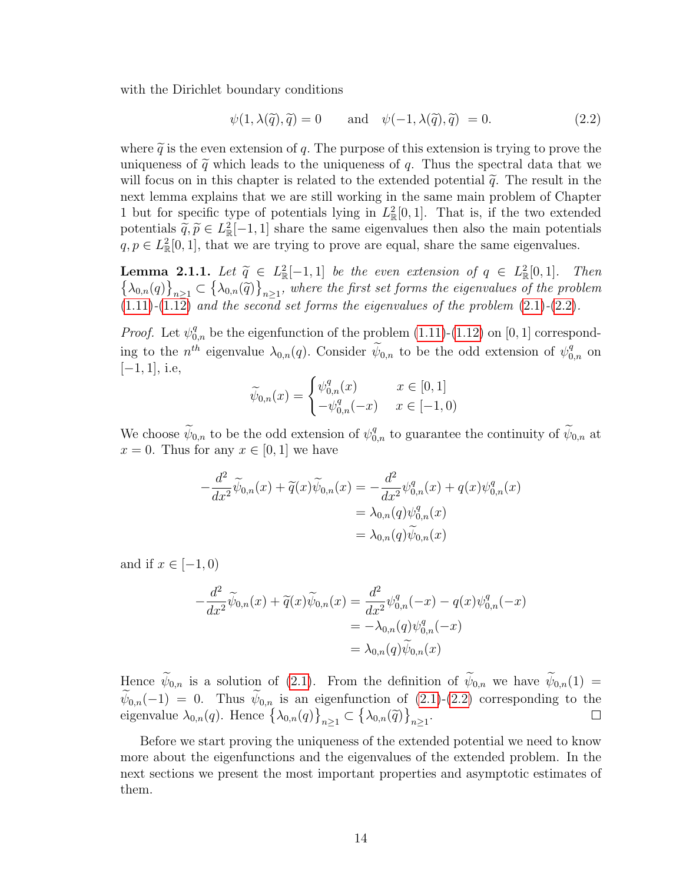with the Dirichlet boundary conditions

<span id="page-22-0"></span>
$$
\psi(1, \lambda(\tilde{q}), \tilde{q}) = 0 \quad \text{and} \quad \psi(-1, \lambda(\tilde{q}), \tilde{q}) = 0. \tag{2.2}
$$

where  $\tilde{q}$  is the even extension of q. The purpose of this extension is trying to prove the uniqueness of  $\tilde{q}$  which leads to the uniqueness of q. Thus the spectral data that we will focus on in this chapter is related to the extended potential  $\tilde{q}$ . The result in the next lemma explains that we are still working in the same main problem of Chapter 1 but for specific type of potentials lying in  $L^2_{\mathbb{R}}[0,1]$ . That is, if the two extended potentials  $\tilde{q}, \tilde{p} \in L^2_{\mathbb{R}}[-1, 1]$  share the same eigenvalues then also the main potentials  $q, p \in L^2[0, 1]$  that we are trying to prove are equal, share the same eigenvalues  $q, p \in L^2_{\mathbb{R}}[0,1]$ , that we are trying to prove are equal, share the same eigenvalues.

**Lemma 2.1.1.** Let  $\tilde{q} \in L^2_{\mathbb{R}}[-1,1]$  be the even extension of  $q \in L^2_{\mathbb{R}}[0,1]$ . Then  $\{\lambda_{0,n}(q)\}_{n\geq 1} \subset \{\lambda_{0,n}(\tilde{q})\}_{n\geq 1}$ , where the first set forms the eigenvalues of the problem  $(1.11)-(1.12)$  $(1.11)-(1.12)$  $(1.11)-(1.12)$  and the second set forms the eigenvalues of the problem  $(2.1)-(2.2)$  $(2.1)-(2.2)$  $(2.1)-(2.2)$ .

*Proof.* Let  $\psi_{0,n}^q$  be the eigenfunction of the problem [\(1.11\)](#page-17-1)-[\(1.12\)](#page-17-2) on [0, 1] corresponding to the  $n^{th}$  eigenvalue  $\lambda_{0,n}(q)$ . Consider  $\widetilde{\psi}_{0,n}$  to be the odd extension of  $\psi_{0,n}^q$  on  $[-1, 1]$ , i.e,

$$
\widetilde{\psi}_{0,n}(x) = \begin{cases} \psi_{0,n}^q(x) & x \in [0,1] \\ -\psi_{0,n}^q(-x) & x \in [-1,0) \end{cases}
$$

We choose  $\widetilde{\psi}_{0,n}$  to be the odd extension of  $\psi_{0,n}^q$  to guarantee the continuity of  $\widetilde{\psi}_{0,n}$  at  $x = 0$ . Thus for any  $x \in [0, 1]$  we have

$$
-\frac{d^2}{dx^2}\widetilde{\psi}_{0,n}(x) + \widetilde{q}(x)\widetilde{\psi}_{0,n}(x) = -\frac{d^2}{dx^2}\psi_{0,n}^q(x) + q(x)\psi_{0,n}^q(x) = \lambda_{0,n}(q)\psi_{0,n}^q(x) = \lambda_{0,n}(q)\widetilde{\psi}_{0,n}(x)
$$

and if  $x \in [-1, 0)$ 

$$
-\frac{d^2}{dx^2}\widetilde{\psi}_{0,n}(x) + \widetilde{q}(x)\widetilde{\psi}_{0,n}(x) = \frac{d^2}{dx^2}\psi_{0,n}^q(-x) - q(x)\psi_{0,n}^q(-x) = -\lambda_{0,n}(q)\psi_{0,n}^q(-x) = \lambda_{0,n}(q)\widetilde{\psi}_{0,n}(x)
$$

Hence  $\widetilde{\psi}_{0,n}$  is a solution of [\(2.1\)](#page-21-2). From the definition of  $\widetilde{\psi}_{0,n}$  we have  $\widetilde{\psi}_{0,n}(1)$  =  $\psi_{0,n}(-1) = 0$ . Thus  $\psi_{0,n}$  is an eigenfunction of [\(2.1\)](#page-21-2)-[\(2.2\)](#page-22-0) corresponding to the eigenvalue  $\lambda_{0,n}(q)$ . Hence  $\{\lambda_{0,n}(q)\}_{n\geq 1} \subset \{\lambda_{0,n}(\tilde{q})\}_{n\geq 1}$ .

Before we start proving the uniqueness of the extended potential we need to know more about the eigenfunctions and the eigenvalues of the extended problem. In the next sections we present the most important properties and asymptotic estimates of them.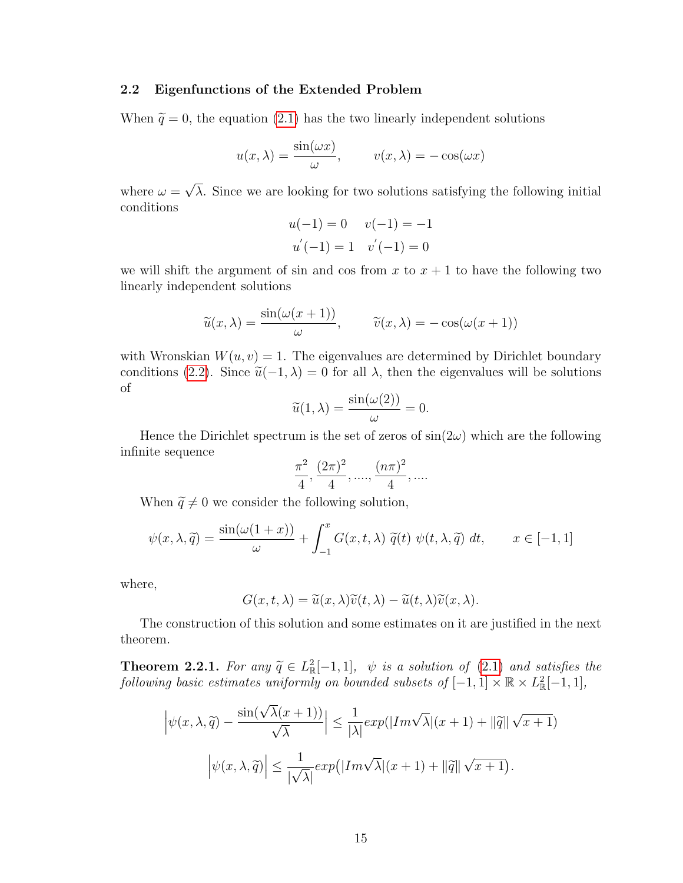#### <span id="page-23-0"></span>2.2 Eigenfunctions of the Extended Problem

When  $\tilde{q} = 0$ , the equation [\(2.1\)](#page-21-2) has the two linearly independent solutions

$$
u(x,\lambda) = \frac{\sin(\omega x)}{\omega}, \qquad v(x,\lambda) = -\cos(\omega x)
$$

where  $\omega =$ √  $\lambda$ . Since we are looking for two solutions satisfying the following initial conditions

$$
u(-1) = 0 \t v(-1) = -1
$$
  

$$
u'(-1) = 1 \t v'(-1) = 0
$$

we will shift the argument of sin and cos from x to  $x + 1$  to have the following two linearly independent solutions

$$
\widetilde{u}(x,\lambda) = \frac{\sin(\omega(x+1))}{\omega}, \qquad \widetilde{v}(x,\lambda) = -\cos(\omega(x+1))
$$

with Wronskian  $W(u, v) = 1$ . The eigenvalues are determined by Dirichlet boundary conditions [\(2.2\)](#page-22-0). Since  $\tilde{u}(-1, \lambda) = 0$  for all  $\lambda$ , then the eigenvalues will be solutions of of

$$
\widetilde{u}(1,\lambda) = \frac{\sin(\omega(2))}{\omega} = 0.
$$

Hence the Dirichlet spectrum is the set of zeros of  $\sin(2\omega)$  which are the following infinite sequence

$$
\frac{\pi^2}{4}, \frac{(2\pi)^2}{4}, \dots, \frac{(n\pi)^2}{4}, \dots
$$

When  $\widetilde{q}\neq 0$  we consider the following solution,

$$
\psi(x,\lambda,\widetilde{q}) = \frac{\sin(\omega(1+x))}{\omega} + \int_{-1}^{x} G(x,t,\lambda) \ \widetilde{q}(t) \ \psi(t,\lambda,\widetilde{q}) \ dt, \qquad x \in [-1,1]
$$

where,

$$
G(x, t, \lambda) = \tilde{u}(x, \lambda)\tilde{v}(t, \lambda) - \tilde{u}(t, \lambda)\tilde{v}(x, \lambda).
$$

The construction of this solution and some estimates on it are justified in the next theorem.

**Theorem 2.2.1.** For any  $\tilde{q} \in L^2_{\mathbb{R}}[-1,1]$ ,  $\psi$  is a solution of [\(2.1\)](#page-21-2) and satisfies the following hasic estimates uniformly on bounded subsets of  $[-1,1] \times \mathbb{R} \times L^2[-1,1]$ following basic estimates uniformly on bounded subsets of  $[-1,1] \times \mathbb{R} \times L_{\mathbb{R}}^2[-1,1],$ 

$$
\left|\psi(x,\lambda,\tilde{q}) - \frac{\sin(\sqrt{\lambda}(x+1))}{\sqrt{\lambda}}\right| \le \frac{1}{|\lambda|} exp(|Im\sqrt{\lambda}|(x+1) + ||\tilde{q}||\sqrt{x+1})
$$

$$
\left|\psi(x,\lambda,\tilde{q})\right| \le \frac{1}{|\sqrt{\lambda}|} exp(|Im\sqrt{\lambda}|(x+1) + ||\tilde{q}||\sqrt{x+1}).
$$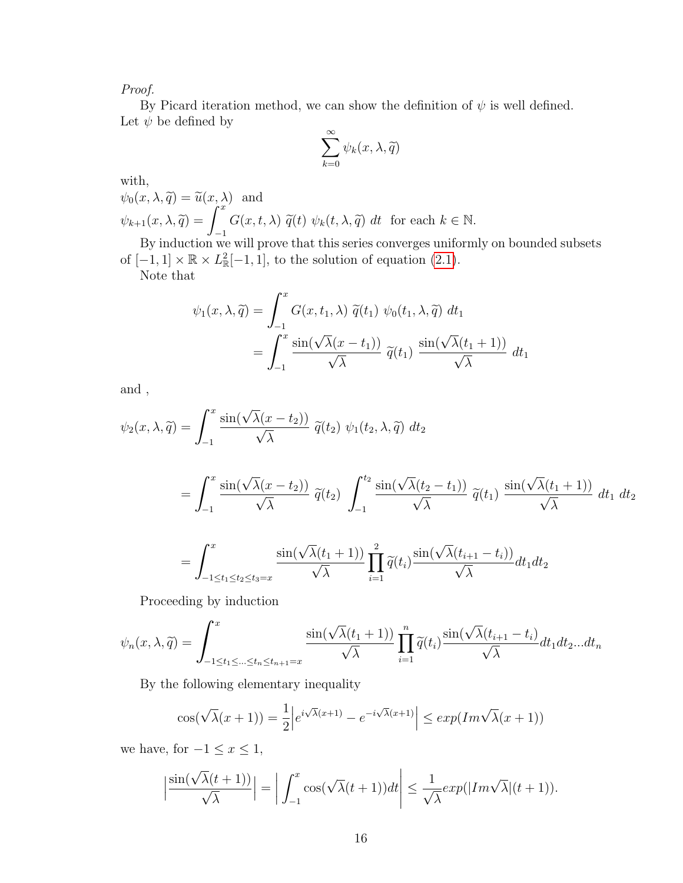Proof.

By Picard iteration method, we can show the definition of  $\psi$  is well defined. Let  $\psi$  be defined by  $\infty$ 

$$
\sum_{k=0}^{\infty} \psi_k(x, \lambda, \widetilde{q})
$$

with,

$$
\psi_0(x, \lambda, \widetilde{q}) = \widetilde{u}(x, \lambda) \text{ and}
$$
  

$$
\psi_{k+1}(x, \lambda, \widetilde{q}) = \int_{-1}^x G(x, t, \lambda) \widetilde{q}(t) \psi_k(t, \lambda, \widetilde{q}) dt \text{ for each } k \in \mathbb{N}.
$$

 $J_{-1}$ <br>By induction we will prove that this series converges uniformly on bounded subsets of  $[-1, 1] \times \mathbb{R} \times L_{\mathbb{R}}^2[-1, 1]$ , to the solution of equation  $(2.1)$ .

Note that

$$
\psi_1(x,\lambda,\tilde{q}) = \int_{-1}^x G(x,t_1,\lambda) \ \tilde{q}(t_1) \ \psi_0(t_1,\lambda,\tilde{q}) \ dt_1
$$

$$
= \int_{-1}^x \frac{\sin(\sqrt{\lambda}(x-t_1))}{\sqrt{\lambda}} \ \tilde{q}(t_1) \ \frac{\sin(\sqrt{\lambda}(t_1+1))}{\sqrt{\lambda}} \ dt_1
$$

and ,

$$
\psi_2(x,\lambda,\tilde{q}) = \int_{-1}^x \frac{\sin(\sqrt{\lambda}(x-t_2))}{\sqrt{\lambda}} \, \tilde{q}(t_2) \, \psi_1(t_2,\lambda,\tilde{q}) \, dt_2
$$
\n
$$
= \int_{-1}^x \frac{\sin(\sqrt{\lambda}(x-t_2))}{\sqrt{\lambda}} \, \tilde{q}(t_2) \, \int_{-1}^{t_2} \frac{\sin(\sqrt{\lambda}(t_2-t_1))}{\sqrt{\lambda}} \, \tilde{q}(t_1) \, \frac{\sin(\sqrt{\lambda}(t_1+1))}{\sqrt{\lambda}} \, dt_1 \, dt_2
$$
\n
$$
= \int_{-1 \le t_1 \le t_2 \le t_3 = x}^x \frac{\sin(\sqrt{\lambda}(t_1+1))}{\sqrt{\lambda}} \prod_{i=1}^2 \tilde{q}(t_i) \frac{\sin(\sqrt{\lambda}(t_{i+1}-t_i))}{\sqrt{\lambda}} dt_1 dt_2
$$

Proceeding by induction

$$
\psi_n(x,\lambda,\widetilde{q}) = \int_{-1 \le t_1 \le \dots \le t_n \le t_{n+1}=x}^{x} \frac{\sin(\sqrt{\lambda}(t_1+1))}{\sqrt{\lambda}} \prod_{i=1}^n \widetilde{q}(t_i) \frac{\sin(\sqrt{\lambda}(t_{i+1}-t_i))}{\sqrt{\lambda}} dt_1 dt_2...dt_n
$$

By the following elementary inequality

$$
\cos(\sqrt{\lambda}(x+1)) = \frac{1}{2} \left| e^{i\sqrt{\lambda}(x+1)} - e^{-i\sqrt{\lambda}(x+1)} \right| \le \exp(Im\sqrt{\lambda}(x+1))
$$

we have, for  $-1 \le x \le 1$ ,

$$
\left|\frac{\sin(\sqrt{\lambda}(t+1))}{\sqrt{\lambda}}\right| = \left|\int_{-1}^{x} \cos(\sqrt{\lambda}(t+1))dt\right| \leq \frac{1}{\sqrt{\lambda}} exp(|Im\sqrt{\lambda}|(t+1)).
$$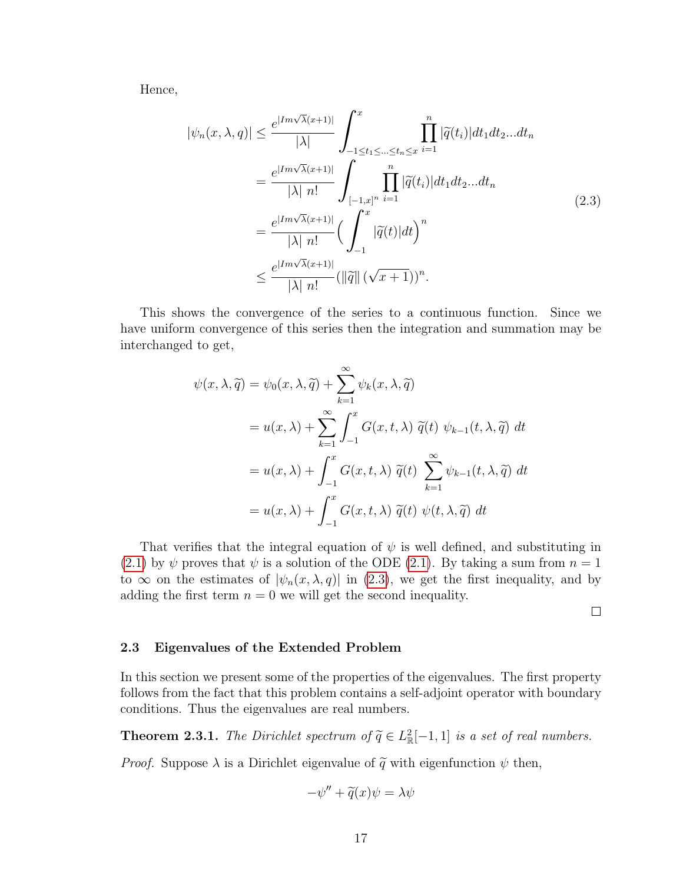Hence,

<span id="page-25-1"></span>
$$
|\psi_n(x,\lambda,q)| \leq \frac{e^{|Im\sqrt{\lambda}(x+1)|}}{|\lambda|} \int_{-1 \leq t_1 \leq \dots \leq t_n \leq x}^x \prod_{i=1}^n |\widetilde{q}(t_i)| dt_1 dt_2 ... dt_n
$$
  

$$
= \frac{e^{|Im\sqrt{\lambda}(x+1)|}}{|\lambda| n!} \int_{[-1,x]^n}^1 \prod_{i=1}^n |\widetilde{q}(t_i)| dt_1 dt_2 ... dt_n
$$
  

$$
= \frac{e^{|Im\sqrt{\lambda}(x+1)|}}{|\lambda| n!} \Big(\int_{-1}^x |\widetilde{q}(t)| dt\Big)^n
$$
  

$$
\leq \frac{e^{|Im\sqrt{\lambda}(x+1)|}}{|\lambda| n!} (||\widetilde{q}|| (\sqrt{x+1}))^n.
$$
 (2.3)

This shows the convergence of the series to a continuous function. Since we have uniform convergence of this series then the integration and summation may be interchanged to get,

$$
\psi(x,\lambda,\tilde{q}) = \psi_0(x,\lambda,\tilde{q}) + \sum_{k=1}^{\infty} \psi_k(x,\lambda,\tilde{q})
$$
  
=  $u(x,\lambda) + \sum_{k=1}^{\infty} \int_{-1}^x G(x,t,\lambda) \ \tilde{q}(t) \ \psi_{k-1}(t,\lambda,\tilde{q}) \ dt$   
=  $u(x,\lambda) + \int_{-1}^x G(x,t,\lambda) \ \tilde{q}(t) \ \sum_{k=1}^{\infty} \psi_{k-1}(t,\lambda,\tilde{q}) \ dt$   
=  $u(x,\lambda) + \int_{-1}^x G(x,t,\lambda) \ \tilde{q}(t) \ \psi(t,\lambda,\tilde{q}) \ dt$ 

That verifies that the integral equation of  $\psi$  is well defined, and substituting in [\(2.1\)](#page-21-2) by  $\psi$  proves that  $\psi$  is a solution of the ODE [\(2.1\)](#page-21-2). By taking a sum from  $n = 1$ to  $\infty$  on the estimates of  $|\psi_n(x,\lambda,q)|$  in [\(2.3\)](#page-25-1), we get the first inequality, and by adding the first term  $n = 0$  we will get the second inequality.

 $\Box$ 

#### <span id="page-25-0"></span>2.3 Eigenvalues of the Extended Problem

In this section we present some of the properties of the eigenvalues. The first property follows from the fact that this problem contains a self-adjoint operator with boundary conditions. Thus the eigenvalues are real numbers.

**Theorem 2.3.1.** The Dirichlet spectrum of  $\tilde{q} \in L^2_{\mathbb{R}}[-1,1]$  is a set of real numbers.

*Proof.* Suppose  $\lambda$  is a Dirichlet eigenvalue of  $\tilde{q}$  with eigenfunction  $\psi$  then,

$$
-\psi'' + \widetilde{q}(x)\psi = \lambda\psi
$$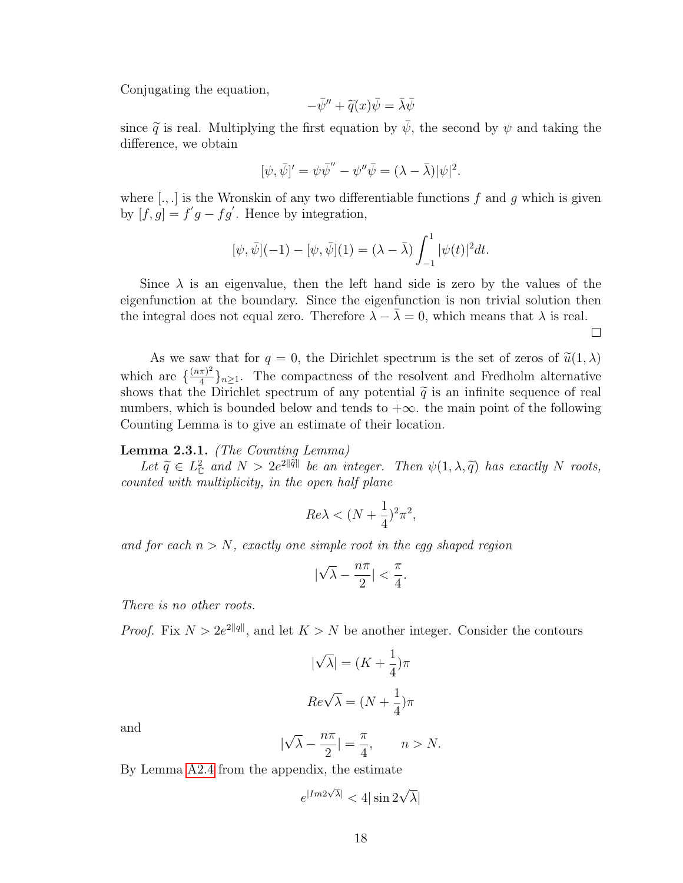Conjugating the equation,

$$
-\bar{\psi}'' + \widetilde{q}(x)\bar{\psi} = \bar{\lambda}\bar{\psi}
$$

since  $\tilde{q}$  is real. Multiplying the first equation by  $\bar{\psi}$ , the second by  $\psi$  and taking the difference, we obtain

$$
[\psi, \bar{\psi}]' = \psi \bar{\psi}'' - \psi'' \bar{\psi} = (\lambda - \bar{\lambda}) |\psi|^2.
$$

where  $[.,.]$  is the Wronskin of any two differentiable functions f and g which is given by  $[f, g] = f'g - fg'$ . Hence by integration,

$$
[\psi, \bar{\psi}](-1) - [\psi, \bar{\psi}](1) = (\lambda - \bar{\lambda}) \int_{-1}^{1} |\psi(t)|^2 dt.
$$

Since  $\lambda$  is an eigenvalue, then the left hand side is zero by the values of the eigenfunction at the boundary. Since the eigenfunction is non trivial solution then the integral does not equal zero. Therefore  $\lambda - \overline{\lambda} = 0$ , which means that  $\lambda$  is real.

 $\Box$ 

As we saw that for  $q = 0$ , the Dirichlet spectrum is the set of zeros of  $\tilde{u}(1, \lambda)$ which are  $\frac{(n\pi)^2}{4}$  $\frac{\pi}{4}$ <sub>4</sub> $\}$ <sub>n</sub> $\geq$ <sub>1</sub>. The compactness of the resolvent and Fredholm alternative shows that the Dirichlet spectrum of any potential  $\tilde{q}$  is an infinite sequence of real numbers, which is bounded below and tonds to  $\log$  the main point of the following numbers, which is bounded below and tends to  $+\infty$ . the main point of the following Counting Lemma is to give an estimate of their location.

#### Lemma 2.3.1. (The Counting Lemma)

Let  $\tilde{q} \in L^2_{\mathbb{C}}$  and  $N > 2e^{2\|\tilde{q}\|}$  be an integer. Then  $\psi(1, \lambda, \tilde{q})$  has exactly N roots, counted with multiplicity, in the open half plane

$$
Re\lambda < (N + \frac{1}{4})^2 \pi^2,
$$

and for each  $n > N$ , exactly one simple root in the egg shaped region

$$
|\sqrt{\lambda}-\frac{n\pi}{2}|<\frac{\pi}{4}.
$$

There is no other roots.

*Proof.* Fix  $N > 2e^{2\|q\|}$ , and let  $K > N$  be another integer. Consider the contours

$$
|\sqrt{\lambda}| = (K + \frac{1}{4})\pi
$$

$$
Re\sqrt{\lambda} = (N + \frac{1}{4})\pi
$$

and

$$
|\sqrt{\lambda} - \frac{n\pi}{2}| = \frac{\pi}{4}, \qquad n > N.
$$

By Lemma [A2.4](#page-71-0) from the appendix, the estimate

$$
e^{|Im 2\sqrt{\lambda}|} < 4|\sin 2\sqrt{\lambda}|
$$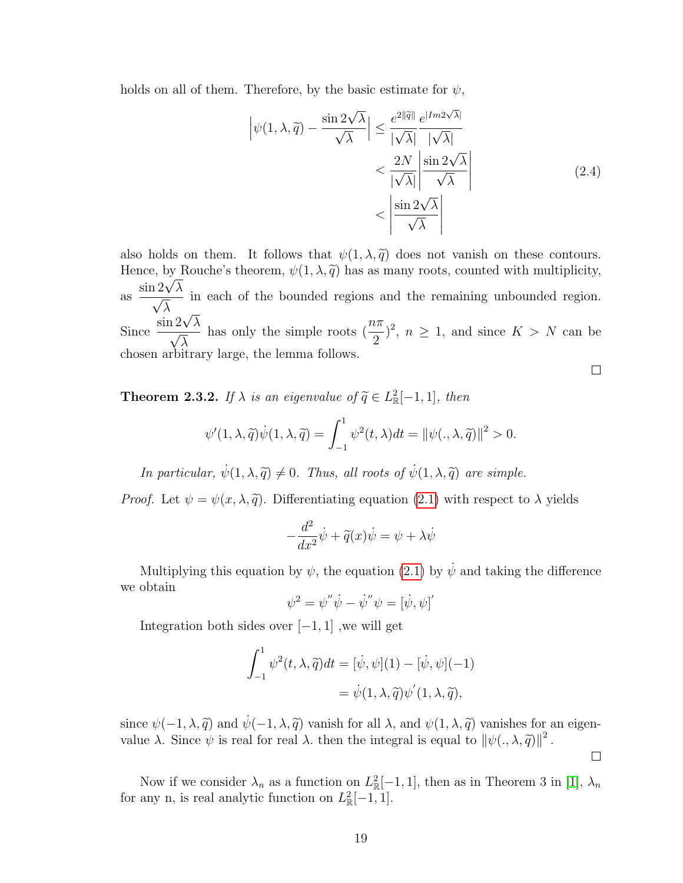holds on all of them. Therefore, by the basic estimate for  $\psi$ ,

$$
\left| \psi(1, \lambda, \widetilde{q}) - \frac{\sin 2\sqrt{\lambda}}{\sqrt{\lambda}} \right| \leq \frac{e^{2\|\widetilde{q}\|}}{|\sqrt{\lambda}|} \frac{e^{|Im 2\sqrt{\lambda}|}}{|\sqrt{\lambda}|} \n< \frac{2N}{|\sqrt{\lambda}|} \left| \frac{\sin 2\sqrt{\lambda}}{\sqrt{\lambda}} \right| \n< \left| \frac{\sin 2\sqrt{\lambda}}{\sqrt{\lambda}} \right|
$$
\n(2.4)

also holds on them. It follows that  $\psi(1, \lambda, \tilde{q})$  does not vanish on these contours. Hence, by Rouche's theorem,  $\psi(1, \lambda, \tilde{q})$  has as many roots, counted with multiplicity, as  $\frac{\sin 2\sqrt{\lambda}}{\sqrt{\lambda}}$ λ in each of the bounded regions and the remaining unbounded region.  $\frac{\sqrt{\lambda}}{\text{Since } \frac{\sin 2\sqrt{\lambda}}{\sqrt{\lambda}} }$  $\frac{12\sqrt{\lambda}}{\sqrt{2}}$ λ has only the simple roots  $\left(\frac{n\pi}{2}\right)$ 2  $\left( \frac{1}{2}, n \geq 1, \text{ and since } K > N \text{ can be} \right)$ chosen arbitrary large, the lemma follows.

 $\Box$ 

<span id="page-27-0"></span>**Theorem 2.3.2.** If  $\lambda$  is an eigenvalue of  $\widetilde{q} \in L^2_{\mathbb{R}}[-1,1]$ , then

$$
\psi'(1,\lambda,\widetilde{q})\dot{\psi}(1,\lambda,\widetilde{q}) = \int_{-1}^{1} \psi^2(t,\lambda)dt = ||\psi(.,\lambda,\widetilde{q})||^2 > 0.
$$

In particular,  $\dot{\psi}(1, \lambda, \tilde{q}) \neq 0$ . Thus, all roots of  $\dot{\psi}(1, \lambda, \tilde{q})$  are simple.

*Proof.* Let  $\psi = \psi(x, \lambda, \tilde{q})$ . Differentiating equation [\(2.1\)](#page-21-2) with respect to  $\lambda$  yields

$$
-\frac{d^2}{dx^2}\dot{\psi} + \widetilde{q}(x)\dot{\psi} = \psi + \lambda\dot{\psi}
$$

Multiplying this equation by  $\psi$ , the equation [\(2.1\)](#page-21-2) by  $\dot{\psi}$  and taking the difference we obtain

$$
\psi^2 = \psi'' \dot{\psi} - \dot{\psi}'' \psi = [\dot{\psi}, \psi]'
$$

Integration both sides over  $[-1, 1]$ , we will get

$$
\int_{-1}^{1} \psi^2(t, \lambda, \tilde{q}) dt = [\dot{\psi}, \psi](1) - [\dot{\psi}, \psi](-1)
$$

$$
= \dot{\psi}(1, \lambda, \tilde{q}) \psi'(1, \lambda, \tilde{q}),
$$

since  $\psi(-1,\lambda,\tilde{q})$  and  $\dot{\psi}(-1,\lambda,\tilde{q})$  vanish for all  $\lambda$ , and  $\psi(1,\lambda,\tilde{q})$  vanishes for an eigenvalue  $\lambda$ . Since  $\psi$  is real for real  $\lambda$ . then the integral is equal to  $\|\psi(.,\lambda,\tilde{q})\|^2$ .

 $\Box$ 

Now if we consider  $\lambda_n$  as a function on  $L^2_{\mathbb{R}}[-1,1]$ , then as in Theorem 3 in [\[1\]](#page-77-3),  $\lambda_n$ for any n, is real analytic function on  $L^2_{\mathbb{R}}[-1,1]$ .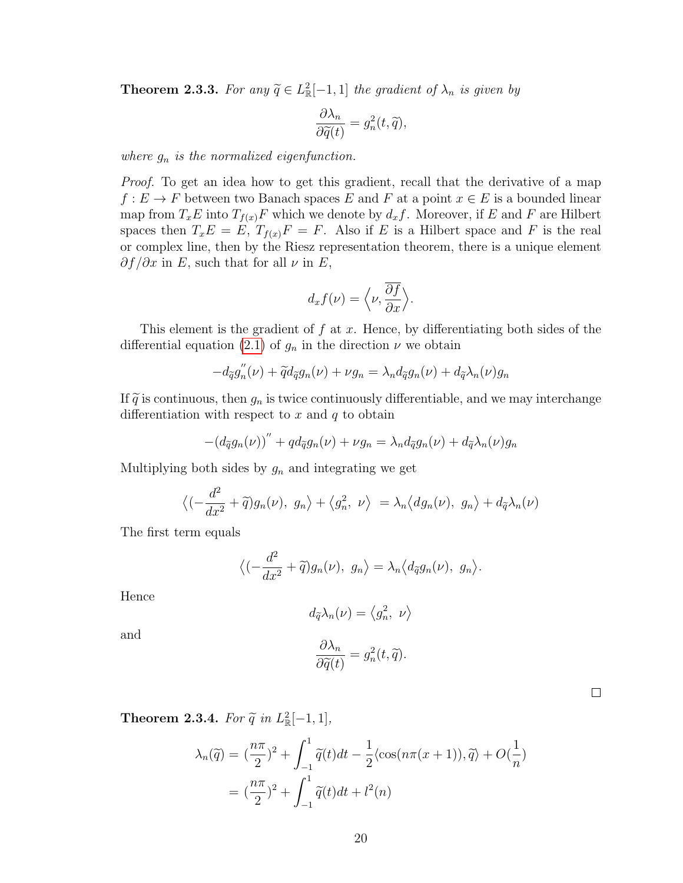**Theorem 2.3.3.** For any  $\tilde{q} \in L^2_{\mathbb{R}}[-1,1]$  the gradient of  $\lambda_n$  is given by

$$
\frac{\partial \lambda_n}{\partial \widetilde{q}(t)} = g_n^2(t, \widetilde{q}),
$$

where  $g_n$  is the normalized eigenfunction.

Proof. To get an idea how to get this gradient, recall that the derivative of a map  $f: E \to F$  between two Banach spaces E and F at a point  $x \in E$  is a bounded linear map from  $T_xE$  into  $T_{f(x)}F$  which we denote by  $d_xf$ . Moreover, if E and F are Hilbert spaces then  $T_xE = E$ ,  $T_{f(x)}F = F$ . Also if E is a Hilbert space and F is the real or complex line, then by the Riesz representation theorem, there is a unique element  $\partial f/\partial x$  in E, such that for all  $\nu$  in E,

$$
d_x f(\nu) = \left\langle \nu, \frac{\overline{\partial f}}{\partial x} \right\rangle.
$$

This element is the gradient of  $f$  at  $x$ . Hence, by differentiating both sides of the differential equation [\(2.1\)](#page-21-2) of  $g_n$  in the direction  $\nu$  we obtain

$$
-d_{\widetilde{q}}g''_n(\nu) + \widetilde{q}d_{\widetilde{q}}g_n(\nu) + \nu g_n = \lambda_n d_{\widetilde{q}}g_n(\nu) + d_{\widetilde{q}}\lambda_n(\nu)g_n
$$

If  $\tilde{q}$  is continuous, then  $g_n$  is twice continuously differentiable, and we may interchange differentiation with respect to x and  $q$  to obtain

$$
-(d_{\tilde{q}}g_n(\nu))^{"} + qd_{\tilde{q}}g_n(\nu) + \nu g_n = \lambda_n d_{\tilde{q}}g_n(\nu) + d_{\tilde{q}}\lambda_n(\nu)g_n
$$

Multiplying both sides by  $g_n$  and integrating we get

$$
\langle \left( -\frac{d^2}{dx^2} + \tilde{q} \right) g_n(\nu), \ g_n \rangle + \langle g_n^2, \ \nu \rangle = \lambda_n \langle dg_n(\nu), \ g_n \rangle + d_{\tilde{q}} \lambda_n(\nu)
$$

The first term equals

$$
\langle \left( -\frac{d^2}{dx^2} + \widetilde{q} \right) g_n(\nu), \ g_n \rangle = \lambda_n \langle d_{\widetilde{q}} g_n(\nu), \ g_n \rangle.
$$

Hence

$$
d_{\widetilde{q}}\lambda_n(\nu)=\left\langle g_n^2, \ \nu \right\rangle
$$

and

$$
\frac{\partial \lambda_n}{\partial \widetilde{q}(t)} = g_n^2(t, \widetilde{q}).
$$

**Theorem 2.3.4.** For  $\tilde{q}$  in  $L^2_{\mathbb{R}}[-1,1],$ 

$$
\lambda_n(\widetilde{q}) = \left(\frac{n\pi}{2}\right)^2 + \int_{-1}^1 \widetilde{q}(t)dt - \frac{1}{2}\langle\cos(n\pi(x+1)), \widetilde{q}\rangle + O(\frac{1}{n})
$$

$$
= \left(\frac{n\pi}{2}\right)^2 + \int_{-1}^1 \widetilde{q}(t)dt + l^2(n)
$$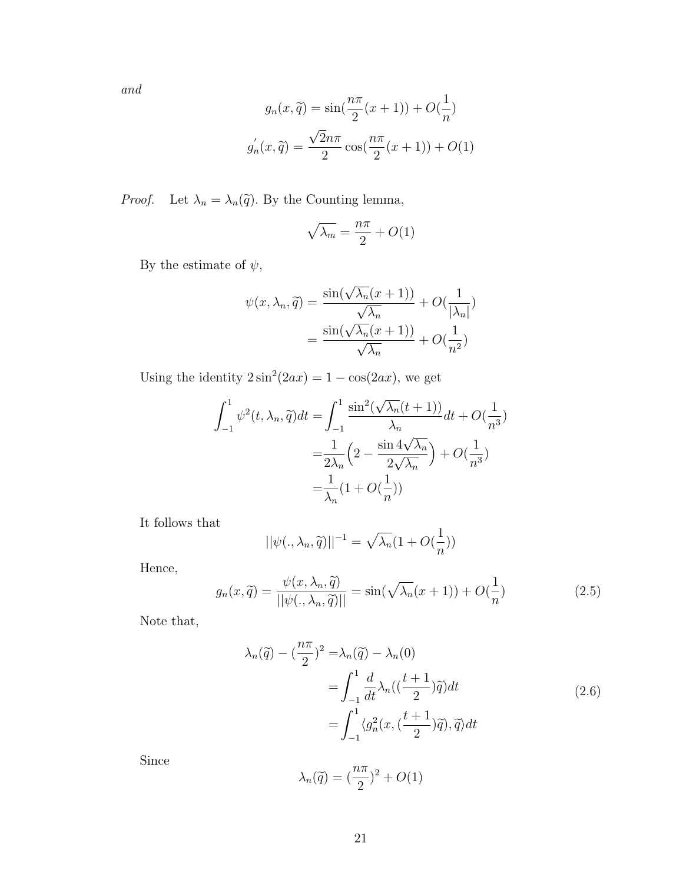and

$$
g_n(x, \tilde{q}) = \sin\left(\frac{n\pi}{2}(x+1)\right) + O\left(\frac{1}{n}\right)
$$

$$
g'_n(x, \tilde{q}) = \frac{\sqrt{2}n\pi}{2} \cos\left(\frac{n\pi}{2}(x+1)\right) + O(1)
$$

*Proof.* Let  $\lambda_n = \lambda_n(\tilde{q})$ . By the Counting lemma,

$$
\sqrt{\lambda_m} = \frac{n\pi}{2} + O(1)
$$

By the estimate of  $\psi,$ 

$$
\psi(x, \lambda_n, \widetilde{q}) = \frac{\sin(\sqrt{\lambda_n}(x+1))}{\sqrt{\lambda_n}} + O(\frac{1}{|\lambda_n|})
$$

$$
= \frac{\sin(\sqrt{\lambda_n}(x+1))}{\sqrt{\lambda_n}} + O(\frac{1}{n^2})
$$

Using the identity  $2\sin^2(2ax) = 1 - \cos(2ax)$ , we get

$$
\int_{-1}^{1} \psi^2(t, \lambda_n, \widetilde{q}) dt = \int_{-1}^{1} \frac{\sin^2(\sqrt{\lambda_n}(t+1))}{\lambda_n} dt + O(\frac{1}{n^3})
$$

$$
= \frac{1}{2\lambda_n} \left(2 - \frac{\sin 4\sqrt{\lambda_n}}{2\sqrt{\lambda_n}}\right) + O(\frac{1}{n^3})
$$

$$
= \frac{1}{\lambda_n} (1 + O(\frac{1}{n}))
$$

It follows that

$$
||\psi(.,\lambda_n,\widetilde{q})||^{-1} = \sqrt{\lambda_n}(1+O(\frac{1}{n}))
$$

Hence,

<span id="page-29-1"></span><span id="page-29-0"></span>
$$
g_n(x,\tilde{q}) = \frac{\psi(x,\lambda_n,\tilde{q})}{||\psi(.,\lambda_n,\tilde{q})||} = \sin(\sqrt{\lambda_n}(x+1)) + O(\frac{1}{n})
$$
\n(2.5)

Note that,

$$
\lambda_n(\tilde{q}) - \left(\frac{n\pi}{2}\right)^2 = \lambda_n(\tilde{q}) - \lambda_n(0)
$$
  
= 
$$
\int_{-1}^1 \frac{d}{dt} \lambda_n(\left(\frac{t+1}{2}\right)\tilde{q}) dt
$$
  
= 
$$
\int_{-1}^1 \langle g_n^2(x, \left(\frac{t+1}{2}\right)\tilde{q}), \tilde{q} \rangle dt
$$
 (2.6)

Since

$$
\lambda_n(\widetilde{q}) = (\frac{n\pi}{2})^2 + O(1)
$$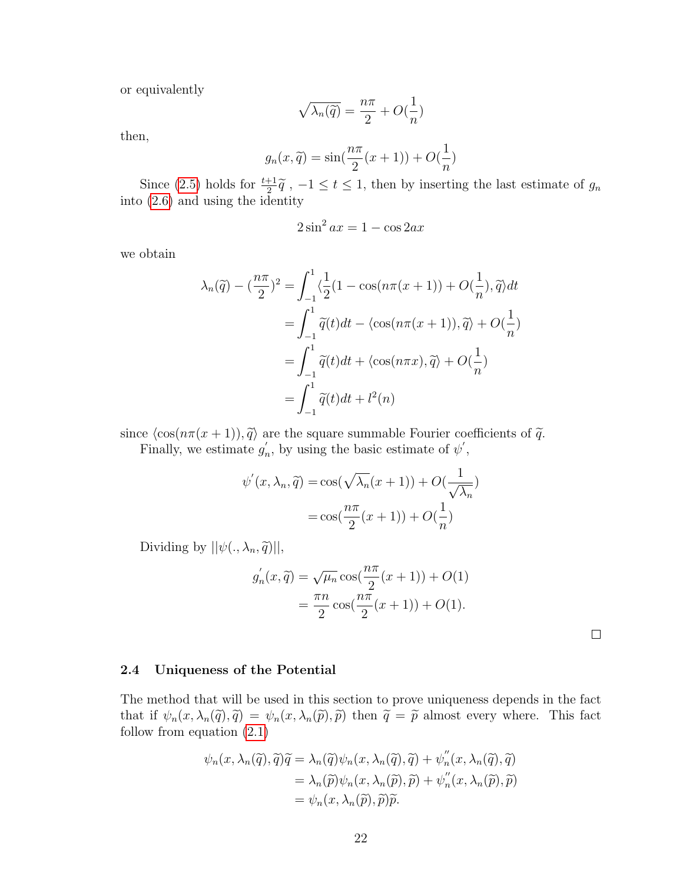or equivalently

$$
\sqrt{\lambda_n(\widetilde{q})} = \frac{n\pi}{2} + O(\frac{1}{n})
$$

then,

$$
g_n(x, \tilde{q}) = \sin(\frac{n\pi}{2}(x+1)) + O(\frac{1}{n})
$$

Since [\(2.5\)](#page-29-0) holds for  $\frac{t+1}{2}\tilde{q}$ ,  $-1 \le t \le 1$ , then by inserting the last estimate of  $g_n$ into [\(2.6\)](#page-29-1) and using the identity

$$
2\sin^2 ax = 1 - \cos 2ax
$$

we obtain

$$
\lambda_n(\widetilde{q}) - \left(\frac{n\pi}{2}\right)^2 = \int_{-1}^1 \left\langle \frac{1}{2} (1 - \cos(n\pi(x+1)) + O(\frac{1}{n}), \widetilde{q} \right\rangle dt
$$

$$
= \int_{-1}^1 \widetilde{q}(t) dt - \left\langle \cos(n\pi(x+1)), \widetilde{q} \right\rangle + O(\frac{1}{n})
$$

$$
= \int_{-1}^1 \widetilde{q}(t) dt + \left\langle \cos(n\pi x), \widetilde{q} \right\rangle + O(\frac{1}{n})
$$

$$
= \int_{-1}^1 \widetilde{q}(t) dt + l^2(n)
$$

since  $\langle \cos(n\pi(x + 1)), \tilde{q} \rangle$  are the square summable Fourier coefficients of  $\tilde{q}$ . Finally, we estimate  $g_i'$ 

 $n'_{n}$ , by using the basic estimate of  $\psi'$ ,

$$
\psi'(x, \lambda_n, \tilde{q}) = \cos(\sqrt{\lambda_n}(x+1)) + O(\frac{1}{\sqrt{\lambda_n}})
$$

$$
= \cos(\frac{n\pi}{2}(x+1)) + O(\frac{1}{n})
$$

Dividing by  $||\psi(., \lambda_n, \tilde{q})||$ ,

$$
g'_n(x, \tilde{q}) = \sqrt{\mu_n} \cos(\frac{n\pi}{2}(x+1)) + O(1) = \frac{\pi n}{2} \cos(\frac{n\pi}{2}(x+1)) + O(1).
$$

#### <span id="page-30-0"></span>2.4 Uniqueness of the Potential

The method that will be used in this section to prove uniqueness depends in the fact that if  $\psi_n(x, \lambda_n(\tilde{q}), \tilde{q}) = \psi_n(x, \lambda_n(\tilde{p}), \tilde{p})$  then  $\tilde{q} = \tilde{p}$  almost every where. This fact follow from equation [\(2.1\)](#page-21-2)

$$
\psi_n(x, \lambda_n(\tilde{q}), \tilde{q})\tilde{q} = \lambda_n(\tilde{q})\psi_n(x, \lambda_n(\tilde{q}), \tilde{q}) + \psi_n''(x, \lambda_n(\tilde{q}), \tilde{q})
$$
  

$$
= \lambda_n(\tilde{p})\psi_n(x, \lambda_n(\tilde{p}), \tilde{p}) + \psi_n''(x, \lambda_n(\tilde{p}), \tilde{p})
$$
  

$$
= \psi_n(x, \lambda_n(\tilde{p}), \tilde{p})\tilde{p}.
$$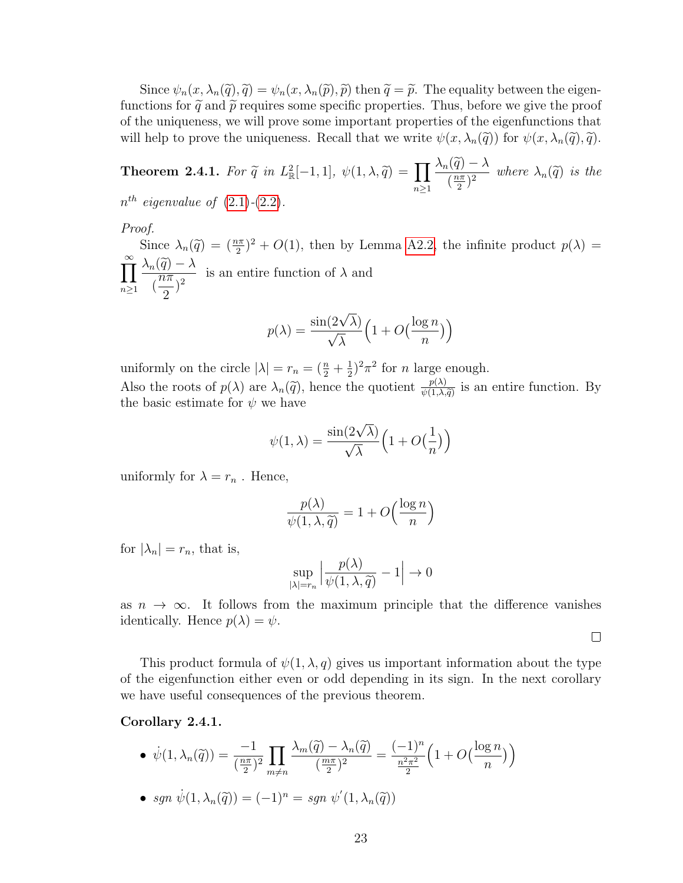Since  $\psi_n(x, \lambda_n(\tilde{q}), \tilde{q}) = \psi_n(x, \lambda_n(\tilde{p}), \tilde{p})$  then  $\tilde{q} = \tilde{p}$ . The equality between the eigenfunctions for  $\tilde{q}$  and  $\tilde{p}$  requires some specific properties. Thus, before we give the proof of the uniqueness, we will prove some important properties of the eigenfunctions that will help to prove the uniqueness. Recall that we write  $\psi(x, \lambda_n(\tilde{q}))$  for  $\psi(x, \lambda_n(\tilde{q}), \tilde{q})$ .

**Theorem 2.4.1.** For  $\tilde{q}$  in  $L^2_{\mathbb{R}}[-1,1], \psi(1,\lambda,\tilde{q}) = \prod_{n\geq 1}$  $\frac{\lambda_n(\widetilde{q})-\lambda}{(\frac{n\pi}{2})^2}$  $\frac{n}{(2n)^2}$  where  $\lambda_n(\tilde{q})$  is the  $n^{th}$  eigenvalue of  $(2.1)-(2.2)$  $(2.1)-(2.2)$  $(2.1)-(2.2)$ .

Proof.

Since  $\lambda_n(\tilde{q}) = \left(\frac{n\pi}{2}\right)^2 + O(1)$ , then by Lemma [A2.2,](#page-69-2) the infinite product  $p(\lambda) = \lambda_n(\tilde{q})$  $\sum_{i=1}^{\infty}$  $n\geq 1$  $\frac{\lambda_n(\widetilde{q}) - \lambda}{n\pi}$ (  $\frac{1}{n\pi}$ 2  $\frac{\lambda}{\lambda}$  is an entire function of  $\lambda$  and

$$
p(\lambda) = \frac{\sin(2\sqrt{\lambda})}{\sqrt{\lambda}} \left(1 + O\left(\frac{\log n}{n}\right)\right)
$$

uniformly on the circle  $|\lambda| = r_n = (\frac{n}{2} + \frac{1}{2})$  $(\frac{1}{2})^2 \pi^2$  for *n* large enough.

Also the roots of  $p(\lambda)$  are  $\lambda_n(\tilde{q})$ , hence the quotient  $\frac{p(\lambda)}{\psi(1,\lambda,\tilde{q})}$  is an entire function. By the basic estimate for  $\psi$  we have

$$
\psi(1,\lambda)=\frac{\sin(2\sqrt{\lambda})}{\sqrt{\lambda}}\Big(1+O\big(\frac{1}{n}\big)\Big)
$$

uniformly for  $\lambda = r_n$ . Hence,

$$
\frac{p(\lambda)}{\psi(1,\lambda,\widetilde{q})} = 1 + O\left(\frac{\log n}{n}\right)
$$

for  $|\lambda_n| = r_n$ , that is,

$$
\sup_{|\lambda|=r_n} \left| \frac{p(\lambda)}{\psi(1,\lambda,\widetilde{q})} - 1 \right| \to 0
$$

as  $n \to \infty$ . It follows from the maximum principle that the difference vanishes identically. Hence  $p(\lambda) = \psi$ .

 $\Box$ 

This product formula of  $\psi(1,\lambda,q)$  gives us important information about the type of the eigenfunction either even or odd depending in its sign. In the next corollary we have useful consequences of the previous theorem.

#### <span id="page-31-0"></span>Corollary 2.4.1.

$$
\bullet \ \dot{\psi}(1,\lambda_n(\widetilde{q})) = \frac{-1}{(\frac{n\pi}{2})^2} \prod_{m \neq n} \frac{\lambda_m(\widetilde{q}) - \lambda_n(\widetilde{q})}{(\frac{m\pi}{2})^2} = \frac{(-1)^n}{\frac{n^2\pi^2}{2}} \left(1 + O\left(\frac{\log n}{n}\right)\right)
$$

• sgn  $\dot{\psi}(1, \lambda_n(\tilde{q})) = (-1)^n = sgn \psi'(1, \lambda_n(\tilde{q}))$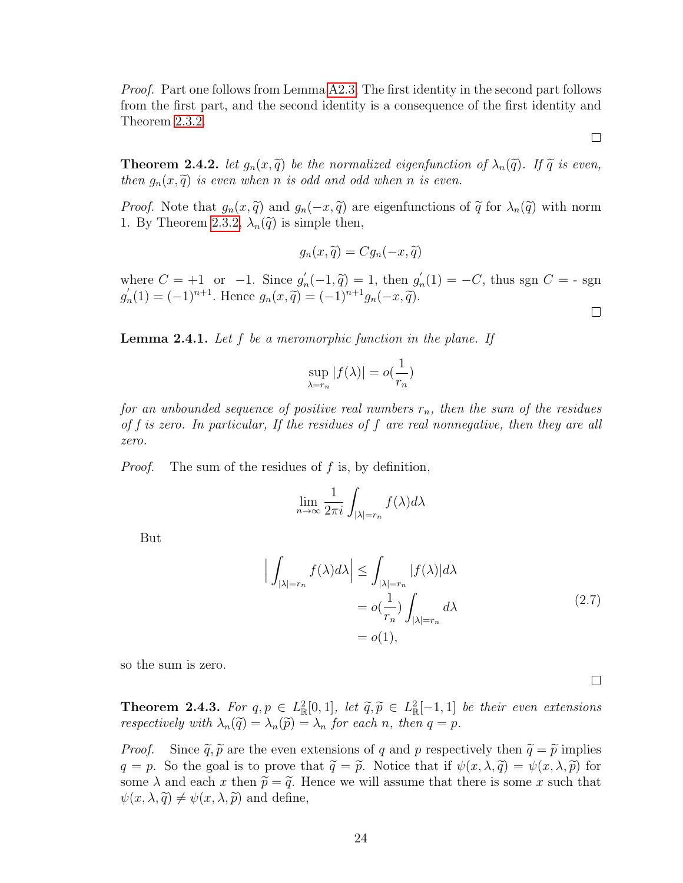*Proof.* Part one follows from Lemma [A2.3,](#page-70-0) The first identity in the second part follows from the first part, and the second identity is a consequence of the first identity and Theorem [2.3.2.](#page-27-0)

**Theorem 2.4.2.** let  $g_n(x, \tilde{q})$  be the normalized eigenfunction of  $\lambda_n(\tilde{q})$ . If  $\tilde{q}$  is even, then  $g_n(x, \tilde{q})$  is even when n is odd and odd when n is even.

*Proof.* Note that  $g_n(x, \tilde{q})$  and  $g_n(-x, \tilde{q})$  are eigenfunctions of  $\tilde{q}$  for  $\lambda_n(\tilde{q})$  with norm 1. By Theorem [2.3.2,](#page-27-0)  $\lambda_n(\tilde{q})$  is simple then,

$$
g_n(x,\widetilde{q}) = Cg_n(-x,\widetilde{q})
$$

where  $C = +1$  or  $-1$ . Since  $g'_r$  $n'_n(-1,\tilde{q}) = 1$ , then  $g'_n(-1,\tilde{q}) = (-1)^{n+1}g'_n(-1,\tilde{q})$  $n_n(1) = -C$ , thus sgn  $C = -$  sgn  $g'_{\rm\scriptscriptstyle 1}$  $n'_n(1) = (-1)^{n+1}$ . Hence  $g_n(x, \tilde{q}) = (-1)^{n+1} g_n(-x, \tilde{q})$ .  $\Box$ 

<span id="page-32-0"></span>**Lemma 2.4.1.** Let  $f$  be a meromorphic function in the plane. If

$$
\sup_{\lambda=r_n}|f(\lambda)|=o(\frac{1}{r_n})
$$

for an unbounded sequence of positive real numbers  $r_n$ , then the sum of the residues of f is zero. In particular, If the residues of f are real nonnegative, then they are all zero.

Proof. The sum of the residues of f is, by definition,

$$
\lim_{n \to \infty} \frac{1}{2\pi i} \int_{|\lambda| = r_n} f(\lambda) d\lambda
$$

But

$$
\left| \int_{|\lambda|=r_n} f(\lambda) d\lambda \right| \leq \int_{|\lambda|=r_n} |f(\lambda)| d\lambda
$$
  
=  $o(\frac{1}{r_n}) \int_{|\lambda|=r_n} d\lambda$  (2.7)  
=  $o(1)$ ,

so the sum is zero.

**Theorem 2.4.3.** For  $q, p \in L^2_{\mathbb{R}}[0,1]$ , let  $\widetilde{q}, \widetilde{p} \in L^2_{\mathbb{R}}[-1,1]$  be their even extensions reconcrimely with  $\lambda(\widetilde{\alpha}) = \lambda(\widetilde{\alpha}) = \lambda$  for each n, then  $q = n$ respectively with  $\lambda_n(\tilde{q}) = \lambda_n(\tilde{p}) = \lambda_n$  for each n, then  $q = p$ .

*Proof.* Since  $\tilde{q}, \tilde{p}$  are the even extensions of q and p respectively then  $\tilde{q} = \tilde{p}$  implies  $q = p$ . So the goal is to prove that  $\tilde{q} = \tilde{p}$ . Notice that if  $\psi(x, \lambda, \tilde{q}) = \psi(x, \lambda, \tilde{p})$  for some  $\lambda$  and each x then  $\tilde{p} = \tilde{q}$ . Hence we will assume that there is some x such that  $\psi(x, \lambda, \tilde{q}) \neq \psi(x, \lambda, \tilde{p})$  and define,

 $\Box$ 

 $\Box$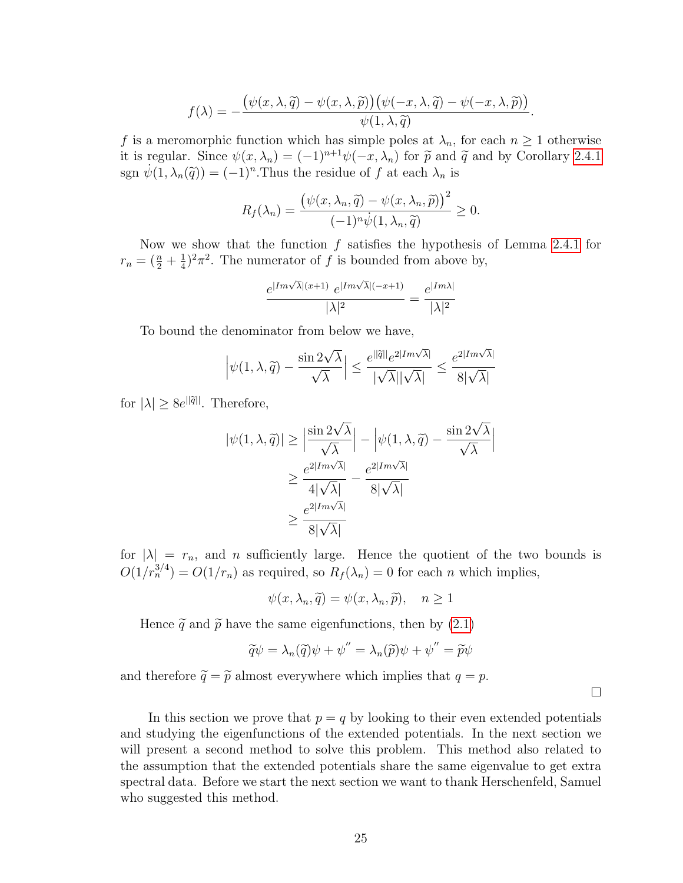$$
f(\lambda) = -\frac{\left(\psi(x,\lambda,\widetilde{q}) - \psi(x,\lambda,\widetilde{p})\right)\left(\psi(-x,\lambda,\widetilde{q}) - \psi(-x,\lambda,\widetilde{p})\right)}{\psi(1,\lambda,\widetilde{q})}.
$$

f is a meromorphic function which has simple poles at  $\lambda_n$ , for each  $n \geq 1$  otherwise it is regular. Since  $\psi(x, \lambda_n) = (-1)^{n+1} \psi(-x, \lambda_n)$  for  $\tilde{p}$  and  $\tilde{q}$  and by Corollary [2.4.1](#page-31-0) sgn  $\dot{\psi}(1, \lambda_n(\tilde{q})) = (-1)^n$ . Thus the residue of f at each  $\lambda_n$  is

$$
R_f(\lambda_n) = \frac{\left(\psi(x, \lambda_n, \widetilde{q}) - \psi(x, \lambda_n, \widetilde{p})\right)^2}{(-1)^n \dot{\psi}(1, \lambda_n, \widetilde{q})} \ge 0.
$$

Now we show that the function  $f$  satisfies the hypothesis of Lemma [2.4.1](#page-32-0) for  $r_n = (\frac{n}{2} + \frac{1}{4})$  $\frac{1}{4}$ )<sup>2</sup> $\pi$ <sup>2</sup>. The numerator of f is bounded from above by,

$$
\frac{e^{|Im \sqrt{\lambda}|(x+1)} e^{|Im \sqrt{\lambda}|(-x+1)}}{|\lambda|^2} = \frac{e^{|Im \lambda|}}{|\lambda|^2}
$$

To bound the denominator from below we have,

$$
\left|\psi(1,\lambda,\widetilde{q})-\frac{\sin 2\sqrt{\lambda}}{\sqrt{\lambda}}\right|\leq \frac{e^{||\widetilde{q}||}e^{2|Im\sqrt{\lambda}|}}{|\sqrt{\lambda}||\sqrt{\lambda}|}\leq \frac{e^{2|Im\sqrt{\lambda}|}}{8|\sqrt{\lambda}|}
$$

for  $|\lambda| \geq 8e^{||\tilde{q}||}$ . Therefore,

$$
|\psi(1,\lambda,\widetilde{q})| \ge \left| \frac{\sin 2\sqrt{\lambda}}{\sqrt{\lambda}} \right| - \left| \psi(1,\lambda,\widetilde{q}) - \frac{\sin 2\sqrt{\lambda}}{\sqrt{\lambda}} \right|
$$
  

$$
\ge \frac{e^{2|Im\sqrt{\lambda}|}}{4|\sqrt{\lambda}|} - \frac{e^{2|Im\sqrt{\lambda}|}}{8|\sqrt{\lambda}|}
$$
  

$$
\ge \frac{e^{2|Im\sqrt{\lambda}|}}{8|\sqrt{\lambda}|}
$$

for  $|\lambda| = r_n$ , and n sufficiently large. Hence the quotient of the two bounds is  $O(1/r_n^{3/4}) = O(1/r_n)$  as required, so  $R_f(\lambda_n) = 0$  for each n which implies,

$$
\psi(x, \lambda_n, \tilde{q}) = \psi(x, \lambda_n, \tilde{p}), \quad n \ge 1
$$

Hence  $\tilde{q}$  and  $\tilde{p}$  have the same eigenfunctions, then by [\(2.1\)](#page-21-2)

$$
\widetilde{q}\psi = \lambda_n(\widetilde{q})\psi + \psi'' = \lambda_n(\widetilde{p})\psi + \psi'' = \widetilde{p}\psi
$$

 $\Box$ 

and therefore  $\widetilde{q} = \widetilde{p}$  almost everywhere which implies that  $q = p$ .

In this section we prove that  $p = q$  by looking to their even extended potentials and studying the eigenfunctions of the extended potentials. In the next section we will present a second method to solve this problem. This method also related to the assumption that the extended potentials share the same eigenvalue to get extra spectral data. Before we start the next section we want to thank Herschenfeld, Samuel who suggested this method.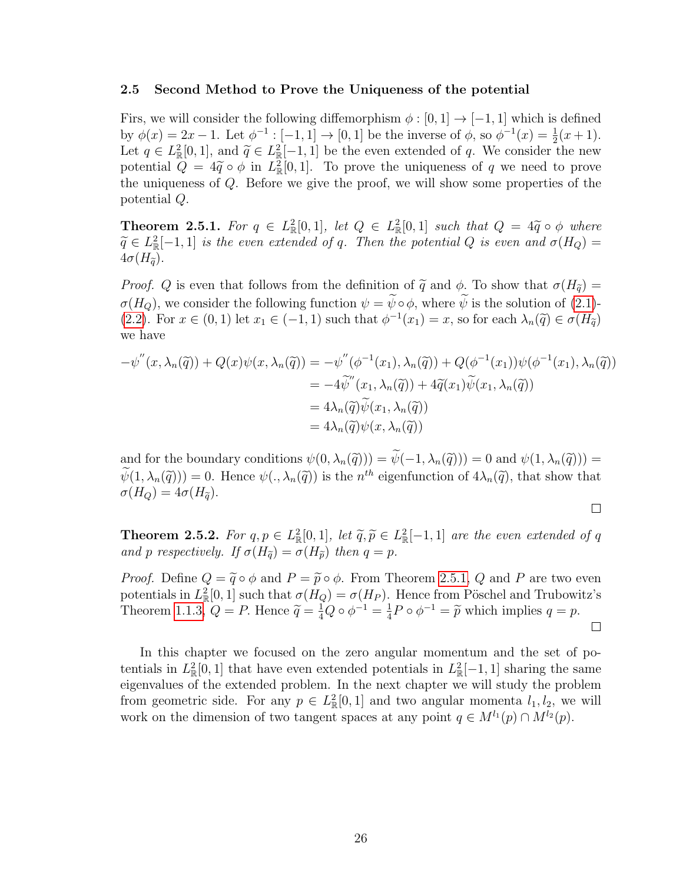#### <span id="page-34-0"></span>2.5 Second Method to Prove the Uniqueness of the potential

Firs, we will consider the following diffemorphism  $\phi : [0, 1] \rightarrow [-1, 1]$  which is defined by  $\phi(x) = 2x - 1$ . Let  $\phi^{-1} : [-1, 1] \to [0, 1]$  be the inverse of  $\phi$ , so  $\phi^{-1}(x) = \frac{1}{2}(x + 1)$ . Let  $q \in L^2_{\mathbb{R}}[0,1]$ , and  $\widetilde{q} \in L^2_{\mathbb{R}}[-1,1]$  be the even extended of q. We consider the new potential  $Q = 4\tilde{q} \circ \phi$  in  $L^2_{\mathbb{R}}[0,1]$ . To prove the uniqueness of q we need to prove<br>the uniqueness of  $Q$ . Before we give the proof, we will show some properties of the the uniqueness of Q. Before we give the proof, we will show some properties of the potential Q.

<span id="page-34-1"></span>**Theorem 2.5.1.** For  $q \in L^2_{\mathbb{R}}[0,1]$ , let  $Q \in L^2_{\mathbb{R}}[0,1]$  such that  $Q = 4\tilde{q} \circ \phi$  where  $\tilde{q} \in L^2_{\mathbb{R}}[1,1]$  is the geven extended of a. Then the potential  $Q$  is even and  $\sigma(H_+)$  $\widetilde{q} \in L^2_{\mathbb{R}}[-1,1]$  is the even extended of q. Then the potential Q is even and  $\sigma(H_Q) =$  $4\sigma(H_{\widetilde{\sigma}}).$ 

*Proof.* Q is even that follows from the definition of  $\tilde{q}$  and  $\phi$ . To show that  $\sigma(H_{\tilde{q}})$  =  $\sigma(H_Q)$ , we consider the following function  $\psi = \widetilde{\psi} \circ \phi$ , where  $\widetilde{\psi}$  is the solution of [\(2.1\)](#page-21-2)-[\(2.2\)](#page-22-0). For  $x \in (0,1)$  let  $x_1 \in (-1,1)$  such that  $\phi^{-1}(x_1) = x$ , so for each  $\lambda_n(\tilde{q}) \in \sigma(H_{\tilde{q}})$ we have

$$
-\psi''(x,\lambda_n(\tilde{q})) + Q(x)\psi(x,\lambda_n(\tilde{q})) = -\psi''(\phi^{-1}(x_1),\lambda_n(\tilde{q})) + Q(\phi^{-1}(x_1))\psi(\phi^{-1}(x_1),\lambda_n(\tilde{q}))
$$
  

$$
= -4\tilde{\psi}''(x_1,\lambda_n(\tilde{q})) + 4\tilde{q}(x_1)\tilde{\psi}(x_1,\lambda_n(\tilde{q}))
$$
  

$$
= 4\lambda_n(\tilde{q})\tilde{\psi}(x_1,\lambda_n(\tilde{q}))
$$
  

$$
= 4\lambda_n(\tilde{q})\psi(x,\lambda_n(\tilde{q}))
$$

and for the boundary conditions  $\psi(0, \lambda_n(\tilde{q})) = \tilde{\psi}(-1, \lambda_n(\tilde{q})) = 0$  and  $\psi(1, \lambda_n(\tilde{q})) =$  $\psi(1, \lambda_n(\tilde{q})) = 0$ . Hence  $\psi(., \lambda_n(\tilde{q}))$  is the  $n^{th}$  eigenfunction of  $4\lambda_n(\tilde{q})$ , that show that  $\sigma(H_1) = 4\sigma(H_2)$  $\sigma(H_Q) = 4\sigma(H_{\tilde{q}}).$ 

$$
\Box
$$

**Theorem 2.5.2.** For  $q, p \in L^2_{\mathbb{R}}[0,1]$ , let  $\widetilde{q}, \widetilde{p} \in L^2_{\mathbb{R}}[-1,1]$  are the even extended of q and p respectively. If  $\sigma(H_2) = \sigma(H_2)$  then  $q = n$ . and p respectively. If  $\sigma(H_{\tilde{g}}) = \sigma(H_{\tilde{p}})$  then  $q = p$ .

*Proof.* Define  $Q = \tilde{q} \circ \phi$  and  $P = \tilde{p} \circ \phi$ . From Theorem [2.5.1,](#page-34-1) Q and P are two even potentials in  $L^2_{\mathbb{R}}[0,1]$  such that  $\sigma(H_Q) = \sigma(H_P)$ . Hence from Pöschel and Trubowitz's Theorem [1.1.3,](#page-11-2)  $Q = P$ . Hence  $\tilde{q} = \frac{1}{4}Q \circ \phi^{-1} = \frac{1}{4}$  $\frac{1}{4}P \circ \phi^{-1} = \tilde{p}$  which implies  $q = p$ .  $\Box$ 

In this chapter we focused on the zero angular momentum and the set of potentials in  $L^2_{\mathbb{R}}[0,1]$  that have even extended potentials in  $L^2_{\mathbb{R}}[-1,1]$  sharing the same eigenvalues of the extended problem. In the next chapter we will study the problem from geometric side. For any  $p \in L^2_{\mathbb{R}}[0,1]$  and two angular momenta  $l_1, l_2$ , we will work on the dimension of two tangent spaces at any point  $q \in M^{l_1}(p) \cap M^{l_2}(p)$ .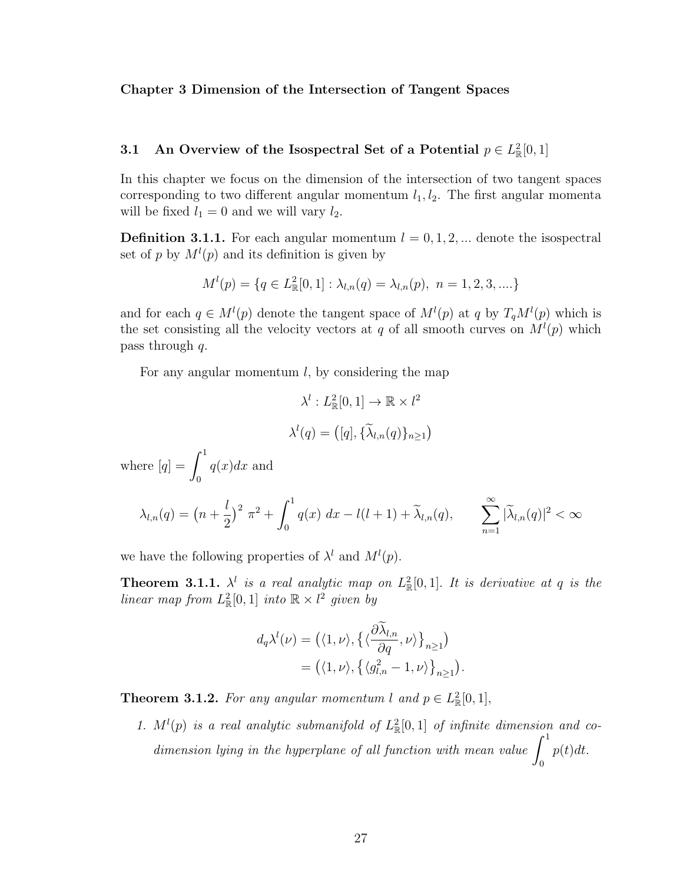#### <span id="page-35-0"></span>Chapter 3 Dimension of the Intersection of Tangent Spaces

## <span id="page-35-1"></span>3.1 An Overview of the Isospectral Set of a Potential  $p \in L^2_{\mathbb{R}}[0,1]$

In this chapter we focus on the dimension of the intersection of two tangent spaces corresponding to two different angular momentum  $l_1, l_2$ . The first angular momenta will be fixed  $l_1 = 0$  and we will vary  $l_2$ .

**Definition 3.1.1.** For each angular momentum  $l = 0, 1, 2, ...$  denote the isospectral set of p by  $M^{(p)}(p)$  and its definition is given by

$$
M^{l}(p) = \{q \in L^{2}_{\mathbb{R}}[0,1]: \lambda_{l,n}(q) = \lambda_{l,n}(p), n = 1,2,3,....\}
$$

and for each  $q \in M^{l}(p)$  denote the tangent space of  $M^{l}(p)$  at q by  $T_qM^{l}(p)$  which is the set consisting all the velocity vectors at q of all smooth curves on  $M^{(p)}$  which pass through q.

For any angular momentum  $l$ , by considering the map

$$
\lambda^{l}: L_{\mathbb{R}}^{2}[0,1] \to \mathbb{R} \times l^{2}
$$

$$
\lambda^{l}(q) = ([q], \{\widetilde{\lambda}_{l,n}(q)\}_{n \ge 1})
$$
  
where  $[q] = \int_{0}^{1} q(x)dx$  and 
$$
\lambda_{l,n}(q) = (n + \frac{l}{2})^{2} \pi^{2} + \int_{0}^{1} q(x) dx - l(l+1) + \widetilde{\lambda}_{l,n}(q), \qquad \sum_{n=1}^{\infty} |\widetilde{\lambda}_{l,n}(q)|^{2} < \infty
$$

we have the following properties of  $\lambda^l$  and  $M^l(p)$ .

**Theorem 3.1.1.**  $\lambda^l$  is a real analytic map on  $L^2_{\mathbb{R}}[0,1]$ . It is derivative at q is the linear map from  $L^2_{\mathbb{R}}[0,1]$  into  $\mathbb{R} \times l^2$  given by

$$
d_q \lambda^l(\nu) = \left( \langle 1, \nu \rangle, \left\{ \langle \frac{\partial \lambda_{l,n}}{\partial q}, \nu \rangle \right\}_{n \ge 1} \right)
$$
  
= 
$$
\left( \langle 1, \nu \rangle, \left\{ \langle g_{l,n}^2 - 1, \nu \rangle \right\}_{n \ge 1} \right).
$$

**Theorem 3.1.2.** For any angular momentum l and  $p \in L^2_{\mathbb{R}}[0,1],$ 

1.  $M^l(p)$  is a real analytic submanifold of  $L^2_{\mathbb{R}}[0,1]$  of infinite dimension and codimension lying in the hyperplane of all function with mean value  $\int_1^1$ 0  $p(t)dt$ .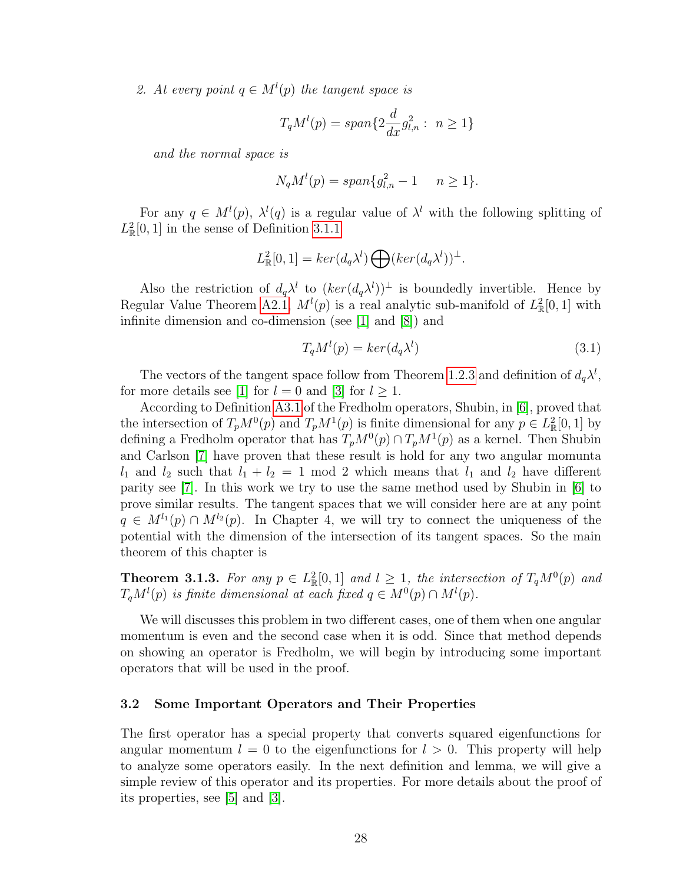2. At every point  $q \in M^{l}(p)$  the tangent space is

$$
T_qM^l(p) = span\{2\frac{d}{dx}g_{l,n}^2: n \ge 1\}
$$

and the normal space is

$$
N_q M^l(p) = span\{g_{l,n}^2 - 1 \quad n \ge 1\}.
$$

For any  $q \in M^{l}(p)$ ,  $\lambda^{l}(q)$  is a regular value of  $\lambda^{l}$  with the following splitting of  $L^2_{\mathbb{R}}[0,1]$  in the sense of Definition [3.1.1](#page-35-0)

$$
L^2_{\mathbb{R}}[0,1] = \ker(d_q\lambda^l) \bigoplus (\ker(d_q\lambda^l))^{\perp}.
$$

Also the restriction of  $d_q\lambda^l$  to  $(ker(d_q\lambda^l))^{\perp}$  is boundedly invertible. Hence by Regular Value Theorem [A2.1,](#page-71-0)  $M^{(p)}$  is a real analytic sub-manifold of  $L^2_{\mathbb{R}}[0,1]$  with infinite dimension and co-dimension (see [\[1\]](#page-77-0) and [\[8\]](#page-77-1)) and

<span id="page-36-0"></span>
$$
T_q M^l(p) = \ker(d_q \lambda^l)
$$
\n(3.1)

The vectors of the tangent space follow from Theorem [1.2.3](#page-16-0) and definition of  $d_q\lambda^l$ , for more details see [\[1\]](#page-77-0) for  $l = 0$  and [\[3\]](#page-77-2) for  $l \ge 1$ .

According to Definition [A3.1](#page-72-0) of the Fredholm operators, Shubin, in [\[6\]](#page-77-3), proved that the intersection of  $T_pM^0(p)$  and  $T_pM^1(p)$  is finite dimensional for any  $p \in L^2_{\mathbb{R}}[0,1]$  by defining a Fredholm operator that has  $T_pM^0(p) \cap T_pM^1(p)$  as a kernel. Then Shubin and Carlson [\[7\]](#page-77-4) have proven that these result is hold for any two angular momunta  $l_1$  and  $l_2$  such that  $l_1 + l_2 = 1$  mod 2 which means that  $l_1$  and  $l_2$  have different parity see [\[7\]](#page-77-4). In this work we try to use the same method used by Shubin in [\[6\]](#page-77-3) to prove similar results. The tangent spaces that we will consider here are at any point  $q \in M^{l_1}(p) \cap M^{l_2}(p)$ . In Chapter 4, we will try to connect the uniqueness of the potential with the dimension of the intersection of its tangent spaces. So the main theorem of this chapter is

<span id="page-36-1"></span>**Theorem 3.1.3.** For any  $p \in L^2_{\mathbb{R}}[0,1]$  and  $l \geq 1$ , the intersection of  $T_qM^0(p)$  and  $T_qM^l(p)$  is finite dimensional at each fixed  $q \in M^0(p) \cap M^l(p)$ .

We will discusses this problem in two different cases, one of them when one angular momentum is even and the second case when it is odd. Since that method depends on showing an operator is Fredholm, we will begin by introducing some important operators that will be used in the proof.

#### 3.2 Some Important Operators and Their Properties

The first operator has a special property that converts squared eigenfunctions for angular momentum  $l = 0$  to the eigenfunctions for  $l > 0$ . This property will help to analyze some operators easily. In the next definition and lemma, we will give a simple review of this operator and its properties. For more details about the proof of its properties, see [\[5\]](#page-77-5) and [\[3\]](#page-77-2).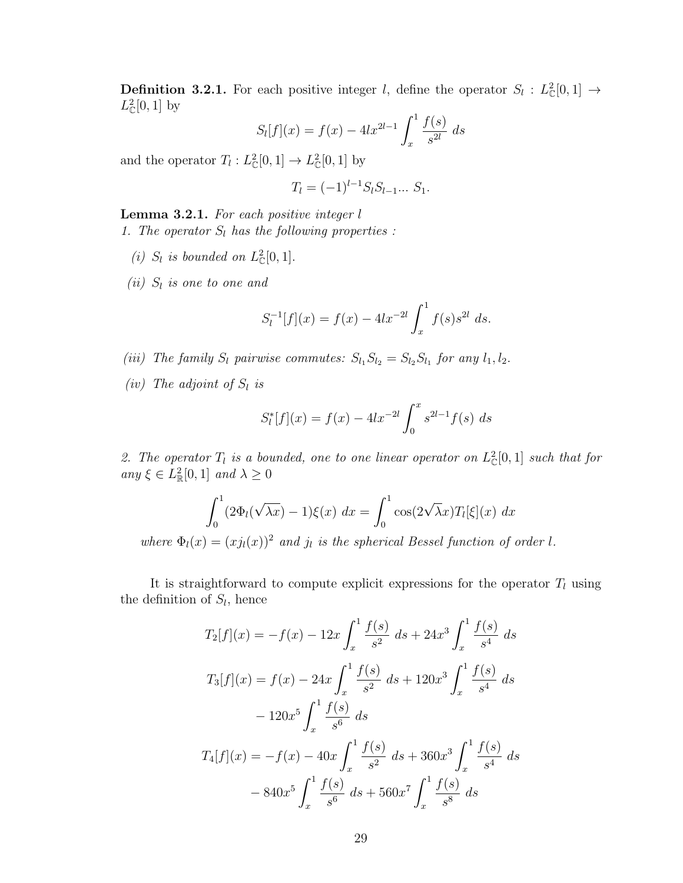<span id="page-37-0"></span>**Definition 3.2.1.** For each positive integer l, define the operator  $S_l : L^2_{\mathbb{C}}[0,1] \to$  $L^2_{\mathbb{C}}[0,1]$  by

$$
S_l[f](x) = f(x) - 4lx^{2l-1} \int_x^1 \frac{f(s)}{s^{2l}} ds
$$

and the operator  $T_l: L^2_{\mathbb{C}}[0,1] \to L^2_{\mathbb{C}}[0,1]$  by

$$
T_l = (-1)^{l-1} S_l S_{l-1} \dots S_1.
$$

<span id="page-37-1"></span>Lemma 3.2.1. For each positive integer l 1. The operator  $S_l$  has the following properties :

- (i)  $S_l$  is bounded on  $L^2_{\mathbb{C}}[0,1]$ .
- $(ii)$  S<sub>i</sub> is one to one and

$$
S_l^{-1}[f](x) = f(x) - 4lx^{-2l} \int_x^1 f(s)s^{2l} ds.
$$

- (iii) The family  $S_l$  pairwise commutes:  $S_{l_1}S_{l_2} = S_{l_2}S_{l_1}$  for any  $l_1, l_2$ .
- (iv) The adjoint of  $S_l$  is

$$
S_l^*[f](x) = f(x) - 4lx^{-2l} \int_0^x s^{2l-1} f(s) \ ds
$$

2. The operator  $T_l$  is a bounded, one to one linear operator on  $L^2_{\mathbb{C}}[0,1]$  such that for any  $\xi \in L^2_{\mathbb{R}}[0,1]$  and  $\lambda \geq 0$ 

$$
\int_0^1 (2\Phi_l(\sqrt{\lambda x}) - 1)\xi(x) dx = \int_0^1 \cos(2\sqrt{\lambda x}) T_l[\xi](x) dx
$$
  
is  $(x) = (xi(x))^2$  and *i*, *is the principal Pascal function of*

where  $\Phi_l(x) = (x j_l(x))^2$  and  $j_l$  is the spherical Bessel function of order l.

It is straightforward to compute explicit expressions for the operator  $T_l$  using the definition of  $S_l$ , hence

$$
T_2[f](x) = -f(x) - 12x \int_x^1 \frac{f(s)}{s^2} ds + 24x^3 \int_x^1 \frac{f(s)}{s^4} ds
$$
  

$$
T_3[f](x) = f(x) - 24x \int_x^1 \frac{f(s)}{s^2} ds + 120x^3 \int_x^1 \frac{f(s)}{s^4} ds
$$
  

$$
- 120x^5 \int_x^1 \frac{f(s)}{s^6} ds
$$
  

$$
T_4[f](x) = -f(x) - 40x \int_x^1 \frac{f(s)}{s^2} ds + 360x^3 \int_x^1 \frac{f(s)}{s^4} ds
$$
  

$$
- 840x^5 \int_x^1 \frac{f(s)}{s^6} ds + 560x^7 \int_x^1 \frac{f(s)}{s^8} ds
$$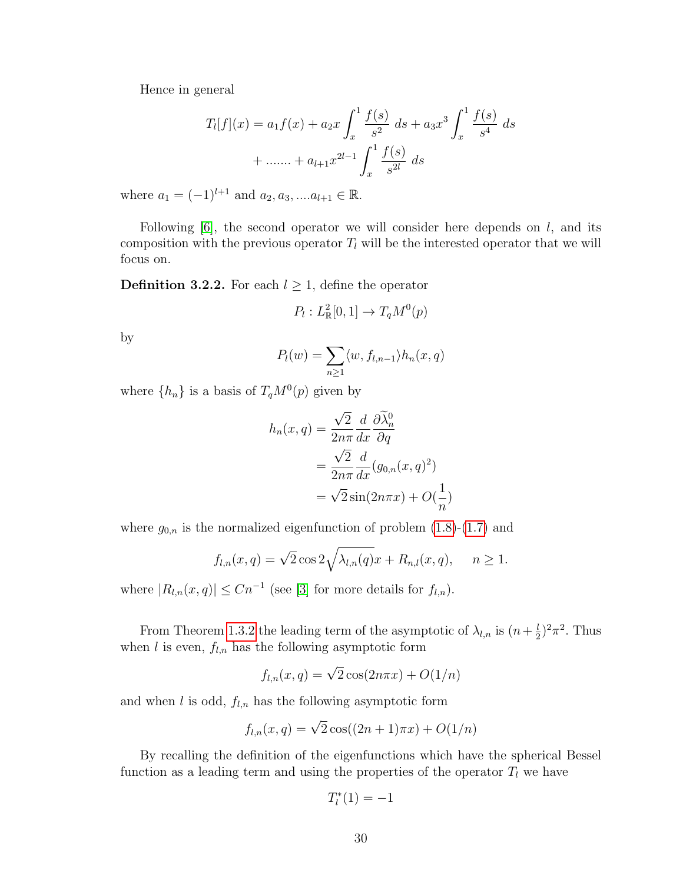Hence in general

$$
T_l[f](x) = a_1 f(x) + a_2 x \int_x^1 \frac{f(s)}{s^2} ds + a_3 x^3 \int_x^1 \frac{f(s)}{s^4} ds
$$
  
+ ....... +  $a_{l+1} x^{2l-1} \int_x^1 \frac{f(s)}{s^{2l}} ds$ 

where  $a_1 = (-1)^{l+1}$  and  $a_2, a_3, \dots a_{l+1} \in \mathbb{R}$ .

Following  $[6]$ , the second operator we will consider here depends on  $l$ , and its composition with the previous operator  $T_l$  will be the interested operator that we will focus on.

<span id="page-38-0"></span>**Definition 3.2.2.** For each  $l \geq 1$ , define the operator

$$
P_l: L^2_{\mathbb{R}}[0,1] \to T_q M^0(p)
$$

by

$$
P_l(w) = \sum_{n\geq 1} \langle w, f_{l,n-1} \rangle h_n(x,q)
$$

where  $\{h_n\}$  is a basis of  $T_qM^0(p)$  given by

$$
h_n(x,q) = \frac{\sqrt{2}}{2n\pi} \frac{d}{dx} \frac{\partial \widetilde{\lambda}_n^0}{\partial q}
$$
  
= 
$$
\frac{\sqrt{2}}{2n\pi} \frac{d}{dx} (g_{0,n}(x,q)^2)
$$
  
= 
$$
\sqrt{2} \sin(2n\pi x) + O(\frac{1}{n})
$$

where  $g_{0,n}$  is the normalized eigenfunction of problem  $(1.8)-(1.7)$  $(1.8)-(1.7)$  and

$$
f_{l,n}(x,q) = \sqrt{2}\cos 2\sqrt{\lambda_{l,n}(q)}x + R_{n,l}(x,q), \quad n \ge 1.
$$

where  $|R_{l,n}(x, q)| \leq Cn^{-1}$  (see [\[3\]](#page-77-2) for more details for  $f_{l,n}$ ).

From Theorem [1.3.2](#page-19-0) the leading term of the asymptotic of  $\lambda_{l,n}$  is  $(n+\frac{l}{2})$  $(\frac{l}{2})^2 \pi^2$ . Thus when  $l$  is even,  $f_{l,n}$  has the following asymptotic form

$$
f_{l,n}(x,q) = \sqrt{2}\cos(2n\pi x) + O(1/n)
$$

and when  $l$  is odd,  $f_{l,n}$  has the following asymptotic form

$$
f_{l,n}(x,q) = \sqrt{2}\cos((2n+1)\pi x) + O(1/n)
$$

By recalling the definition of the eigenfunctions which have the spherical Bessel function as a leading term and using the properties of the operator  $T_l$  we have

$$
T_l^*(1) = -1
$$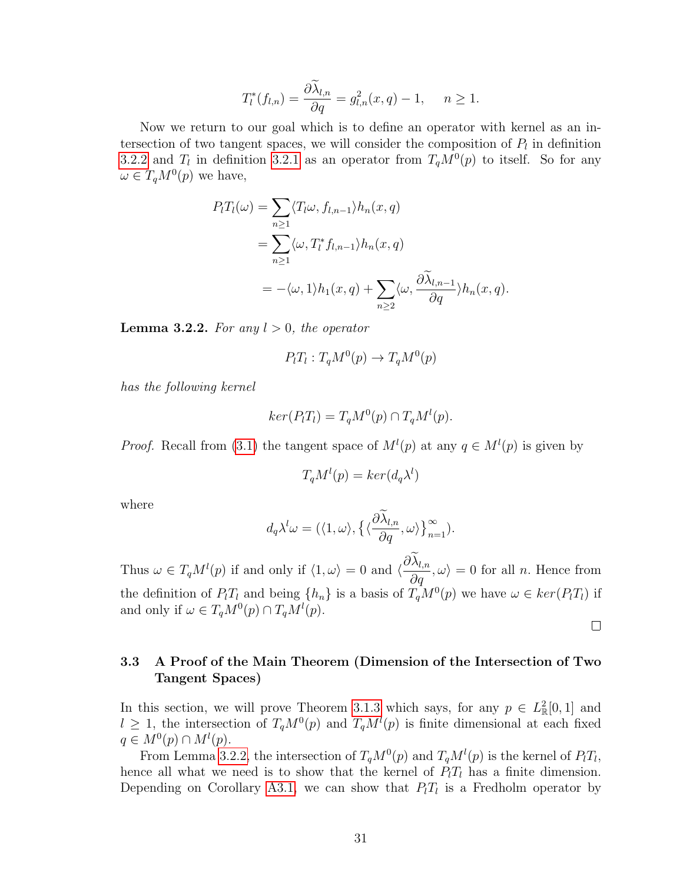$$
T_l^*(f_{l,n}) = \frac{\partial \tilde{\lambda}_{l,n}}{\partial q} = g_{l,n}^2(x,q) - 1, \quad n \ge 1.
$$

Now we return to our goal which is to define an operator with kernel as an intersection of two tangent spaces, we will consider the composition of  $P_l$  in definition [3.2.2](#page-38-0) and  $T_l$  in definition [3.2.1](#page-37-0) as an operator from  $T_qM^0(p)$  to itself. So for any  $\omega \in T_q M^0(p)$  we have,

$$
P_l T_l(\omega) = \sum_{n \ge 1} \langle T_l \omega, f_{l,n-1} \rangle h_n(x, q)
$$
  
= 
$$
\sum_{n \ge 1} \langle \omega, T_l^* f_{l,n-1} \rangle h_n(x, q)
$$
  
= 
$$
-\langle \omega, 1 \rangle h_1(x, q) + \sum_{n \ge 2} \langle \omega, \frac{\partial \widetilde{\lambda}_{l,n-1}}{\partial q} \rangle h_n(x, q).
$$

<span id="page-39-0"></span>**Lemma 3.2.2.** For any  $l > 0$ , the operator

$$
P_l T_l : T_q M^0(p) \to T_q M^0(p)
$$

has the following kernel

$$
ker(P_lT_l) = T_qM^0(p) \cap T_qM^l(p).
$$

*Proof.* Recall from [\(3.1\)](#page-36-0) the tangent space of  $M^l(p)$  at any  $q \in M^l(p)$  is given by

$$
T_q M^l(p) = \ker(d_q \lambda^l)
$$

where

$$
d_q\lambda^l\omega = (\langle 1, \omega \rangle, \{\langle \frac{\partial \lambda_{l,n}}{\partial q}, \omega \rangle\}_{n=1}^{\infty}).
$$

Thus  $\omega \in T_qM^l(p)$  if and only if  $\langle 1, \omega \rangle = 0$  and  $\langle \frac{\partial \lambda_{l,n}}{\partial q}, \omega \rangle = 0$  for all n. Hence from the definition of  $P_lT_l$  and being  $\{h_n\}$  is a basis of  $T_qM^0(p)$  we have  $\omega \in \ker(P_lT_l)$  if and only if  $\omega \in T_q M^0(p) \cap T_q M^l(p)$ .

 $\Box$ 

## 3.3 A Proof of the Main Theorem (Dimension of the Intersection of Two Tangent Spaces)

In this section, we will prove Theorem [3.1.3](#page-36-1) which says, for any  $p \in L^2_{\mathbb{R}}[0,1]$  and  $l \geq 1$ , the intersection of  $T_qM^0(p)$  and  $T_qM^l(p)$  is finite dimensional at each fixed  $q \in M^0(p) \cap M^l(p).$ 

From Lemma [3.2.2,](#page-39-0) the intersection of  $T_qM^0(p)$  and  $T_qM^l(p)$  is the kernel of  $P_lT_l$ , hence all what we need is to show that the kernel of  $P_lT_l$  has a finite dimension. Depending on Corollary [A3.1,](#page-73-0) we can show that  $P_lT_l$  is a Fredholm operator by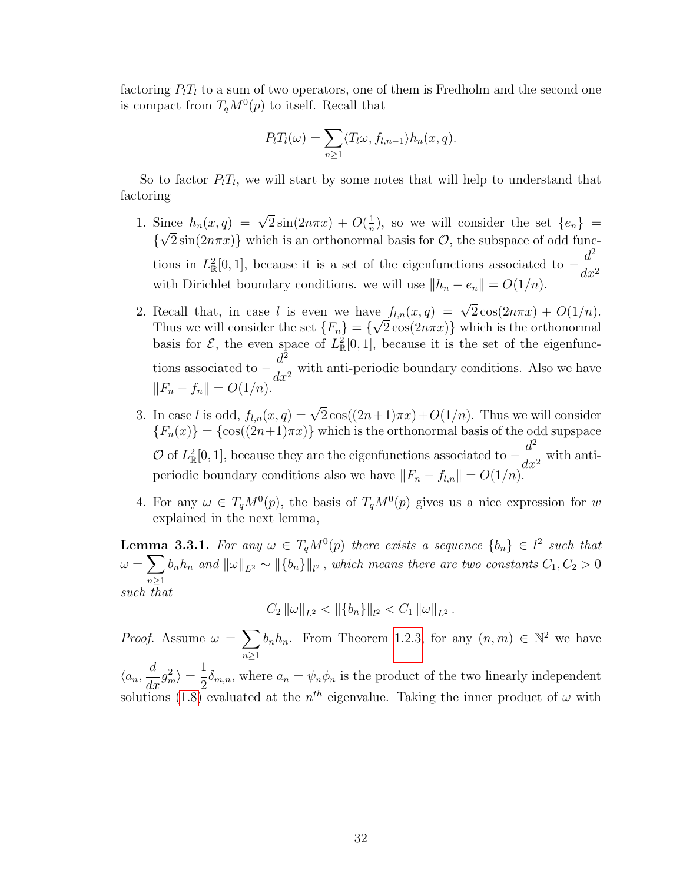factoring  $P_1T_1$  to a sum of two operators, one of them is Fredholm and the second one is compact from  $T_qM^0(p)$  to itself. Recall that

$$
P_l T_l(\omega) = \sum_{n \ge 1} \langle T_l \omega, f_{l,n-1} \rangle h_n(x,q).
$$

So to factor  $P_lT_l$ , we will start by some notes that will help to understand that factoring

- 1. Since  $h_n(x,q) = \sqrt{2}\sin(2n\pi x) + O(\frac{1}{n})$ ince  $h_n(x,q) = \sqrt{2} \sin(2n\pi x) + O(\frac{1}{n})$ , so we will consider the set  $\{e_n\}$  $\{\sqrt{2}\sin(2n\pi x)\}\$  which is an orthonormal basis for  $\mathcal{O}$ , the subspace of odd functions in  $L^2_{\mathbb{R}}[0,1]$ , because it is a set of the eigenfunctions associated to  $-\frac{d^2}{dt^2}$  $dx^2$ with Dirichlet boundary conditions. we will use  $||h_n - e_n|| = O(1/n)$ .
- 2. Recall that, in case l is even we have  $f_{l,n}(x,q) = \sqrt{2} \cos(2n\pi x) + O(1/n)$ . Thus we will consider the set  $\{F_n\} = \{\sqrt{2}\cos(2n\pi x)\}\$  which is the orthonormal basis for  $\mathcal{E}$ , the even space of  $L^2_{\mathbb{R}}[0,1]$ , because it is the set of the eigenfunctions associated to  $-\frac{d^2}{dt^2}$  $\frac{d}{dx^2}$  with anti-periodic boundary conditions. Also we have  $||F_n - f_n|| = O(1/n).$
- 3. In case l is odd,  $f_{l,n}(x,q) = \sqrt{2}\cos((2n+1)\pi x) + O(1/n)$ . Thus we will consider  ${F_n(x)} = {\cos((2n+1)\pi x)}$  which is the orthonormal basis of the odd supspace  $\mathcal{O}$  of  $L^2_{\mathbb{R}}[0,1]$ , because they are the eigenfunctions associated to  $-\frac{d^2}{dt^2}$  $\frac{d}{dx^2}$  with antiperiodic boundary conditions also we have  $||F_n - f_{l,n}|| = O(1/n)$ .
- 4. For any  $\omega \in T_qM^0(p)$ , the basis of  $T_qM^0(p)$  gives us a nice expression for w explained in the next lemma,

<span id="page-40-0"></span>**Lemma 3.3.1.** For any  $\omega \in T_qM^0(p)$  there exists a sequence  $\{b_n\} \in l^2$  such that  $\omega = \sum$  $n\geq 1$  $b_n h_n$  and  $\|\omega\|_{L^2} \sim \|\{b_n\}\|_{l^2}$  , which means there are two constants  $C_1, C_2 > 0$ such that

$$
C_2 \|\omega\|_{L^2} < \|\{b_n\}\|_{l^2} < C_1 \|\omega\|_{L^2}.
$$

*Proof.* Assume  $\omega = \sum$  $n\geq 1$  $b_n h_n$ . From Theorem [1.2.3,](#page-16-0) for any  $(n, m) \in \mathbb{N}^2$  we have  $\langle a_n, \frac{d}{\lambda} \rangle$  $\frac{d}{dx}g_m^2\rangle = \frac{1}{2}$  $\frac{1}{2}\delta_{m,n}$ , where  $a_n = \psi_n \phi_n$  is the product of the two linearly independent solutions [\(1.8\)](#page-14-0) evaluated at the  $n^{th}$  eigenvalue. Taking the inner product of  $\omega$  with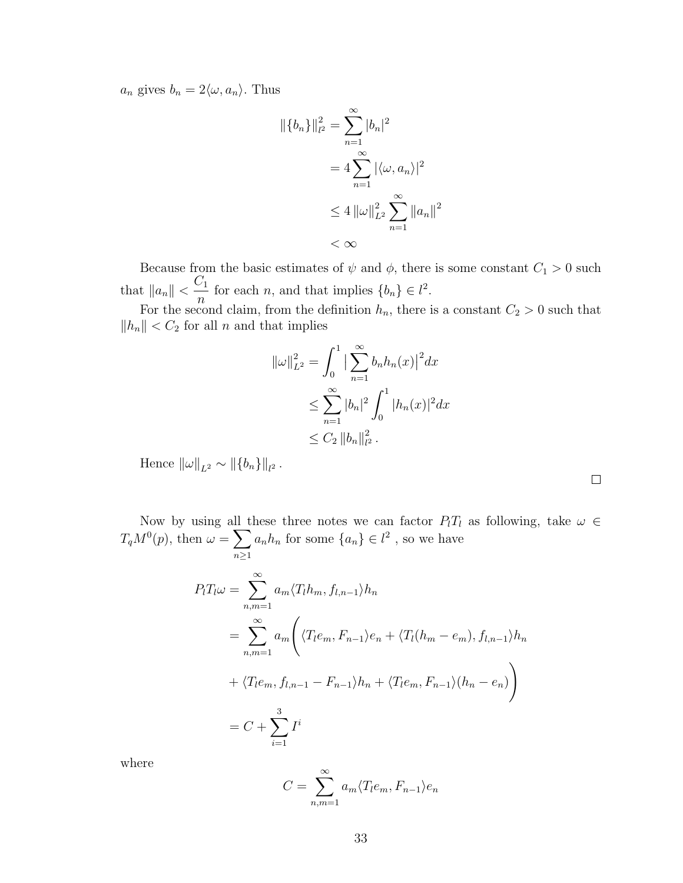$a_n$  gives  $b_n = 2\langle \omega, a_n \rangle$ . Thus

$$
\|\{b_n\}\|_{l^2}^2 = \sum_{n=1}^{\infty} |b_n|^2
$$
  
=  $4 \sum_{n=1}^{\infty} |\langle \omega, a_n \rangle|^2$   
 $\leq 4 \|\omega\|_{L^2}^2 \sum_{n=1}^{\infty} \|a_n\|^2$   
 $< \infty$ 

Because from the basic estimates of  $\psi$  and  $\phi$ , there is some constant  $C_1 > 0$  such that  $||a_n|| < \frac{C_1}{\sigma}$  $\frac{\partial}{\partial n}$  for each *n*, and that implies  $\{b_n\} \in l^2$ .

For the second claim, from the definition  $h_n$ , there is a constant  $C_2 > 0$  such that  $||h_n|| < C_2$  for all n and that implies

$$
\|\omega\|_{L^2}^2 = \int_0^1 \left|\sum_{n=1}^\infty b_n h_n(x)\right|^2 dx
$$
  
\n
$$
\leq \sum_{n=1}^\infty |b_n|^2 \int_0^1 |h_n(x)|^2 dx
$$
  
\n
$$
\leq C_2 \|b_n\|_{L^2}^2.
$$

Hence  $\|\omega\|_{L^2} \sim \|\{b_n\}\|_{l^2}$ .

Now by using all these three notes we can factor  $P_lT_l$  as following, take  $\omega \in$  $T_qM^0(p)$ , then  $\omega = \sum$  $n \geq 1$  $a_n h_n$  for some  $\{a_n\} \in l^2$ , so we have

 $\Box$ 

$$
P_{l}T_{l}\omega = \sum_{n,m=1}^{\infty} a_{m} \langle T_{l}h_{m}, f_{l,n-1} \rangle h_{n}
$$
  
= 
$$
\sum_{n,m=1}^{\infty} a_{m} \Biggl( \langle T_{l}e_{m}, F_{n-1} \rangle e_{n} + \langle T_{l}(h_{m} - e_{m}), f_{l,n-1} \rangle h_{n} + \langle T_{l}e_{m}, f_{l,n-1} - F_{n-1} \rangle h_{n} + \langle T_{l}e_{m}, F_{n-1} \rangle (h_{n} - e_{n}) \Biggr)
$$
  
= 
$$
C + \sum_{i=1}^{3} I^{i}
$$

where

$$
C = \sum_{n,m=1}^{\infty} a_m \langle T_l e_m, F_{n-1} \rangle e_n
$$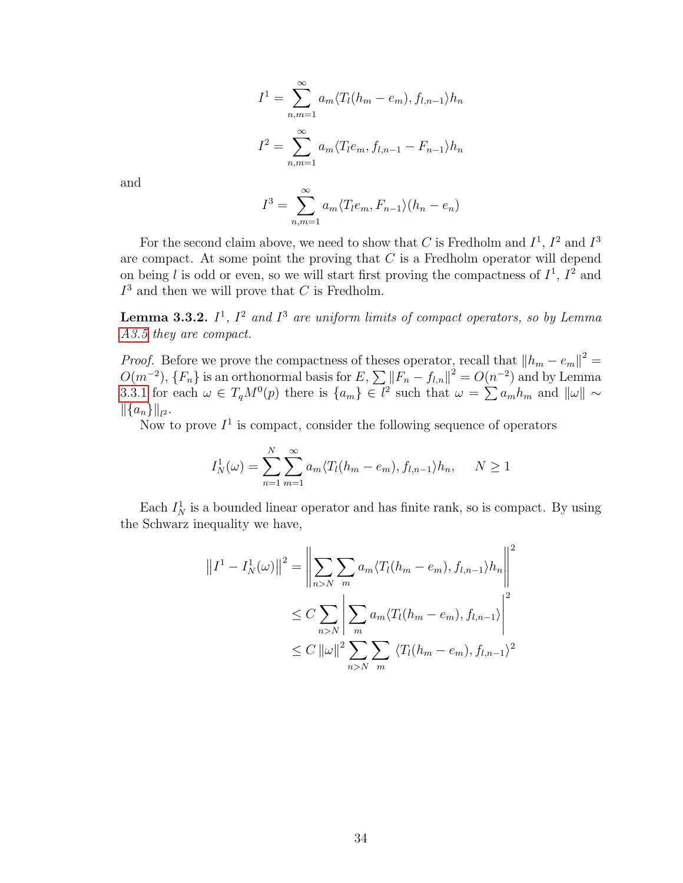$$
I^{1} = \sum_{n,m=1}^{\infty} a_{m} \langle T_{l}(h_{m} - e_{m}), f_{l,n-1} \rangle h_{n}
$$

$$
I^{2} = \sum_{n,m=1}^{\infty} a_{m} \langle T_{l}e_{m}, f_{l,n-1} - F_{n-1} \rangle h_{n}
$$

$$
\infty
$$

and

$$
I^{3} = \sum_{n,m=1}^{\infty} a_{m} \langle T_{l}e_{m}, F_{n-1} \rangle (h_{n} - e_{n})
$$

For the second claim above, we need to show that C is Fredholm and  $I^1$ ,  $I^2$  and  $I^3$ are compact. At some point the proving that  $C$  is a Fredholm operator will depend on being l is odd or even, so we will start first proving the compactness of  $I^1$ ,  $I^2$  and  $I<sup>3</sup>$  and then we will prove that C is Fredholm.

**Lemma 3.3.2.**  $I^1$ ,  $I^2$  and  $I^3$  are uniform limits of compact operators, so by Lemma [A3.5](#page-73-1) they are compact.

*Proof.* Before we prove the compactness of theses operator, recall that  $||h_m - e_m||^2 =$  $O(m^{-2}), \{F_n\}$  is an orthonormal basis for  $E, \sum ||F_n - f_{l,n}||^2 = O(n^{-2})$  and by Lemma [3.3.1](#page-40-0) for each  $\omega \in T_qM^0(p)$  there is  $\{a_m\} \in l^2$  such that  $\omega = \sum a_m h_m$  and  $\|\omega\| \sim$  $\left\|\{a_n\}\right\|_{l^2}.$ 

Now to prove  $I^1$  is compact, consider the following sequence of operators

$$
I_N^1(\omega) = \sum_{n=1}^N \sum_{m=1}^\infty a_m \langle T_l(h_m - e_m), f_{l,n-1} \rangle h_n, \quad N \ge 1
$$

Each  $I_N^1$  is a bounded linear operator and has finite rank, so is compact. By using the Schwarz inequality we have,

$$
||I^{1} - I_{N}^{1}(\omega)||^{2} = \left\| \sum_{n>N} \sum_{m} a_{m} \langle T_{l}(h_{m} - e_{m}), f_{l,n-1} \rangle h_{n} \right\|^{2}
$$
  

$$
\leq C \sum_{n>N} \left| \sum_{m} a_{m} \langle T_{l}(h_{m} - e_{m}), f_{l,n-1} \rangle \right|^{2}
$$
  

$$
\leq C ||\omega||^{2} \sum_{n>N} \sum_{m} \langle T_{l}(h_{m} - e_{m}), f_{l,n-1} \rangle^{2}
$$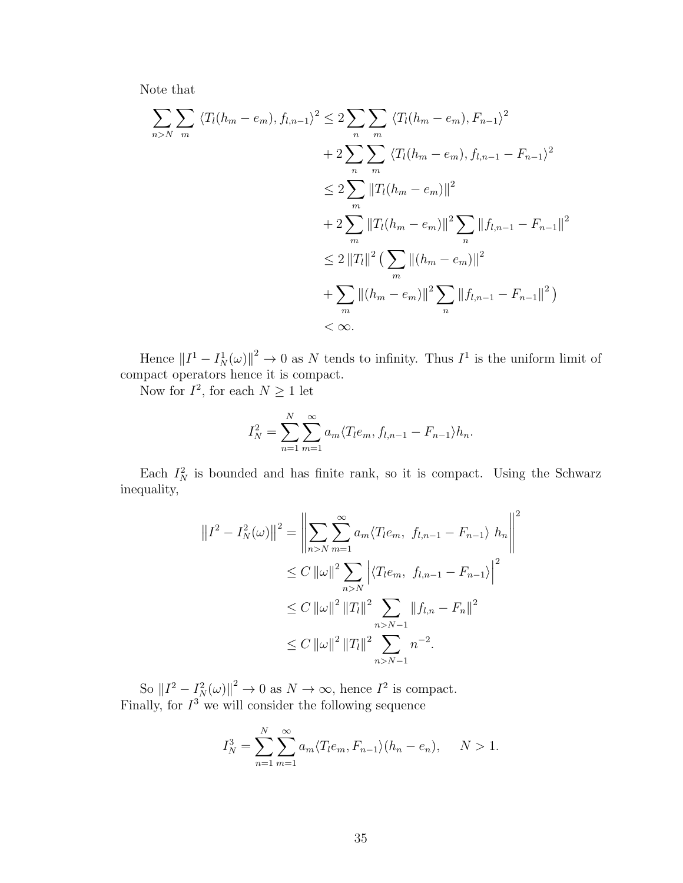Note that

$$
\sum_{n>N} \sum_{m} \langle T_l(h_m - e_m), f_{l,n-1} \rangle^2 \le 2 \sum_{n} \sum_{m} \langle T_l(h_m - e_m), F_{n-1} \rangle^2
$$
  
+ 
$$
2 \sum_{n} \sum_{m} \langle T_l(h_m - e_m), f_{l,n-1} - F_{n-1} \rangle^2
$$
  

$$
\le 2 \sum_{m} ||T_l(h_m - e_m)||^2
$$
  
+ 
$$
2 \sum_{m} ||T_l(h_m - e_m)||^2 \sum_{n} ||f_{l,n-1} - F_{n-1}||^2
$$
  

$$
\le 2 ||T_l||^2 \left( \sum_{m} ||(h_m - e_m)||^2 \right)
$$
  
+ 
$$
\sum_{m} ||(h_m - e_m)||^2 \sum_{n} ||f_{l,n-1} - F_{n-1}||^2
$$
  

$$
< \infty.
$$

Hence  $||I^1 - I_N^1(\omega)||^2 \to 0$  as N tends to infinity. Thus  $I^1$  is the uniform limit of compact operators hence it is compact.

Now for  $I^2$ , for each  $N \geq 1$  let

$$
I_N^2 = \sum_{n=1}^N \sum_{m=1}^\infty a_m \langle T_l e_m, f_{l,n-1} - F_{n-1} \rangle h_n.
$$

Each  $I_N^2$  is bounded and has finite rank, so it is compact. Using the Schwarz inequality,

$$
||I^{2} - I_{N}^{2}(\omega)||^{2} = \left\| \sum_{n>N} \sum_{m=1}^{\infty} a_{m} \langle T_{l}e_{m}, f_{l,n-1} - F_{n-1} \rangle h_{n} \right\|^{2}
$$
  
\n
$$
\leq C ||\omega||^{2} \sum_{n>N} \left| \langle T_{l}e_{m}, f_{l,n-1} - F_{n-1} \rangle \right|^{2}
$$
  
\n
$$
\leq C ||\omega||^{2} ||T_{l}||^{2} \sum_{n>N-1} ||f_{l,n} - F_{n}||^{2}
$$
  
\n
$$
\leq C ||\omega||^{2} ||T_{l}||^{2} \sum_{n>N-1} n^{-2}.
$$

So  $||I^2 - I_N^2(\omega)||^2 \to 0$  as  $N \to \infty$ , hence  $I^2$  is compact. Finally, for  $I^3$  we will consider the following sequence

$$
I_N^3 = \sum_{n=1}^N \sum_{m=1}^\infty a_m \langle T_l e_m, F_{n-1} \rangle (h_n - e_n), \quad N > 1.
$$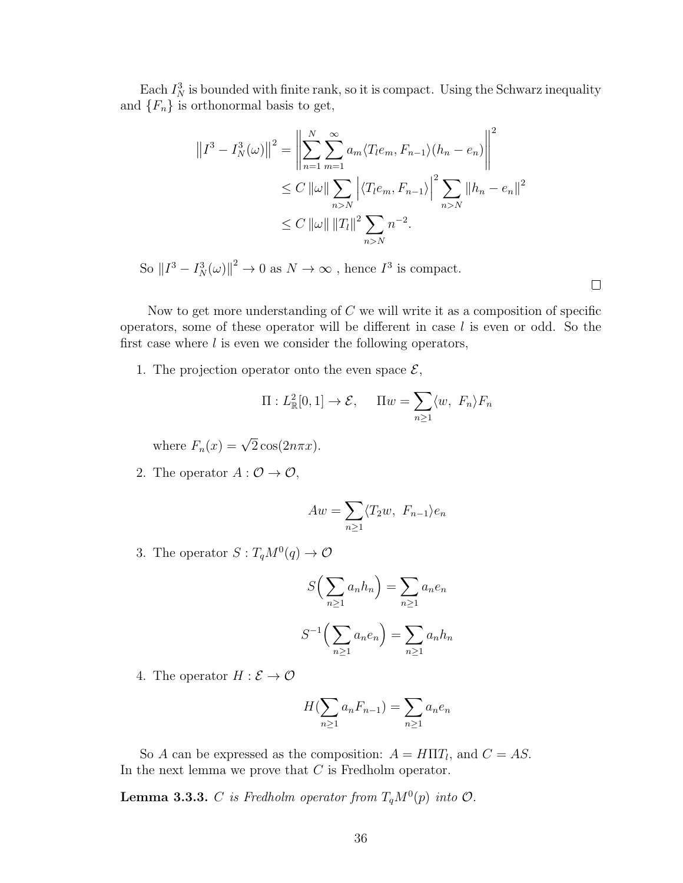Each  $I_N^3$  is bounded with finite rank, so it is compact. Using the Schwarz inequality and  $\{F_n\}$  is orthonormal basis to get,

$$
||I^3 - I_N^3(\omega)||^2 = \left\| \sum_{n=1}^N \sum_{m=1}^\infty a_m \langle T_l e_m, F_{n-1} \rangle (h_n - e_n) \right\|^2
$$
  
\n
$$
\leq C ||\omega|| \sum_{n>N} |\langle T_l e_m, F_{n-1} \rangle|^2 \sum_{n>N} ||h_n - e_n||^2
$$
  
\n
$$
\leq C ||\omega|| ||T_l||^2 \sum_{n>N} n^{-2}.
$$

So  $||I^3 - I_N^3(\omega)||^2 \to 0$  as  $N \to \infty$ , hence  $I^3$  is compact.

 $\Box$ 

Now to get more understanding of  $C$  we will write it as a composition of specific operators, some of these operator will be different in case  $l$  is even or odd. So the first case where  $l$  is even we consider the following operators,

1. The projection operator onto the even space  $\mathcal{E},$ 

$$
\Pi: L^2_{\mathbb{R}}[0,1] \to \mathcal{E}, \quad \Pi w = \sum_{n \ge 1} \langle w, F_n \rangle F_n
$$

where  $F_n(x) = \sqrt{2} \cos(2n\pi x)$ .

2. The operator  $A: \mathcal{O} \to \mathcal{O}$ ,

$$
Aw = \sum_{n\geq 1} \langle T_2w, F_{n-1} \rangle e_n
$$

3. The operator  $S: T_qM^0(q) \to \mathcal{O}$ 

$$
S\left(\sum_{n\geq 1} a_n h_n\right) = \sum_{n\geq 1} a_n e_n
$$

$$
S^{-1}\left(\sum_{n\geq 1} a_n e_n\right) = \sum_{n\geq 1} a_n h_n
$$

4. The operator  $H : \mathcal{E} \to \mathcal{O}$ 

$$
H(\sum_{n\geq 1} a_n F_{n-1}) = \sum_{n\geq 1} a_n e_n
$$

So A can be expressed as the composition:  $A = H\Pi T_l$ , and  $C = AS$ . In the next lemma we prove that  $C$  is Fredholm operator.

**Lemma 3.3.3.** C is Fredholm operator from  $T_qM^0(p)$  into  $\mathcal{O}$ .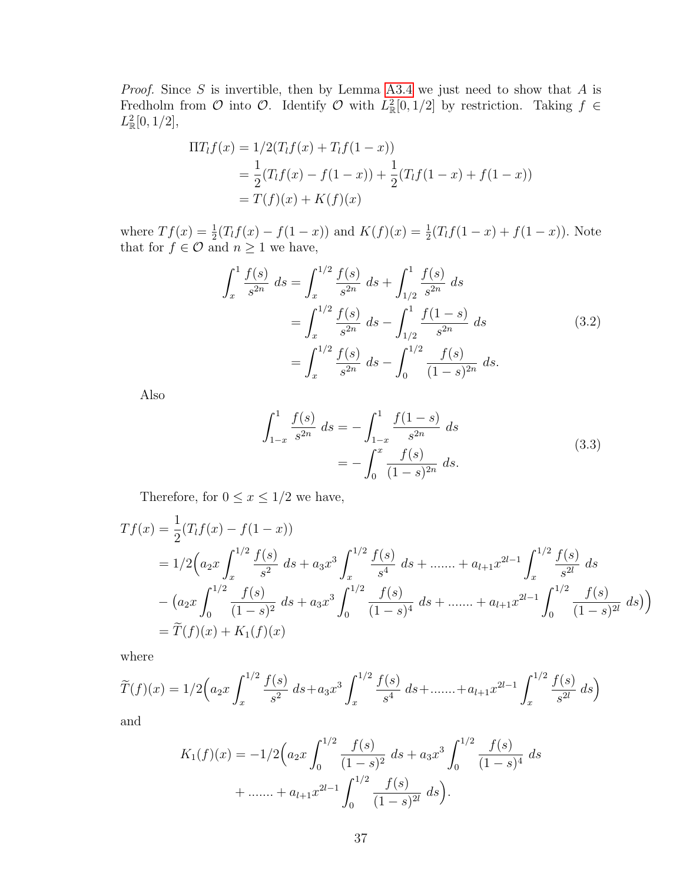*Proof.* Since  $S$  is invertible, then by Lemma [A3.4](#page-73-2) we just need to show that  $A$  is Fredholm from O into O. Identify O with  $L^2_{\mathbb{R}}[0,1/2]$  by restriction. Taking  $f \in$  $L^2_{\mathbb{R}}[0,1/2],$ 

$$
\Pi T_{l}f(x) = 1/2(T_{l}f(x) + T_{l}f(1 - x))
$$
  
=  $\frac{1}{2}(T_{l}f(x) - f(1 - x)) + \frac{1}{2}(T_{l}f(1 - x) + f(1 - x))$   
=  $T(f)(x) + K(f)(x)$ 

where  $Tf(x) = \frac{1}{2}(T_lf(x) - f(1-x))$  and  $K(f)(x) = \frac{1}{2}(T_lf(1-x) + f(1-x))$ . Note that for  $f \in \mathcal{O}$  and  $n \geq 1$  we have,

<span id="page-45-0"></span>
$$
\int_{x}^{1} \frac{f(s)}{s^{2n}} ds = \int_{x}^{1/2} \frac{f(s)}{s^{2n}} ds + \int_{1/2}^{1} \frac{f(s)}{s^{2n}} ds
$$

$$
= \int_{x}^{1/2} \frac{f(s)}{s^{2n}} ds - \int_{1/2}^{1} \frac{f(1-s)}{s^{2n}} ds
$$

$$
= \int_{x}^{1/2} \frac{f(s)}{s^{2n}} ds - \int_{0}^{1/2} \frac{f(s)}{(1-s)^{2n}} ds.
$$
(3.2)

<span id="page-45-1"></span>Also

$$
\int_{1-x}^{1} \frac{f(s)}{s^{2n}} ds = -\int_{1-x}^{1} \frac{f(1-s)}{s^{2n}} ds
$$
  
= 
$$
-\int_{0}^{x} \frac{f(s)}{(1-s)^{2n}} ds.
$$
 (3.3)

Therefore, for  $0\leq x\leq 1/2$  we have,

$$
Tf(x) = \frac{1}{2}(T_l f(x) - f(1 - x))
$$
  
=  $1/2 \left(a_2 x \int_x^{1/2} \frac{f(s)}{s^2} ds + a_3 x^3 \int_x^{1/2} \frac{f(s)}{s^4} ds + \dots + a_{l+1} x^{2l-1} \int_x^{1/2} \frac{f(s)}{s^{2l}} ds$   
 $- \left(a_2 x \int_0^{1/2} \frac{f(s)}{(1-s)^2} ds + a_3 x^3 \int_0^{1/2} \frac{f(s)}{(1-s)^4} ds + \dots + a_{l+1} x^{2l-1} \int_0^{1/2} \frac{f(s)}{(1-s)^{2l}} ds \right)$   
=  $\widetilde{T}(f)(x) + K_1(f)(x)$ 

where

$$
\widetilde{T}(f)(x) = 1/2 \left( a_2 x \int_x^{1/2} \frac{f(s)}{s^2} ds + a_3 x^3 \int_x^{1/2} \frac{f(s)}{s^4} ds + \dots + a_{l+1} x^{2l-1} \int_x^{1/2} \frac{f(s)}{s^{2l}} ds \right)
$$

and

$$
K_1(f)(x) = -1/2 \left( a_2 x \int_0^{1/2} \frac{f(s)}{(1-s)^2} ds + a_3 x^3 \int_0^{1/2} \frac{f(s)}{(1-s)^4} ds + \dots + a_{l+1} x^{2l-1} \int_0^{1/2} \frac{f(s)}{(1-s)^{2l}} ds \right).
$$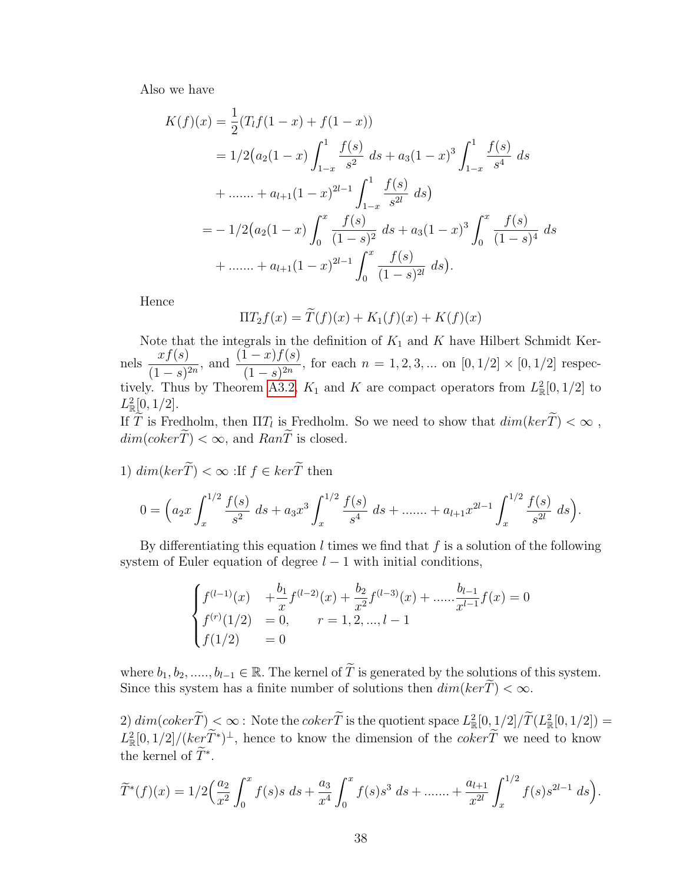Also we have

$$
K(f)(x) = \frac{1}{2}(T_l f(1-x) + f(1-x))
$$
  
=  $1/2(a_2(1-x)\int_{1-x}^1 \frac{f(s)}{s^2} ds + a_3(1-x)^3 \int_{1-x}^1 \frac{f(s)}{s^4} ds$   
+  $\dots \dots + a_{l+1}(1-x)^{2l-1} \int_{1-x}^1 \frac{f(s)}{s^{2l}} ds$ )  
=  $-1/2(a_2(1-x)\int_0^x \frac{f(s)}{(1-s)^2} ds + a_3(1-x)^3 \int_0^x \frac{f(s)}{(1-s)^4} ds$   
+  $\dots \dots + a_{l+1}(1-x)^{2l-1} \int_0^x \frac{f(s)}{(1-s)^{2l}} ds$ ).

Hence

$$
\Pi T_2 f(x) = \widetilde{T}(f)(x) + K_1(f)(x) + K(f)(x)
$$

Note that the integrals in the definition of  $K_1$  and K have Hilbert Schmidt Kernels  $\frac{xf(s)}{f(s)}$  $\frac{xf(s)}{(1-s)^{2n}},$  and  $\frac{(1-x)f(s)}{(1-s)^{2n}}$  $\frac{(1-x)^{j} (0)}{(1-s)^{2n}}$ , for each  $n = 1, 2, 3, ...$  on  $[0, 1/2] \times [0, 1/2]$  respec-tively. Thus by Theorem [A3.2,](#page-74-0)  $K_1$  and K are compact operators from  $L^2_{\mathbb{R}}[0,1/2]$  to  $L^2_{\mathbb{R}}[0,1/2].$ 

If T is Fredholm, then  $\Pi T_l$  is Fredholm. So we need to show that  $dim(kerT) < \infty$ ,  $dim(coker \widetilde{T}) < \infty$ , and  $Ran \widetilde{T}$  is closed.

1)  $\dim(\ker \widetilde{T}) < \infty$  : If  $f \in \ker \widetilde{T}$  then

$$
0 = \left(a_2 x \int_x^{1/2} \frac{f(s)}{s^2} ds + a_3 x^3 \int_x^{1/2} \frac{f(s)}{s^4} ds + \dots + a_{l+1} x^{2l-1} \int_x^{1/2} \frac{f(s)}{s^{2l}} ds\right).
$$

By differentiating this equation  $l$  times we find that  $f$  is a solution of the following system of Euler equation of degree  $l-1$  with initial conditions,

$$
\begin{cases}\nf^{(l-1)}(x) & +\frac{b_1}{x}f^{(l-2)}(x) + \frac{b_2}{x^2}f^{(l-3)}(x) + \dots + \frac{b_{l-1}}{x^{l-1}}f(x) = 0 \\
f^{(r)}(1/2) = 0, & r = 1, 2, \dots, l-1 \\
f(1/2) = 0\n\end{cases}
$$

where  $b_1, b_2, \ldots, b_{l-1} \in \mathbb{R}$ . The kernel of  $\widetilde{T}$  is generated by the solutions of this system. Since this system has a finite number of solutions then  $dim(ker\widetilde{T}) < \infty$ .

 $2) dim(coker \widetilde{T}) < \infty$ : Note the  $coker \widetilde{T}$  is the quotient space  $L^2_{\mathbb{R}}[0, 1/2] / \widetilde{T}(L^2_{\mathbb{R}}[0, 1/2]) =$  $L^2_{\mathbb{R}}[0,1/2]/(ker \tilde{T}^*)^{\perp}$ , hence to know the dimension of the  $coker \tilde{T}$  we need to know the kernel of  $\tilde{T}^*$ .

$$
\widetilde{T}^*(f)(x) = 1/2 \left(\frac{a_2}{x^2} \int_0^x f(s)s \ ds + \frac{a_3}{x^4} \int_0^x f(s)s^3 \ ds + \dots + \frac{a_{l+1}}{x^{2l}} \int_x^{1/2} f(s)s^{2l-1} \ ds\right).
$$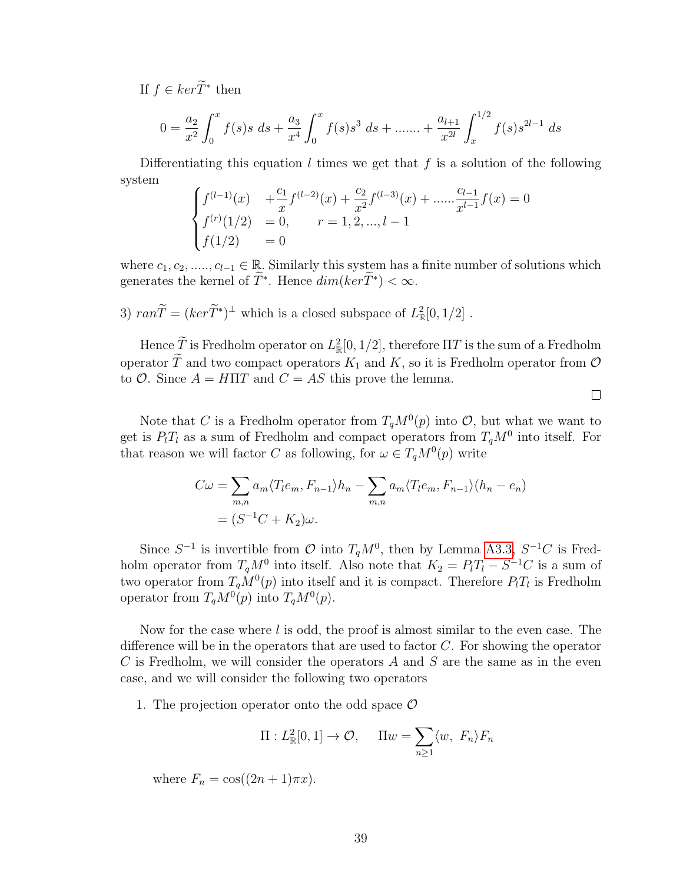If  $f \in \ker \widetilde{T}^*$  then

$$
0 = \frac{a_2}{x^2} \int_0^x f(s)s \ ds + \frac{a_3}{x^4} \int_0^x f(s)s^3 \ ds + \dots + \frac{a_{l+1}}{x^{2l}} \int_x^{1/2} f(s)s^{2l-1} \ ds
$$

Differentiating this equation  $l$  times we get that  $f$  is a solution of the following system

$$
\begin{cases}\nf^{(l-1)}(x) & +\frac{c_1}{x}f^{(l-2)}(x) + \frac{c_2}{x^2}f^{(l-3)}(x) + \dots + \frac{c_{l-1}}{x^{l-1}}f(x) = 0 \\
f^{(r)}(1/2) = 0, & r = 1, 2, \dots, l-1 \\
f(1/2) = 0\n\end{cases}
$$

where  $c_1, c_2, \ldots, c_{l-1} \in \mathbb{R}$ . Similarly this system has a finite number of solutions which generates the kernel of  $\tilde{T}^*$ . Hence  $dim(ker \tilde{T}^*) < \infty$ .

3)  $ran\widetilde{T} = (ker\widetilde{T}^*)^{\perp}$  which is a closed subspace of  $L^2_{\mathbb{R}}[0, 1/2]$ .

Hence  $\tilde{T}$  is Fredholm operator on  $L^2_{\mathbb{R}}[0,1/2]$ , therefore  $\Pi T$  is the sum of a Fredholm operator  $\widetilde{T}$  and two compact operators  $K_1$  and  $K$ , so it is Fredholm operator from  $\mathcal O$ to  $\mathcal{O}$ . Since  $A = H\Pi T$  and  $C = AS$  this prove the lemma.

 $\Box$ 

Note that C is a Fredholm operator from  $T_qM^0(p)$  into O, but what we want to get is  $P_lT_l$  as a sum of Fredholm and compact operators from  $T_qM^0$  into itself. For that reason we will factor C as following, for  $\omega \in T_qM^0(p)$  write

$$
C\omega = \sum_{m,n} a_m \langle T_l e_m, F_{n-1} \rangle h_n - \sum_{m,n} a_m \langle T_l e_m, F_{n-1} \rangle (h_n - e_n)
$$
  
=  $(S^{-1}C + K_2)\omega$ .

Since  $S^{-1}$  is invertible from  $\mathcal{O}$  into  $T_qM^0$ , then by Lemma [A3.3,](#page-72-1)  $S^{-1}C$  is Fredholm operator from  $T_qM^0$  into itself. Also note that  $K_2 = P_lT_l - S^{-1}C$  is a sum of two operator from  $T_qM^0(p)$  into itself and it is compact. Therefore  $P_lT_l$  is Fredholm operator from  $T_qM^0(p)$  into  $T_qM^0(p)$ .

Now for the case where  $l$  is odd, the proof is almost similar to the even case. The difference will be in the operators that are used to factor C. For showing the operator C is Fredholm, we will consider the operators  $A$  and  $S$  are the same as in the even case, and we will consider the following two operators

1. The projection operator onto the odd space  $\mathcal O$ 

$$
\Pi: L^2_{\mathbb{R}}[0,1] \to \mathcal{O}, \quad \Pi w = \sum_{n \ge 1} \langle w, F_n \rangle F_n
$$

where  $F_n = \cos((2n+1)\pi x)$ .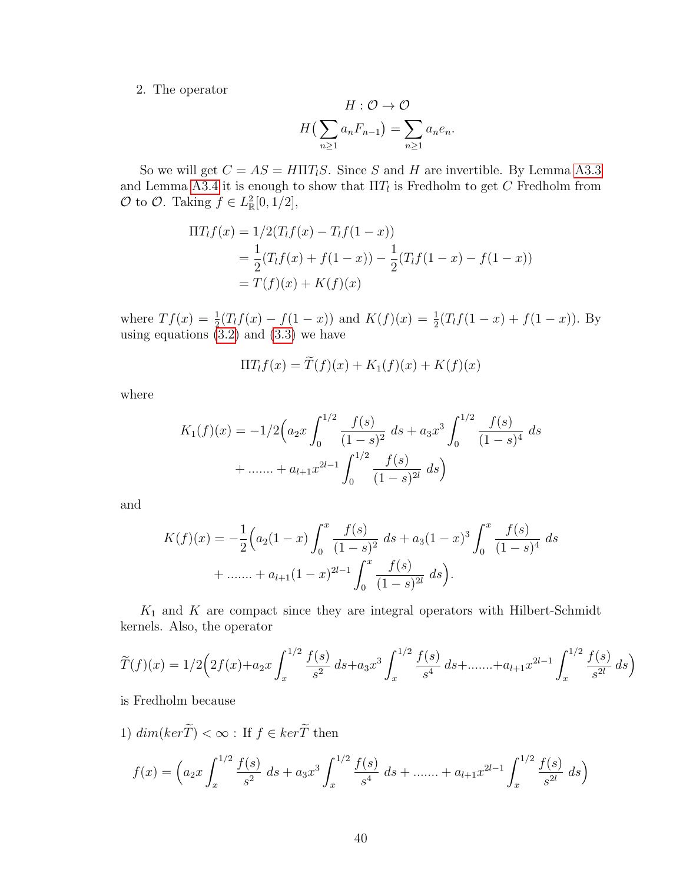2. The operator

$$
H: \mathcal{O} \to \mathcal{O}
$$

$$
H\left(\sum_{n\geq 1} a_n F_{n-1}\right) = \sum_{n\geq 1} a_n e_n.
$$

So we will get  $C = AS = H\Pi T_lS$ . Since S and H are invertible. By Lemma [A3.3](#page-72-1) and Lemma [A3.4](#page-73-2) it is enough to show that  $\Pi T_l$  is Fredholm to get C Fredholm from  $\mathcal O$  to  $\mathcal O$ . Taking  $f \in L^2_{\mathbb R}[0,1/2],$ 

$$
\Pi T_{l}f(x) = 1/2(T_{l}f(x) - T_{l}f(1 - x))
$$
  
=  $\frac{1}{2}(T_{l}f(x) + f(1 - x)) - \frac{1}{2}(T_{l}f(1 - x) - f(1 - x))$   
=  $T(f)(x) + K(f)(x)$ 

where  $Tf(x) = \frac{1}{2}(T_lf(x) - f(1-x))$  and  $K(f)(x) = \frac{1}{2}(T_lf(1-x) + f(1-x))$ . By using equations  $(3.2)$  and  $(3.3)$  we have

$$
\Pi T_l f(x) = \widetilde{T}(f)(x) + K_1(f)(x) + K(f)(x)
$$

where

$$
K_1(f)(x) = -1/2 \left( a_2 x \int_0^{1/2} \frac{f(s)}{(1-s)^2} ds + a_3 x^3 \int_0^{1/2} \frac{f(s)}{(1-s)^4} ds + \dots + a_{l+1} x^{2l-1} \int_0^{1/2} \frac{f(s)}{(1-s)^{2l}} ds \right)
$$

and

$$
K(f)(x) = -\frac{1}{2} \left( a_2 (1-x) \int_0^x \frac{f(s)}{(1-s)^2} ds + a_3 (1-x)^3 \int_0^x \frac{f(s)}{(1-s)^4} ds + \dots + a_{l+1} (1-x)^{2l-1} \int_0^x \frac{f(s)}{(1-s)^{2l}} ds \right).
$$

 $K_1$  and  $K$  are compact since they are integral operators with Hilbert-Schmidt kernels. Also, the operator

$$
\widetilde{T}(f)(x) = 1/2 \left( 2f(x) + a_2 x \int_x^{1/2} \frac{f(s)}{s^2} ds + a_3 x^3 \int_x^{1/2} \frac{f(s)}{s^4} ds + \dots + a_{l+1} x^{2l-1} \int_x^{1/2} \frac{f(s)}{s^{2l}} ds \right)
$$

is Fredholm because

1)  $\dim(\ker\widetilde{T})<\infty$  : If  $f\in\ker\widetilde{T}$  then  $f(x) = \left(a_2x\right)$  $\int^{1/2}$ x  $f(s)$  $\int_{s^2}^{(s)} ds + a_3 x^3 \int_x^{1/2}$ x  $f(s)$  $\frac{f(s)}{s^4}$  ds + ....... +  $a_{l+1}x^{2l-1}\int_x^{1/2}$ x  $f(s)$  $\int_{s^{2l}}^{(s)} ds$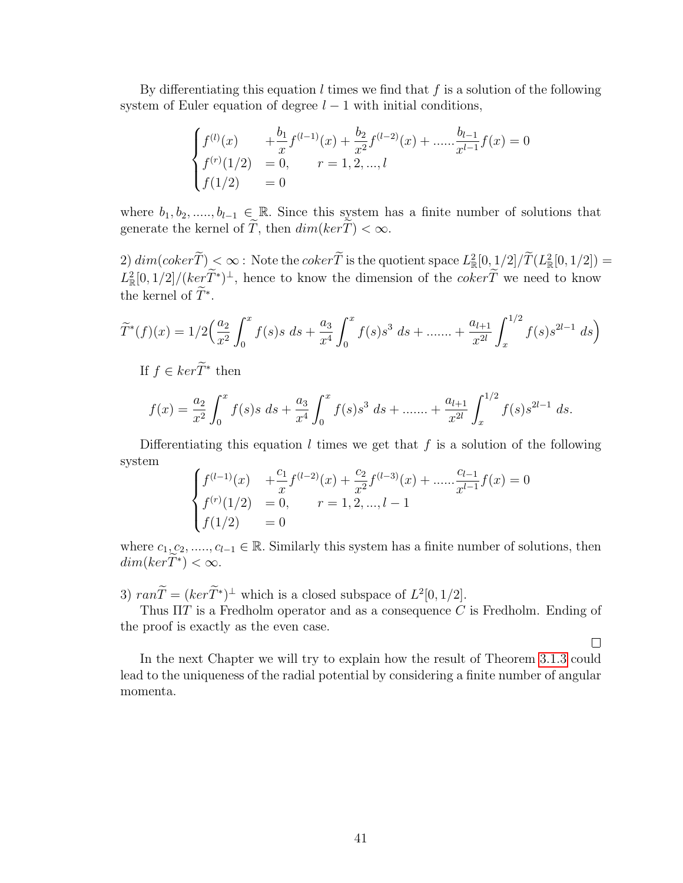By differentiating this equation  $l$  times we find that  $f$  is a solution of the following system of Euler equation of degree  $l - 1$  with initial conditions,

$$
\begin{cases}\nf^{(l)}(x) & +\frac{b_1}{x}f^{(l-1)}(x) + \frac{b_2}{x^2}f^{(l-2)}(x) + \dots + \frac{b_{l-1}}{x^{l-1}}f(x) = 0 \\
f^{(r)}(1/2) = 0, & r = 1, 2, \dots, l \\
f(1/2) = 0\n\end{cases}
$$

where  $b_1, b_2, \ldots, b_{l-1} \in \mathbb{R}$ . Since this system has a finite number of solutions that generate the kernel of  $\widetilde{T}$ , then  $dim(ker\widetilde{T}) < \infty$ .

 $2) dim(coker T) < \infty$ : Note the  $coker \overline{T}$  is the quotient space  $L^2_{\mathbb{R}}[0,1/2]/T(L^2_{\mathbb{R}}[0,1/2]) =$  $L^2_{\mathbb{R}}[0,1/2]/(ker \tilde{T}^*)^{\perp}$ , hence to know the dimension of the  $coker \tilde{T}$  we need to know the kernel of  $\tilde{T}^*$ .

$$
\widetilde{T}^*(f)(x) = 1/2 \left(\frac{a_2}{x^2} \int_0^x f(s)s \ ds + \frac{a_3}{x^4} \int_0^x f(s)s^3 \ ds + \dots + \frac{a_{l+1}}{x^{2l}} \int_x^{1/2} f(s)s^{2l-1} \ ds\right)
$$

If  $f \in \ker \widetilde{T}^*$  then

$$
f(x) = \frac{a_2}{x^2} \int_0^x f(s)s \, ds + \frac{a_3}{x^4} \int_0^x f(s)s^3 \, ds + \dots + \frac{a_{l+1}}{x^{2l}} \int_x^{1/2} f(s)s^{2l-1} \, ds.
$$

Differentiating this equation  $l$  times we get that  $f$  is a solution of the following system

$$
\begin{cases}\nf^{(l-1)}(x) & +\frac{c_1}{x}f^{(l-2)}(x) + \frac{c_2}{x^2}f^{(l-3)}(x) + \dots + \frac{c_{l-1}}{x^{l-1}}f(x) = 0 \\
f^{(r)}(1/2) = 0, & r = 1, 2, \dots, l-1 \\
f(1/2) = 0\n\end{cases}
$$

where  $c_1, c_2, \ldots, c_{l-1} \in \mathbb{R}$ . Similarly this system has a finite number of solutions, then  $dim(ker\widetilde{T}^*) < \infty.$ 

3)  $ran\widetilde{T} = (ker\widetilde{T^*})^{\perp}$  which is a closed subspace of  $L^2[0, 1/2]$ .

Thus  $\Pi T$  is a Fredholm operator and as a consequence C is Fredholm. Ending of the proof is exactly as the even case.

 $\Box$ 

In the next Chapter we will try to explain how the result of Theorem [3.1.3](#page-36-1) could lead to the uniqueness of the radial potential by considering a finite number of angular momenta.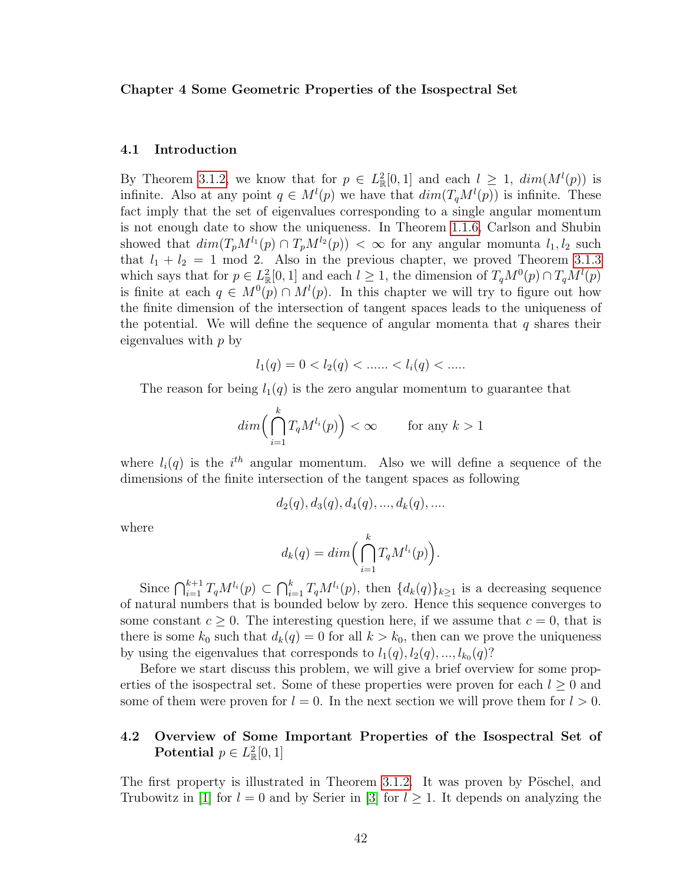#### Chapter 4 Some Geometric Properties of the Isospectral Set

#### 4.1 Introduction

By Theorem [3.1.2,](#page-35-1) we know that for  $p \in L^2_{\mathbb{R}}[0,1]$  and each  $l \geq 1$ ,  $dim(M^l(p))$  is infinite. Also at any point  $q \in M^{l}(p)$  we have that  $dim(T_qM^{l}(p))$  is infinite. These fact imply that the set of eigenvalues corresponding to a single angular momentum is not enough date to show the uniqueness. In Theorem [1.1.6,](#page-12-0) Carlson and Shubin showed that  $dim(T_pM^{l_1}(p) \cap T_pM^{l_2}(p)) < \infty$  for any angular momunta  $l_1, l_2$  such that  $l_1 + l_2 = 1$  mod 2. Also in the previous chapter, we proved Theorem [3.1.3](#page-36-1) which says that for  $p \in L^2_{\mathbb{R}}[0,1]$  and each  $l \geq 1$ , the dimension of  $T_qM^0(p) \cap T_qM^l(p)$ is finite at each  $q \in M^0(p) \cap M^l(p)$ . In this chapter we will try to figure out how the finite dimension of the intersection of tangent spaces leads to the uniqueness of the potential. We will define the sequence of angular momenta that  $q$  shares their eigenvalues with  $p$  by

$$
l_1(q) = 0 < l_2(q) < \dots < l_i(q) < \dots
$$

The reason for being  $l_1(q)$  is the zero angular momentum to guarantee that

$$
dim\Big(\bigcap_{i=1}^k T_qM^{l_i}(p)\Big) < \infty \quad \text{for any } k > 1
$$

where  $l_i(q)$  is the i<sup>th</sup> angular momentum. Also we will define a sequence of the dimensions of the finite intersection of the tangent spaces as following

$$
d_2(q), d_3(q), d_4(q), ..., d_k(q), ...
$$

where

$$
d_k(q) = dim\Big(\bigcap_{i=1}^k T_q M^{l_i}(p)\Big).
$$

Since  $\bigcap_{i=1}^{k+1} T_q M^{l_i}(p) \subset \bigcap_{i=1}^k T_q M^{l_i}(p)$ , then  $\{d_k(q)\}_{k\geq 1}$  is a decreasing sequence of natural numbers that is bounded below by zero. Hence this sequence converges to some constant  $c \geq 0$ . The interesting question here, if we assume that  $c = 0$ , that is there is some  $k_0$  such that  $d_k(q) = 0$  for all  $k > k_0$ , then can we prove the uniqueness by using the eigenvalues that corresponds to  $l_1(q), l_2(q), ..., l_{k_0}(q)$ ?

Before we start discuss this problem, we will give a brief overview for some properties of the isospectral set. Some of these properties were proven for each  $l \geq 0$  and some of them were proven for  $l = 0$ . In the next section we will prove them for  $l > 0$ .

# 4.2 Overview of Some Important Properties of the Isospectral Set of Potential  $p \in L^2_{\mathbb{R}}[0,1]$

The first property is illustrated in Theorem [3.1.2.](#page-35-1) It was proven by Pöschel, and Trubowitz in [\[1\]](#page-77-0) for  $l = 0$  and by Serier in [\[3\]](#page-77-2) for  $l \geq 1$ . It depends on analyzing the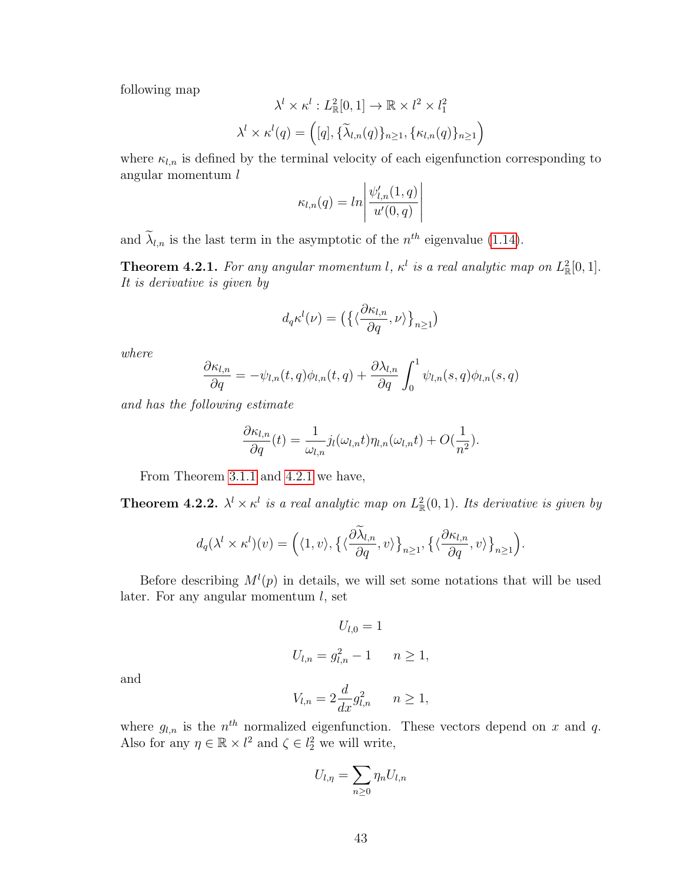following map

$$
\lambda^l \times \kappa^l : L^2_{\mathbb{R}}[0,1] \to \mathbb{R} \times l^2 \times l_1^2
$$

$$
\lambda^l \times \kappa^l(q) = ([q], {\{\widetilde{\lambda}_{l,n}(q)\}}_{n \ge 1}, {\{\kappa_{l,n}(q)\}}_{n \ge 1})
$$

where  $\kappa_{l,n}$  is defined by the terminal velocity of each eigenfunction corresponding to angular momentum l

$$
\kappa_{l,n}(q) = ln \left| \frac{\psi'_{l,n}(1,q)}{u'(0,q)} \right|
$$

and  $\lambda_{l,n}$  is the last term in the asymptotic of the  $n^{th}$  eigenvalue [\(1.14\)](#page-19-1).

<span id="page-51-0"></span>**Theorem 4.2.1.** For any angular momentum l,  $\kappa^l$  is a real analytic map on  $L^2_{\mathbb{R}}[0,1]$ . It is derivative is given by

$$
d_q \kappa^l(\nu) = \left( \left\{ \langle \frac{\partial \kappa_{l,n}}{\partial q}, \nu \rangle \right\}_{n \ge 1} \right)
$$

where

$$
\frac{\partial \kappa_{l,n}}{\partial q} = -\psi_{l,n}(t,q)\phi_{l,n}(t,q) + \frac{\partial \lambda_{l,n}}{\partial q} \int_0^1 \psi_{l,n}(s,q)\phi_{l,n}(s,q)
$$

and has the following estimate

$$
\frac{\partial \kappa_{l,n}}{\partial q}(t) = \frac{1}{\omega_{l,n}} j_l(\omega_{l,n}t)\eta_{l,n}(\omega_{l,n}t) + O(\frac{1}{n^2}).
$$

From Theorem [3.1.1](#page-35-2) and [4.2.1](#page-51-0) we have,

**Theorem 4.2.2.**  $\lambda^l \times \kappa^l$  is a real analytic map on  $L^2_{\mathbb{R}}(0,1)$ . Its derivative is given by

$$
d_q(\lambda^l \times \kappa^l)(v) = \left(\langle 1, v \rangle, \left\{ \langle \frac{\partial \widetilde{\lambda}_{l,n}}{\partial q}, v \rangle \right\}_{n \ge 1}, \left\{ \langle \frac{\partial \kappa_{l,n}}{\partial q}, v \rangle \right\}_{n \ge 1} \right).
$$

Before describing  $M^l(p)$  in details, we will set some notations that will be used later. For any angular momentum  $l$ , set

$$
U_{l,0} = 1
$$
  

$$
U_{l,n} = g_{l,n}^2 - 1 \qquad n \ge 1,
$$

and

$$
V_{l,n} = 2\frac{d}{dx}g_{l,n}^2 \qquad n \ge 1,
$$

where  $g_{l,n}$  is the  $n^{th}$  normalized eigenfunction. These vectors depend on x and q. Also for any  $\eta \in \mathbb{R} \times l^2$  and  $\zeta \in l^2$  we will write,

$$
U_{l,\eta} = \sum_{n\geq 0} \eta_n U_{l,n}
$$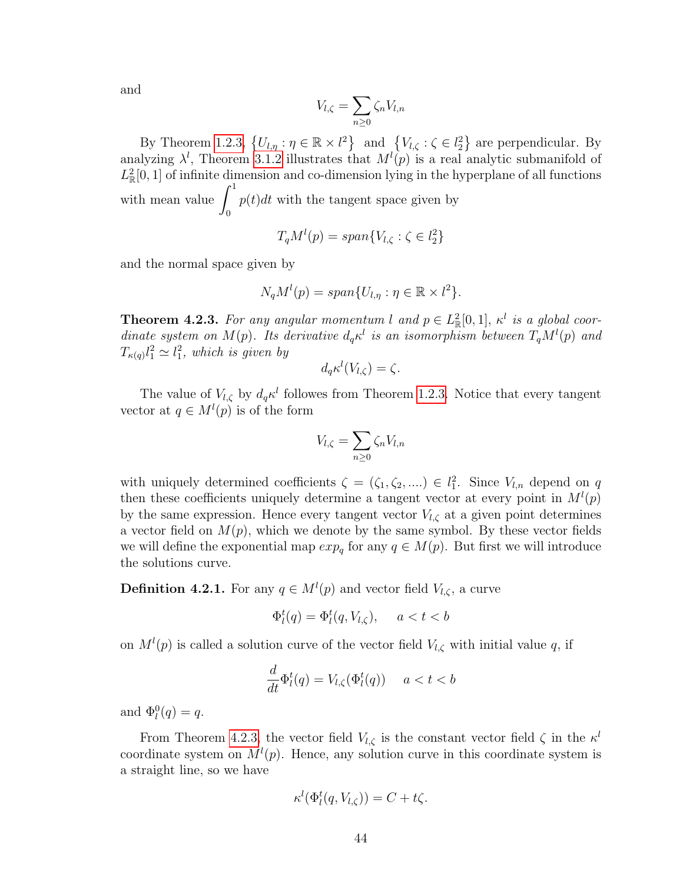and

$$
V_{l,\zeta} = \sum_{n\geq 0} \zeta_n V_{l,n}
$$

By Theorem [1.2.3,](#page-16-0)  $\{U_{l,\eta} : \eta \in \mathbb{R} \times l^2\}$  and  $\{V_{l,\zeta} : \zeta \in l^2\}$  are perpendicular. By analyzing  $\lambda^l$ , Theorem [3.1.2](#page-35-1) illustrates that  $M^l(p)$  is a real analytic submanifold of  $L^2_{\mathbb{R}}[0,1]$  of infinite dimension and co-dimension lying in the hyperplane of all functions with mean value  $\int_1^1$ 0  $p(t)dt$  with the tangent space given by

$$
T_qM^l(p) = span\{V_{l,\zeta} : \zeta \in l_2^2\}
$$

and the normal space given by

$$
N_qM^{l}(p) = span{U_{l,\eta} : \eta \in \mathbb{R} \times l^2}.
$$

<span id="page-52-0"></span>**Theorem 4.2.3.** For any angular momentum l and  $p \in L^2_{\mathbb{R}}[0,1]$ ,  $\kappa^l$  is a global coordinate system on  $M(p)$ . Its derivative  $d_q \kappa^l$  is an isomorphism between  $T_q M^l(p)$  and  $T_{\kappa(q)}l_1^2 \simeq l_1^2$ , which is given by

$$
d_q \kappa^l(V_{l,\zeta}) = \zeta.
$$

The value of  $V_{l,\zeta}$  by  $d_q \kappa^l$  followes from Theorem [1.2.3.](#page-16-0) Notice that every tangent vector at  $q \in M^{l}(p)$  is of the form

$$
V_{l,\zeta} = \sum_{n\geq 0} \zeta_n V_{l,n}
$$

with uniquely determined coefficients  $\zeta = (\zeta_1, \zeta_2, \dots) \in l_1^2$ . Since  $V_{l,n}$  depend on q then these coefficients uniquely determine a tangent vector at every point in  $M^l(p)$ by the same expression. Hence every tangent vector  $V_{l,\zeta}$  at a given point determines a vector field on  $M(p)$ , which we denote by the same symbol. By these vector fields we will define the exponential map  $exp_q$  for any  $q \in M(p)$ . But first we will introduce the solutions curve.

**Definition 4.2.1.** For any  $q \in M^{l}(p)$  and vector field  $V_{l,\zeta}$ , a curve

$$
\Phi_l^t(q) = \Phi_l^t(q, V_{l,\zeta}), \quad a < t < b
$$

on  $M^l(p)$  is called a solution curve of the vector field  $V_{l,\zeta}$  with initial value q, if

$$
\frac{d}{dt}\Phi_l^t(q) = V_{l,\zeta}(\Phi_l^t(q)) \quad a < t < b
$$

and  $\Phi_l^0(q) = q$ .

From Theorem [4.2.3,](#page-52-0) the vector field  $V_{l,\zeta}$  is the constant vector field  $\zeta$  in the  $\kappa^{l}$ coordinate system on  $M^l(p)$ . Hence, any solution curve in this coordinate system is a straight line, so we have

$$
\kappa^l(\Phi_l^t(q, V_{l,\zeta})) = C + t\zeta.
$$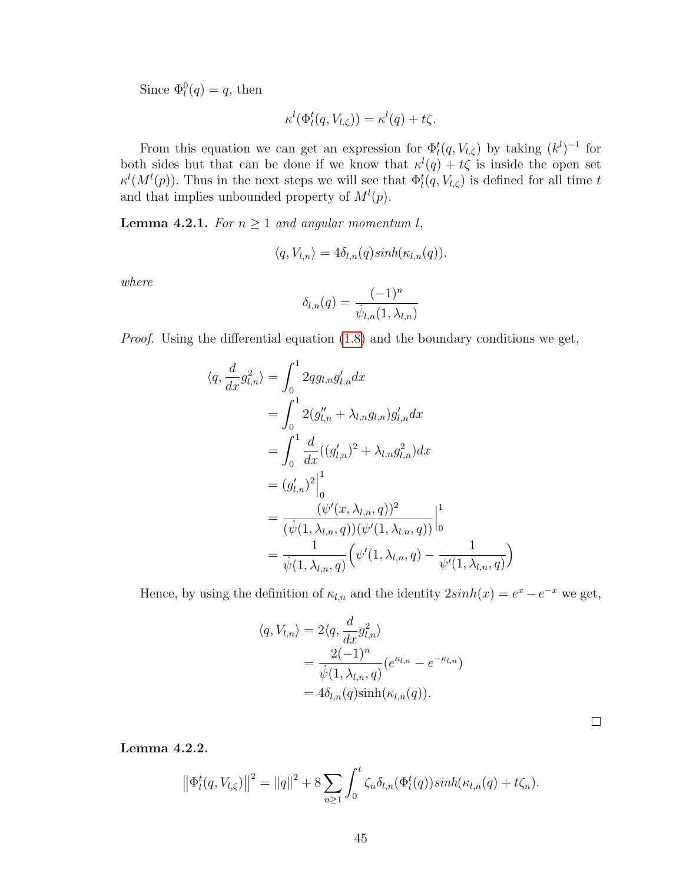Since  $\Phi_l^0(q) = q$ , then

$$
\kappa^{l}(\Phi_{l}^{t}(q, V_{l,\zeta})) = \kappa^{l}(q) + t\zeta.
$$

From this equation we can get an expression for  $\Phi_l^t(q, V_{l,\zeta})$  by taking  $(k^l)^{-1}$  for both sides but that can be done if we know that  $\kappa^{l}(q) + t\zeta$  is inside the open set  $\kappa^l(M^l(p))$ . Thus in the next steps we will see that  $\Phi_l^t(q, V_{l,\zeta})$  is defined for all time t and that implies unbounded property of  $M^l(p)$ .

<span id="page-53-0"></span>**Lemma 4.2.1.** For  $n \geq 1$  and angular momentum l,

$$
\langle q, V_{l,n} \rangle = 4 \delta_{l,n}(q) \sinh(\kappa_{l,n}(q)).
$$

where

$$
\delta_{l,n}(q) = \frac{(-1)^n}{\dot{\psi}_{l,n}(1,\lambda_{l,n})}
$$

Proof. Using the differential equation [\(1.8\)](#page-14-0) and the boundary conditions we get,

$$
\langle q, \frac{d}{dx}g_{l,n}^2 \rangle = \int_0^1 2qg_{l,n}g_{l,n}' dx
$$
  
\n
$$
= \int_0^1 2(g_{l,n}'' + \lambda_{l,n}g_{l,n})g_{l,n}' dx
$$
  
\n
$$
= \int_0^1 \frac{d}{dx}((g_{l,n}')^2 + \lambda_{l,n}g_{l,n}^2) dx
$$
  
\n
$$
= (g_{l,n}')^2 \Big|_0^1
$$
  
\n
$$
= \frac{(\psi'(x, \lambda_{l,n}, q))^2}{(\psi(1, \lambda_{l,n}, q))(\psi'(1, \lambda_{l,n}, q))} \Big|_0^1
$$
  
\n
$$
= \frac{1}{\psi(1, \lambda_{l,n}, q)} (\psi'(1, \lambda_{l,n}, q) - \frac{1}{\psi'(1, \lambda_{l,n}, q)})
$$

Hence, by using the definition of  $\kappa_{l,n}$  and the identity  $2\sinh(x) = e^x - e^{-x}$  we get,

$$
\langle q, V_{l,n} \rangle = 2 \langle q, \frac{d}{dx} g_{l,n}^2 \rangle
$$
  
= 
$$
\frac{2(-1)^n}{\dot{\psi}(1, \lambda_{l,n}, q)} (e^{\kappa_{l,n}} - e^{-\kappa_{l,n}})
$$
  
= 
$$
4 \delta_{l,n}(q) \sinh(\kappa_{l,n}(q)).
$$

 $\Box$ 

<span id="page-53-1"></span>Lemma 4.2.2.

$$
\left\|\Phi_{l}^{t}(q, V_{l,\zeta})\right\|^{2} = \|q\|^{2} + 8 \sum_{n\geq 1} \int_{0}^{t} \zeta_{n} \delta_{l,n}(\Phi_{l}^{t}(q)) \sinh(\kappa_{l,n}(q) + t\zeta_{n}).
$$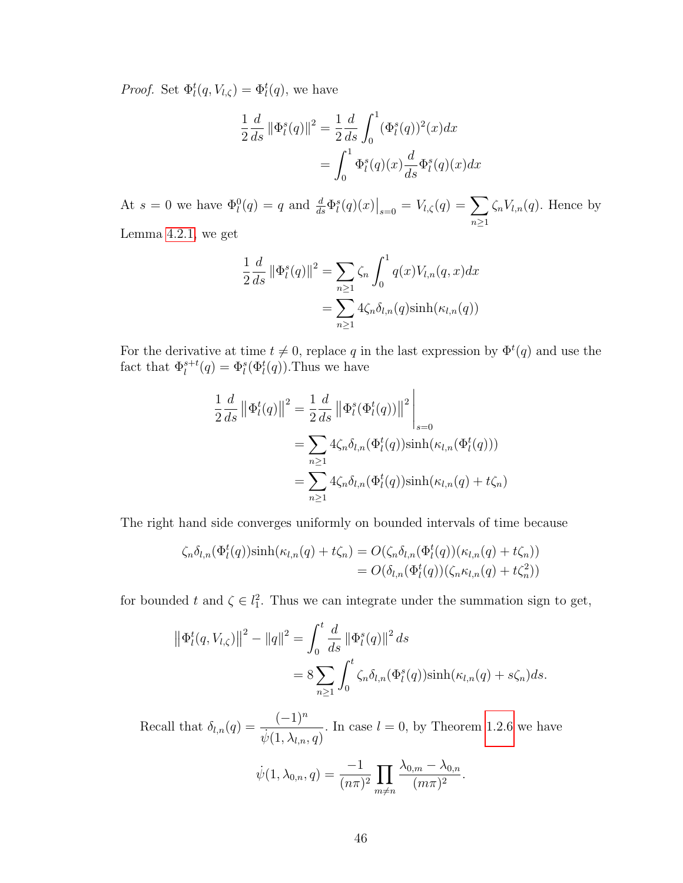*Proof.* Set  $\Phi_l^t(q, V_{l,\zeta}) = \Phi_l^t(q)$ , we have

$$
\frac{1}{2}\frac{d}{ds}\|\Phi_l^s(q)\|^2 = \frac{1}{2}\frac{d}{ds}\int_0^1 (\Phi_l^s(q))^2(x)dx \n= \int_0^1 \Phi_l^s(q)(x)\frac{d}{ds}\Phi_l^s(q)(x)dx
$$

At  $s = 0$  we have  $\Phi_l^0(q) = q$  and  $\frac{d}{ds} \Phi_l^s(q)(x)|_{s=0} = V_{l,\zeta}(q) = \sum$  $n\geq 1$  $\zeta_n V_{l,n}(q)$ . Hence by

Lemma [4.2.1,](#page-53-0) we get

$$
\frac{1}{2}\frac{d}{ds}\|\Phi_l^s(q)\|^2 = \sum_{n\geq 1} \zeta_n \int_0^1 q(x) V_{l,n}(q,x) dx
$$

$$
= \sum_{n\geq 1} 4\zeta_n \delta_{l,n}(q) \sinh(\kappa_{l,n}(q))
$$

For the derivative at time  $t \neq 0$ , replace q in the last expression by  $\Phi^t(q)$  and use the fact that  $\Phi_l^{s+t}(q) = \Phi_l^s(\Phi_l^t(q))$ . Thus we have

$$
\frac{1}{2}\frac{d}{ds} \left\|\Phi_l^t(q)\right\|^2 = \frac{1}{2}\frac{d}{ds} \left\|\Phi_l^s(\Phi_l^t(q))\right\|^2 \Big|_{s=0}
$$
  
\n
$$
= \sum_{n\geq 1} 4\zeta_n \delta_{l,n}(\Phi_l^t(q))\sinh(\kappa_{l,n}(\Phi_l^t(q)))
$$
  
\n
$$
= \sum_{n\geq 1} 4\zeta_n \delta_{l,n}(\Phi_l^t(q))\sinh(\kappa_{l,n}(q) + t\zeta_n)
$$

The right hand side converges uniformly on bounded intervals of time because

$$
\zeta_n \delta_{l,n}(\Phi_l^t(q))\sinh(\kappa_{l,n}(q) + t\zeta_n) = O(\zeta_n \delta_{l,n}(\Phi_l^t(q))(\kappa_{l,n}(q) + t\zeta_n))
$$
  
=  $O(\delta_{l,n}(\Phi_l^t(q))(\zeta_n \kappa_{l,n}(q) + t\zeta_n^2))$ 

for bounded t and  $\zeta \in l_1^2$ . Thus we can integrate under the summation sign to get,

$$
\|\Phi_l^t(q, V_{l,\zeta})\|^2 - \|q\|^2 = \int_0^t \frac{d}{ds} \|\Phi_l^s(q)\|^2 ds
$$
  
=  $8 \sum_{n\geq 1} \int_0^t \zeta_n \delta_{l,n}(\Phi_l^s(q)) \sinh(\kappa_{l,n}(q) + s\zeta_n) ds.$ 

Recall that  $\delta_{l,n}(q) = \frac{(-1)^n}{(q-1)!}$  $\frac{1}{\psi(1,\lambda_{l,n},q)}$ . In case  $l=0$ , by Theorem [1.2.6](#page-18-0) we have

$$
\dot{\psi}(1, \lambda_{0,n}, q) = \frac{-1}{(n\pi)^2} \prod_{m \neq n} \frac{\lambda_{0,m} - \lambda_{0,n}}{(m\pi)^2}.
$$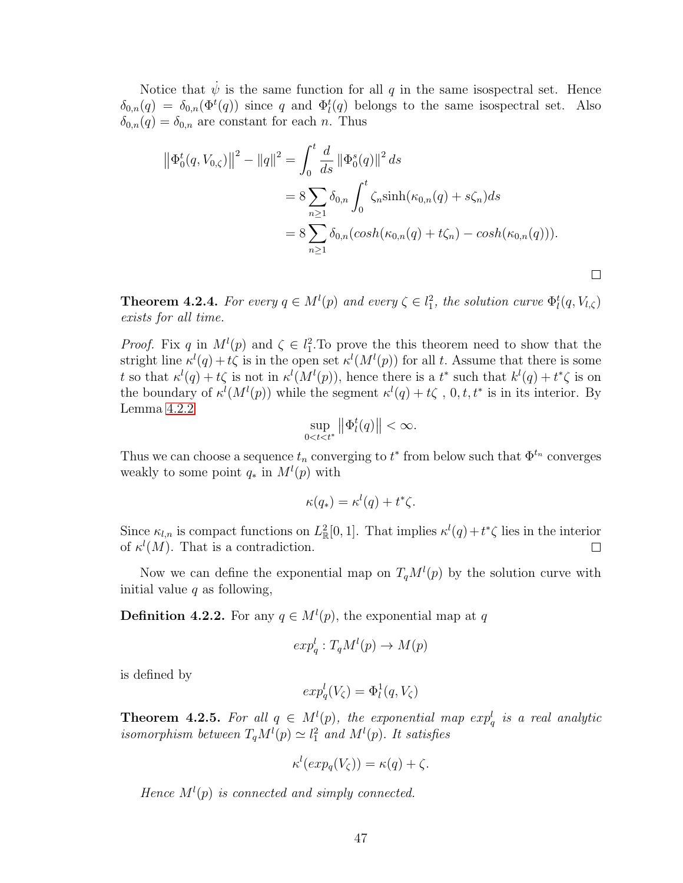Notice that  $\dot{\psi}$  is the same function for all q in the same isospectral set. Hence  $\delta_{0,n}(q) = \delta_{0,n}(\Phi^t(q))$  since q and  $\Phi^t_l(q)$  belongs to the same isospectral set. Also  $\delta_{0,n}(q) = \delta_{0,n}$  are constant for each n. Thus

$$
\|\Phi_0^t(q, V_{0,\zeta})\|^2 - \|q\|^2 = \int_0^t \frac{d}{ds} \|\Phi_0^s(q)\|^2 ds
$$
  
=  $8 \sum_{n\geq 1} \delta_{0,n} \int_0^t \zeta_n \sinh(\kappa_{0,n}(q) + s\zeta_n) ds$   
=  $8 \sum_{n\geq 1} \delta_{0,n} (\cosh(\kappa_{0,n}(q) + t\zeta_n) - \cosh(\kappa_{0,n}(q))).$ 

**Theorem 4.2.4.** For every  $q \in M^{l}(p)$  and every  $\zeta \in l_1^2$ , the solution curve  $\Phi_l^t(q, V_{l,\zeta})$ exists for all time.

*Proof.* Fix q in  $M^l(p)$  and  $\zeta \in l_1^2$ . To prove the this theorem need to show that the stright line  $\kappa^l(q) + t\zeta$  is in the open set  $\kappa^l(M^l(p))$  for all t. Assume that there is some t so that  $\kappa^{l}(q) + t\zeta$  is not in  $\kappa^{l}(M^{l}(p))$ , hence there is a  $t^*$  such that  $k^{l}(q) + t^*\zeta$  is on the boundary of  $\kappa^l(M^l(p))$  while the segment  $\kappa^l(q) + t\zeta$ , 0, t, t<sup>\*</sup> is in its interior. By Lemma [4.2.2](#page-53-1)

$$
\sup_{0
$$

Thus we can choose a sequence  $t_n$  converging to  $t^*$  from below such that  $\Phi^{t_n}$  converges weakly to some point  $q_*$  in  $M^l(p)$  with

$$
\kappa(q_*) = \kappa^l(q) + t^*\zeta.
$$

Since  $\kappa_{l,n}$  is compact functions on  $L^2_{\mathbb{R}}[0,1]$ . That implies  $\kappa^l(q) + t^*\zeta$  lies in the interior of  $\kappa^{l}(M)$ . That is a contradiction.  $\Box$ 

Now we can define the exponential map on  $T_qM^l(p)$  by the solution curve with initial value  $q$  as following,

**Definition 4.2.2.** For any  $q \in M^{l}(p)$ , the exponential map at q

$$
exp_q^l: T_qM^l(p) \to M(p)
$$

is defined by

$$
exp_q^l(V_\zeta) = \Phi_l^1(q, V_\zeta)
$$

<span id="page-55-0"></span>**Theorem 4.2.5.** For all  $q \in M^{l}(p)$ , the exponential map  $exp_q^l$  is a real analytic isomorphism between  $T_qM^l(p) \simeq l_1^2$  and  $M^l(p)$ . It satisfies

$$
\kappa^{l}(exp_q(V_{\zeta})) = \kappa(q) + \zeta.
$$

Hence  $M^l(p)$  is connected and simply connected.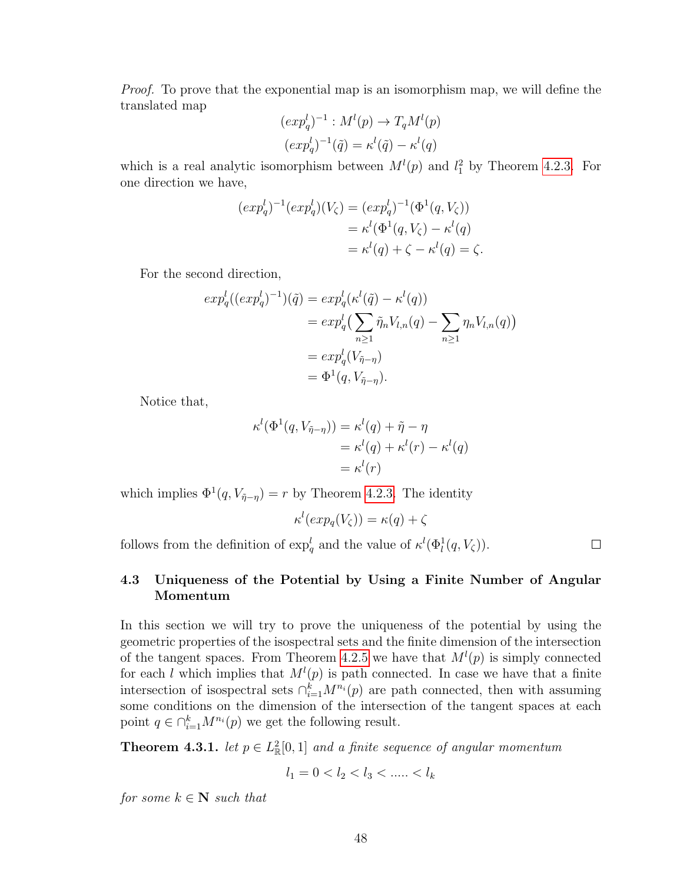Proof. To prove that the exponential map is an isomorphism map, we will define the translated map

$$
(expql)-1 : Ml(p) \rightarrow TqMl(p)
$$

$$
(expql)-1(\tilde{q}) = \kappal(\tilde{q}) - \kappal(q)
$$

which is a real analytic isomorphism between  $M^{(p)}(p)$  and  $l_1^2$  by Theorem [4.2.3.](#page-52-0) For one direction we have,

$$
(exp_q^l)^{-1}(exp_q^l)(V_\zeta) = (exp_q^l)^{-1}(\Phi^1(q, V_\zeta))
$$
  
=  $\kappa^l(\Phi^1(q, V_\zeta) - \kappa^l(q)$   
=  $\kappa^l(q) + \zeta - \kappa^l(q) = \zeta$ .

For the second direction,

$$
exp_q^l((exp_q^{l})^{-1})(\tilde{q}) = exp_q^l(\kappa^l(\tilde{q}) - \kappa^l(q))
$$
  
= 
$$
exp_q^l(\sum_{n\geq 1} \tilde{\eta}_n V_{l,n}(q) - \sum_{n\geq 1} \eta_n V_{l,n}(q))
$$
  
= 
$$
exp_q^l(V_{\tilde{\eta}-\eta})
$$
  
= 
$$
\Phi^1(q, V_{\tilde{\eta}-\eta}).
$$

Notice that,

$$
\kappa^{l}(\Phi^{1}(q, V_{\tilde{\eta}-\eta})) = \kappa^{l}(q) + \tilde{\eta} - \eta
$$
  
=  $\kappa^{l}(q) + \kappa^{l}(r) - \kappa^{l}(q)$   
=  $\kappa^{l}(r)$ 

which implies  $\Phi^1(q, V_{\tilde{\eta}-\eta}) = r$  by Theorem [4.2.3.](#page-52-0) The identity

$$
\kappa^l(exp_q(V_\zeta)) = \kappa(q) + \zeta
$$

follows from the definition of  $\exp_q^l$  and the value of  $\kappa^l(\Phi_l^1(q, V_\zeta))$ .

 $\Box$ 

# 4.3 Uniqueness of the Potential by Using a Finite Number of Angular Momentum

In this section we will try to prove the uniqueness of the potential by using the geometric properties of the isospectral sets and the finite dimension of the intersection of the tangent spaces. From Theorem [4.2.5](#page-55-0) we have that  $M^{(l)}(p)$  is simply connected for each l which implies that  $M^l(p)$  is path connected. In case we have that a finite intersection of isospectral sets  $\bigcap_{i=1}^k M^{n_i}(p)$  are path connected, then with assuming some conditions on the dimension of the intersection of the tangent spaces at each point  $q \in \bigcap_{i=1}^k M^{n_i}(p)$  we get the following result.

<span id="page-56-0"></span>**Theorem 4.3.1.** let  $p \in L^2_{\mathbb{R}}[0,1]$  and a finite sequence of angular momentum

$$
l_1 = 0 < l_2 < l_3 < \dots < l_k
$$

for some  $k \in \mathbb{N}$  such that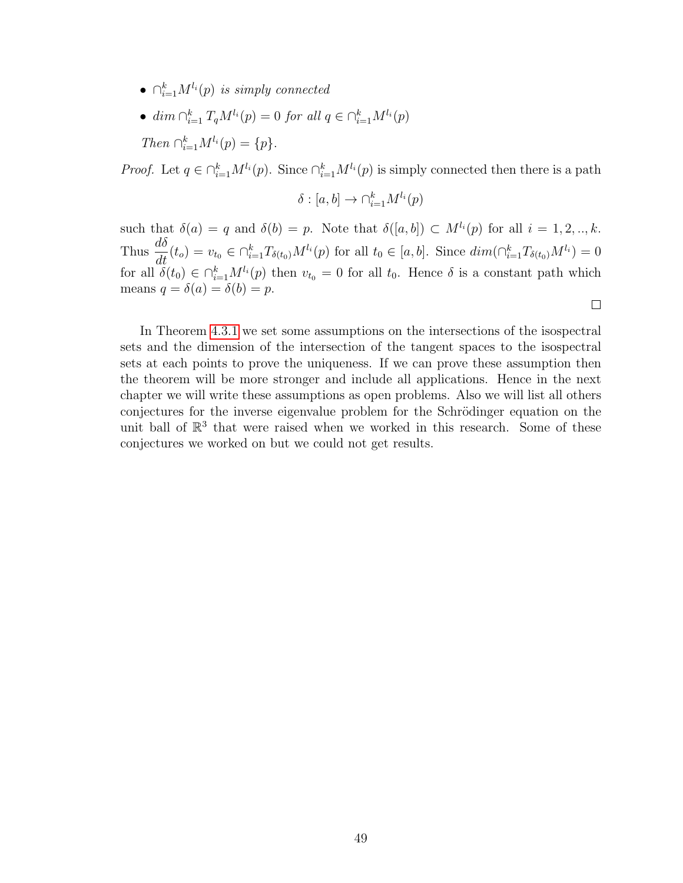- $\bullet \ \cap_{i=1}^k M^{l_i}(p)$  is simply connected
- $\dim \bigcap_{i=1}^k T_qM^{l_i}(p) = 0$  for all  $q \in \bigcap_{i=1}^k M^{l_i}(p)$  $Then \cap_{i=1}^k M^{l_i}(p) = \{p\}.$

*Proof.* Let  $q \in \bigcap_{i=1}^k M^{l_i}(p)$ . Since  $\bigcap_{i=1}^k M^{l_i}(p)$  is simply connected then there is a path

$$
\delta : [a, b] \to \cap_{i=1}^k M^{l_i}(p)
$$

such that  $\delta(a) = q$  and  $\delta(b) = p$ . Note that  $\delta([a, b]) \subset M^{l_i}(p)$  for all  $i = 1, 2, ..., k$ . Thus  $\frac{d\delta}{dt}(t_o) = v_{t_0} \in \bigcap_{i=1}^k T_{\delta(t_0)} M^{l_i}(p)$  for all  $t_0 \in [a, b]$ . Since  $\dim(\bigcap_{i=1}^k T_{\delta(t_0)} M^{l_i}) = 0$ for all  $\delta(t_0) \in \bigcap_{i=1}^k M^{l_i}(p)$  then  $v_{t_0} = 0$  for all  $t_0$ . Hence  $\delta$  is a constant path which means  $q = \delta(a) = \delta(b) = p$ .

 $\Box$ 

In Theorem [4.3.1](#page-56-0) we set some assumptions on the intersections of the isospectral sets and the dimension of the intersection of the tangent spaces to the isospectral sets at each points to prove the uniqueness. If we can prove these assumption then the theorem will be more stronger and include all applications. Hence in the next chapter we will write these assumptions as open problems. Also we will list all others conjectures for the inverse eigenvalue problem for the Schrödinger equation on the unit ball of  $\mathbb{R}^3$  that were raised when we worked in this research. Some of these conjectures we worked on but we could not get results.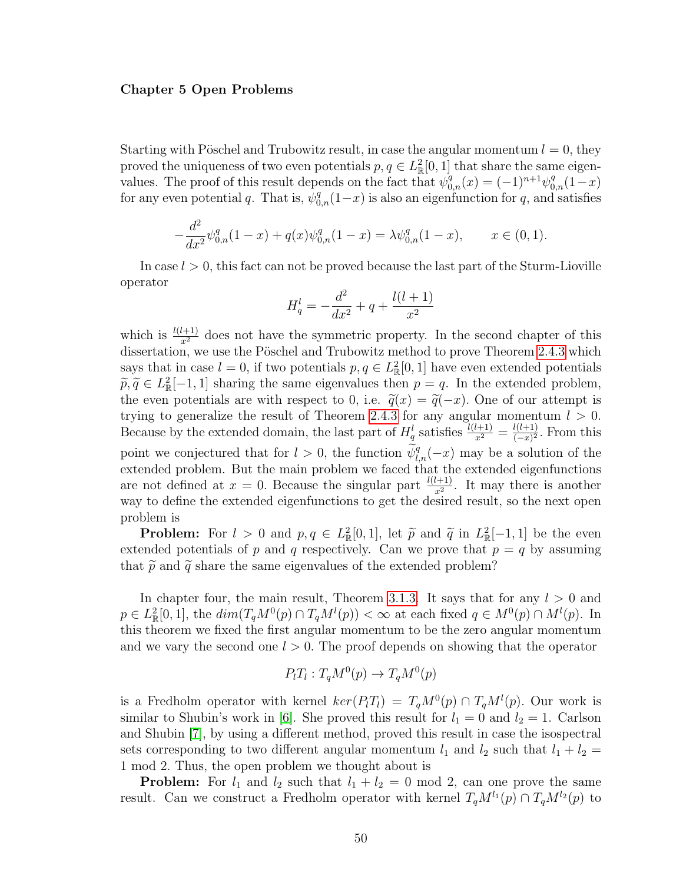#### Chapter 5 Open Problems

Starting with Pöschel and Trubowitz result, in case the angular momentum  $l = 0$ , they proved the uniqueness of two even potentials  $p, q \in L^2_{\mathbb{R}}[0,1]$  that share the same eigenvalues. The proof of this result depends on the fact that  $\psi_{0,n}^q(x) = (-1)^{n+1} \psi_{0,n}^q(1-x)$ for any even potential q. That is,  $\psi_{0,n}^q(1-x)$  is also an eigenfunction for q, and satisfies

$$
-\frac{d^2}{dx^2}\psi_{0,n}^q(1-x) + q(x)\psi_{0,n}^q(1-x) = \lambda \psi_{0,n}^q(1-x), \qquad x \in (0,1).
$$

In case  $l > 0$ , this fact can not be proved because the last part of the Sturm-Lioville operator

$$
H_q^l = -\frac{d^2}{dx^2} + q + \frac{l(l+1)}{x^2}
$$

which is  $\frac{l(l+1)}{x^2}$  does not have the symmetric property. In the second chapter of this dissertation, we use the Pöschel and Trubowitz method to prove Theorem [2.4.3](#page-32-0) which says that in case  $l = 0$ , if two potentials  $p, q \in L^2_{\mathbb{R}}[0, 1]$  have even extended potentials  $\widetilde{p}, \widetilde{q} \in L^2_{\mathbb{R}}[-1, 1]$  sharing the same eigenvalues then  $p = q$ . In the extended problem,<br>the extended problem, the even potentials are with respect to 0, i.e.  $\tilde{q}(x) = \tilde{q}(-x)$ . One of our attempt is trying to generalize the result of Theorem [2.4.3](#page-32-0) for any angular momentum  $l > 0$ . Because by the extended domain, the last part of  $H_q^l$  satisfies  $\frac{l(l+1)}{x^2} = \frac{l(l+1)}{(-x)^2}$  $\frac{l(l+1)}{(-x)^2}$ . From this point we conjectured that for  $l > 0$ , the function  $\widetilde{\psi}_{l,n}^q(-x)$  may be a solution of the extended problem. But the main problem we faced that the extended eigenfunctions are not defined at  $x = 0$ . Because the singular part  $\frac{l(l+1)}{x^2}$ . It may there is another way to define the extended eigenfunctions to get the desired result, so the next open problem is

**Problem:** For  $l > 0$  and  $p, q \in L^2_{\mathbb{R}}[0, 1]$ , let  $\tilde{p}$  and  $\tilde{q}$  in  $L^2_{\mathbb{R}}[-1, 1]$  be the even extended potentials of p and q respectively. Can we prove that  $p = q$  by assuming that  $\tilde{p}$  and  $\tilde{q}$  share the same eigenvalues of the extended problem?

In chapter four, the main result, Theorem [3.1.3.](#page-36-1) It says that for any  $l > 0$  and  $p \in L^2_{\mathbb{R}}[0,1],$  the  $dim(T_qM^0(p) \cap T_qM^l(p)) < \infty$  at each fixed  $q \in M^0(p) \cap M^l(p)$ . In this theorem we fixed the first angular momentum to be the zero angular momentum and we vary the second one  $l > 0$ . The proof depends on showing that the operator

$$
P_l T_l : T_q M^0(p) \to T_q M^0(p)
$$

is a Fredholm operator with kernel  $\ker(P_lT_l) = T_qM^0(p) \cap T_qM^l(p)$ . Our work is similar to Shubin's work in [\[6\]](#page-77-3). She proved this result for  $l_1 = 0$  and  $l_2 = 1$ . Carlson and Shubin [\[7\]](#page-77-4), by using a different method, proved this result in case the isospectral sets corresponding to two different angular momentum  $l_1$  and  $l_2$  such that  $l_1 + l_2 =$ 1 mod 2. Thus, the open problem we thought about is

**Problem:** For  $l_1$  and  $l_2$  such that  $l_1 + l_2 = 0$  mod 2, can one prove the same result. Can we construct a Fredholm operator with kernel  $T_qM^{l_1}(p) \cap T_qM^{l_2}(p)$  to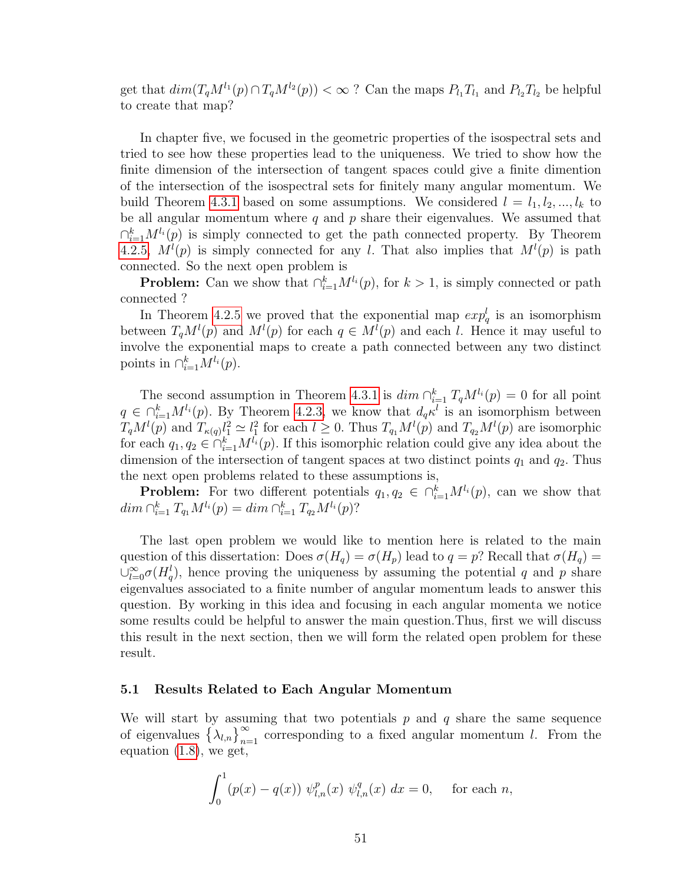get that  $dim(T_qM^{l_1}(p)\cap T_qM^{l_2}(p)) < \infty$ ? Can the maps  $P_{l_1}T_{l_1}$  and  $P_{l_2}T_{l_2}$  be helpful to create that map?

In chapter five, we focused in the geometric properties of the isospectral sets and tried to see how these properties lead to the uniqueness. We tried to show how the finite dimension of the intersection of tangent spaces could give a finite dimention of the intersection of the isospectral sets for finitely many angular momentum. We build Theorem [4.3.1](#page-56-0) based on some assumptions. We considered  $l = l_1, l_2, ..., l_k$  to be all angular momentum where  $q$  and  $p$  share their eigenvalues. We assumed that  $\bigcap_{i=1}^k M^{l_i}(p)$  is simply connected to get the path connected property. By Theorem [4.2.5,](#page-55-0)  $M^{l}(p)$  is simply connected for any l. That also implies that  $M^{l}(p)$  is path connected. So the next open problem is

**Problem:** Can we show that  $\bigcap_{i=1}^{k} M^{l_i}(p)$ , for  $k > 1$ , is simply connected or path connected ?

In Theorem [4.2.5](#page-55-0) we proved that the exponential map  $exp_q^l$  is an isomorphism between  $T_qM^l(p)$  and  $M^l(p)$  for each  $q \in M^l(p)$  and each l. Hence it may useful to involve the exponential maps to create a path connected between any two distinct points in  $\bigcap_{i=1}^k M^{l_i}(p)$ .

The second assumption in Theorem [4.3.1](#page-56-0) is  $dim \bigcap_{i=1}^k T_qM^{l_i}(p) = 0$  for all point  $q \in \bigcap_{i=1}^k M^{l_i}(p)$ . By Theorem [4.2.3,](#page-52-0) we know that  $d_q \kappa^l$  is an isomorphism between  $T_qM^l(p)$  and  $T_{\kappa(q)}l_1^2 \simeq l_1^2$  for each  $l \geq 0$ . Thus  $T_{q_1}M^l(p)$  and  $T_{q_2}M^l(p)$  are isomorphic for each  $q_1, q_2 \in \bigcap_{i=1}^k M^{l_i}(p)$ . If this isomorphic relation could give any idea about the dimension of the intersection of tangent spaces at two distinct points  $q_1$  and  $q_2$ . Thus the next open problems related to these assumptions is,

**Problem:** For two different potentials  $q_1, q_2 \in \bigcap_{i=1}^k M^{l_i}(p)$ , can we show that  $dim \bigcap_{i=1}^k T_{q_1}M^{l_i}(p) = dim \bigcap_{i=1}^k T_{q_2}M^{l_i}(p)$ ?

The last open problem we would like to mention here is related to the main question of this dissertation: Does  $\sigma(H_q) = \sigma(H_p)$  lead to  $q = p$ ? Recall that  $\sigma(H_q) =$  $\cup_{l=0}^{\infty} \sigma(H_q^l)$ , hence proving the uniqueness by assuming the potential q and p share eigenvalues associated to a finite number of angular momentum leads to answer this question. By working in this idea and focusing in each angular momenta we notice some results could be helpful to answer the main question.Thus, first we will discuss this result in the next section, then we will form the related open problem for these result.

### 5.1 Results Related to Each Angular Momentum

We will start by assuming that two potentials  $p$  and  $q$  share the same sequence of eigenvalues  $\left\{\lambda_{l,n}\right\}_{n=1}^{\infty}$  corresponding to a fixed angular momentum l. From the equation [\(1.8\)](#page-14-0), we get,

$$
\int_0^1 (p(x) - q(x)) \ \psi_{l,n}^p(x) \ \psi_{l,n}^q(x) \ dx = 0, \quad \text{for each } n,
$$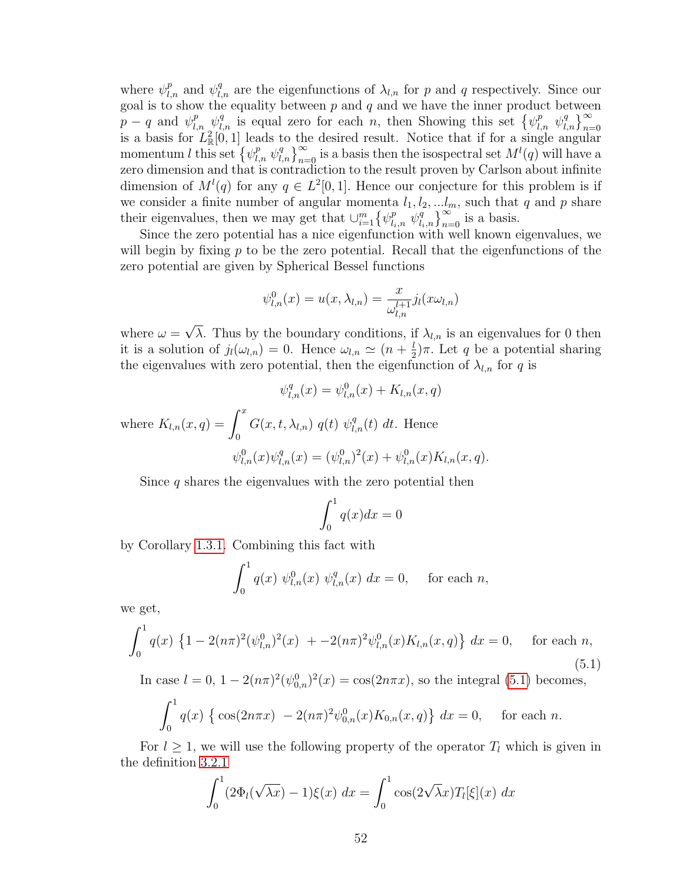where  $\psi_{l,n}^p$  and  $\psi_{l,n}^q$  are the eigenfunctions of  $\lambda_{l,n}$  for p and q respectively. Since our goal is to show the equality between  $p$  and  $q$  and we have the inner product between  $p - q$  and  $\psi_{l,n}^p \psi_{l,n}^q$  is equal zero for each n, then Showing this set  $\{\psi_{l,n}^p \psi_{l,n}^q\}_{n=0}^{\infty}$  is a basis for  $L^2_{\mathbb{R}}[0,1]$  leads to the desired result. Notice that if for a single angular momentum l this set  $\left\{\psi_{l,n}^p \psi_{l,n}^q\right\}_{n=0}^{\infty}$  is a basis then the isospectral set  $M^l(q)$  will have a zero dimension and that is contradiction to the result proven by Carlson about infinite dimension of  $M^l(q)$  for any  $q \in L^2[0,1]$ . Hence our conjecture for this problem is if we consider a finite number of angular momenta  $l_1, l_2, \ldots l_m$ , such that q and p share their eigenvalues, then we may get that  $\cup_{i=1}^m \left\{\psi_{l_i,n}^p \left[\psi_{l_i,n}^q\right]_{n=0}^{\infty} \right\}$  is a basis.

Since the zero potential has a nice eigenfunction with well known eigenvalues, we will begin by fixing  $p$  to be the zero potential. Recall that the eigenfunctions of the zero potential are given by Spherical Bessel functions

$$
\psi_{l,n}^0(x) = u(x, \lambda_{l,n}) = \frac{x}{\omega_{l,n}^{l+1}} j_l(x\omega_{l,n})
$$

where  $\omega =$ √ λ. Thus by the boundary conditions, if  $\lambda_{l,n}$  is an eigenvalues for 0 then it is a solution of  $j_l(\omega_{l,n}) = 0$ . Hence  $\omega_{l,n} \simeq (n + \frac{l}{2})$  $(\frac{l}{2})\pi$ . Let q be a potential sharing the eigenvalues with zero potential, then the eigenfunction of  $\lambda_{l,n}$  for q is

$$
\psi_{l,n}^q(x) = \psi_{l,n}^0(x) + K_{l,n}(x, q)
$$

where  $K_{l,n}(x,q) = \int_0^x$ 0  $G(x, t, \lambda_{l,n})$   $q(t)$   $\psi_{l,n}^q(t)$  dt. Hence  $\psi_{l,n}^0(x)\psi_{l,n}^q(x) = (\psi_{l,n}^0)^2(x) + \psi_{l,n}^0(x)K_{l,n}(x,q).$ 

$$
\varphi_{l,n}(x)\varphi_{l,n}(x) = (\varphi_{l,n}) \ (x) + \varphi_{l,n}(x)\mathbf{1}_{l,n}(x,q)
$$

Since  $q$  shares the eigenvalues with the zero potential then

$$
\int_0^1 q(x)dx = 0
$$

by Corollary [1.3.1.](#page-19-2) Combining this fact with

$$
\int_0^1 q(x) \psi_{l,n}^0(x) \psi_{l,n}^q(x) dx = 0, \text{ for each } n,
$$

<span id="page-60-0"></span>we get,

$$
\int_0^1 q(x) \left\{ 1 - 2(n\pi)^2 (\psi_{l,n}^0)^2(x) \right. \\ \left. + -2(n\pi)^2 \psi_{l,n}^0(x) K_{l,n}(x, q) \right\} dx = 0, \quad \text{for each } n,
$$
\n(5.1)

In case  $l = 0$ ,  $1 - 2(n\pi)^2(\psi_{0,n}^0)^2(x) = \cos(2n\pi x)$ , so the integral [\(5.1\)](#page-60-0) becomes,

$$
\int_0^1 q(x) \left\{ \cos(2n\pi x) - 2(n\pi)^2 \psi_{0,n}^0(x) K_{0,n}(x, q) \right\} dx = 0, \quad \text{for each } n.
$$

For  $l \geq 1$ , we will use the following property of the operator  $T_l$  which is given in the definition [3.2.1](#page-37-0)

$$
\int_0^1 (2\Phi_l(\sqrt{\lambda x}) - 1)\xi(x) dx = \int_0^1 \cos(2\sqrt{\lambda x}) T_l[\xi](x) dx
$$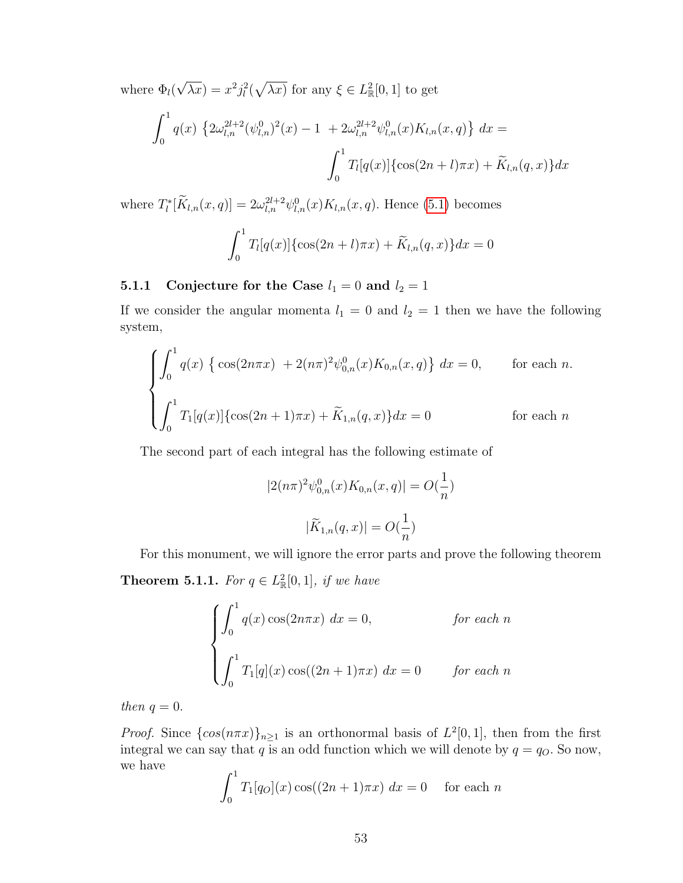where  $\Phi_l($ √  $\overline{\lambda x}) = x^2 j_l^2(\sqrt{\lambda x})$  for any  $\xi \in L^2_{\mathbb{R}}[0,1]$  to get

$$
\int_0^1 q(x) \left\{ 2\omega_{l,n}^{2l+2} (\psi_{l,n}^0)^2(x) - 1 + 2\omega_{l,n}^{2l+2} \psi_{l,n}^0(x) K_{l,n}(x, q) \right\} dx =
$$

$$
\int_0^1 T_l[q(x)] \{ \cos(2n+l)\pi x) + \widetilde{K}_{l,n}(q, x) \} dx
$$

where  $T_l^*[\tilde{K}_{l,n}(x,q)] = 2\omega_{l,n}^{2l+2}\psi_{l,n}^0(x)K_{l,n}(x,q)$ . Hence [\(5.1\)](#page-60-0) becomes

$$
\int_0^1 T_l[q(x)]\{\cos(2n+l)\pi x) + \widetilde{K}_{l,n}(q,x)\}dx = 0
$$

## 5.1.1 Conjecture for the Case  $l_1 = 0$  and  $l_2 = 1$

If we consider the angular momenta  $l_1 = 0$  and  $l_2 = 1$  then we have the following system,

$$
\begin{cases}\n\int_0^1 q(x) \left\{ \cos(2n\pi x) + 2(n\pi)^2 \psi_{0,n}^0(x) K_{0,n}(x, q) \right\} dx = 0, & \text{for each } n. \\
\int_0^1 T_1[q(x)] \left\{ \cos(2n+1)\pi x \right\} + \widetilde{K}_{1,n}(q, x) \right\} dx = 0 & \text{for each } n\n\end{cases}
$$

The second part of each integral has the following estimate of

$$
|2(n\pi)^{2}\psi_{0,n}^{0}(x)K_{0,n}(x,q)| = O(\frac{1}{n})
$$

$$
|\widetilde{K}_{1,n}(q,x)| = O(\frac{1}{n})
$$

For this monument, we will ignore the error parts and prove the following theorem **Theorem 5.1.1.** For  $q \in L^2_{\mathbb{R}}[0,1]$ , if we have

$$
\begin{cases}\n\int_0^1 q(x) \cos(2n\pi x) dx = 0, & \text{for each } n \\
\int_0^1 T_1[q](x) \cos((2n+1)\pi x) dx = 0 & \text{for each } n\n\end{cases}
$$

then  $q = 0$ .

*Proof.* Since  $\{\cos(n\pi x)\}_{n\geq 1}$  is an orthonormal basis of  $L^2[0,1]$ , then from the first integral we can say that q is an odd function which we will denote by  $q = q_O$ . So now, we have

$$
\int_0^1 T_1[q_O](x) \cos((2n+1)\pi x) \, dx = 0 \quad \text{for each } n
$$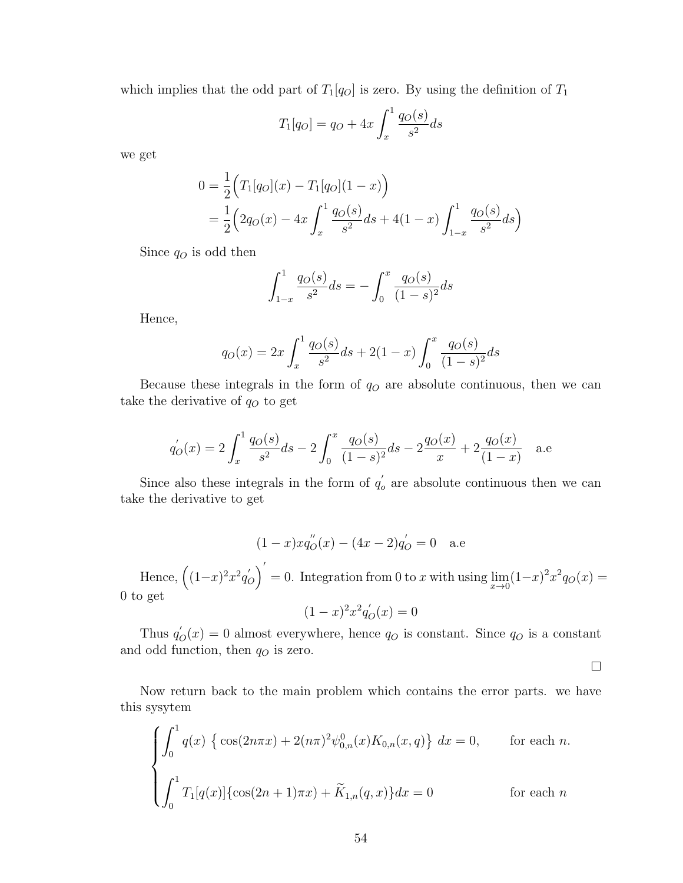which implies that the odd part of  $T_1[q_0]$  is zero. By using the definition of  $T_1$ 

$$
T_1[q_O] = q_O + 4x \int_x^1 \frac{q_O(s)}{s^2} ds
$$

we get

$$
0 = \frac{1}{2} \Big( T_1[q_O](x) - T_1[q_O](1-x) \Big)
$$
  
=  $\frac{1}{2} \Big( 2q_O(x) - 4x \int_x^1 \frac{q_O(s)}{s^2} ds + 4(1-x) \int_{1-x}^1 \frac{q_O(s)}{s^2} ds \Big)$ 

Since  $q_O$  is odd then

$$
\int_{1-x}^{1} \frac{q_O(s)}{s^2} ds = -\int_0^x \frac{q_O(s)}{(1-s)^2} ds
$$

Hence,

$$
q_O(x) = 2x \int_x^1 \frac{q_O(s)}{s^2} ds + 2(1-x) \int_0^x \frac{q_O(s)}{(1-s)^2} ds
$$

Because these integrals in the form of  $q<sub>O</sub>$  are absolute continuous, then we can take the derivative of  $q_O$  to get

$$
q'_{O}(x) = 2\int_{x}^{1} \frac{q_{O}(s)}{s^2} ds - 2\int_{0}^{x} \frac{q_{O}(s)}{(1-s)^2} ds - 2\frac{q_{O}(x)}{x} + 2\frac{q_{O}(x)}{(1-x)}
$$
 a.e

Since also these integrals in the form of  $q'$ .  $\sigma_o$  are absolute continuous then we can take the derivative to get

$$
(1-x)xq_{O}^{''}(x) - (4x - 2)q_{O}' = 0
$$
 a.e

Hence,  $\left( (1-x)^2 x^2 q'_{0} \right)$  $\binom{1}{0}^{\prime}$ = 0. Integration from 0 to x with using  $\lim_{x\to 0} (1-x)^2 x^2 q_O(x) =$ 0 to get

$$
(1-x)^2 x^2 q'_O(x) = 0
$$

Thus  $q'_{\mathcal{O}}(x) = 0$  almost everywhere, hence  $q_{\mathcal{O}}$  is constant. Since  $q_{\mathcal{O}}$  is a constant and odd function, then  $q_O$  is zero.

 $\Box$ 

Now return back to the main problem which contains the error parts. we have this sysytem

$$
\begin{cases}\n\int_0^1 q(x) \left\{ \cos(2n\pi x) + 2(n\pi)^2 \psi_{0,n}^0(x) K_{0,n}(x, q) \right\} dx = 0, & \text{for each } n. \\
\int_0^1 T_1[q(x)] \{ \cos(2n+1)\pi x) + \widetilde{K}_{1,n}(q, x) \} dx = 0 & \text{for each } n\n\end{cases}
$$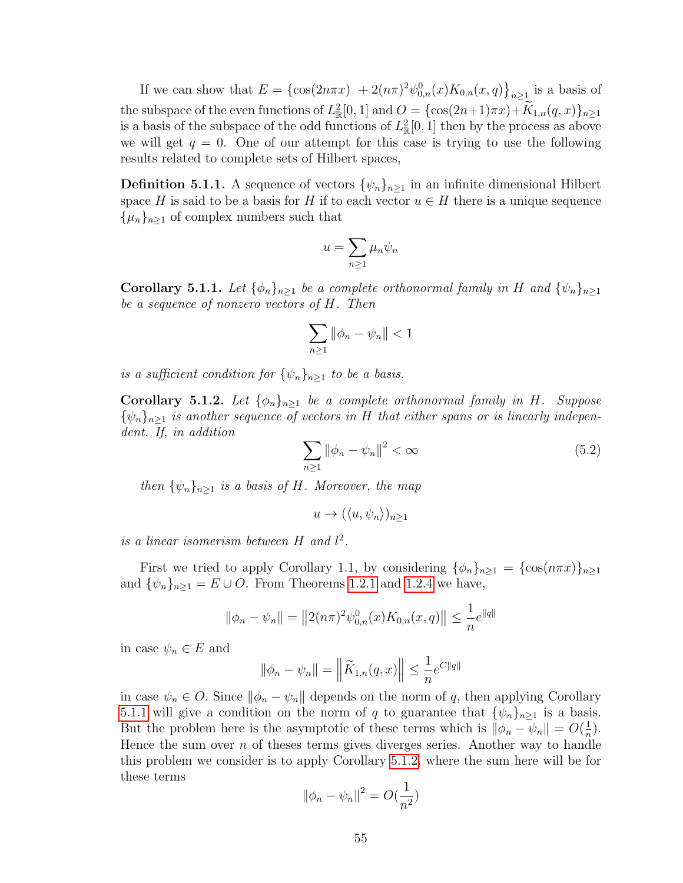If we can show that  $E = {\cos(2n\pi x) + 2(n\pi)^2 \psi_{0,n}^0(x) K_{0,n}(x, q)}_{n \ge 1}$  is a basis of the subspace of the even functions of  $L^2_{\mathbb{R}}[0,1]$  and  $O = {\cos(2n+1)\pi x} + K_{1,n}(q,x)$ <sub>n</sub> $\geq 1$ is a basis of the subspace of the odd functions of  $L^2_{\mathbb{R}}[0,1]$  then by the process as above we will get  $q = 0$ . One of our attempt for this case is trying to use the following results related to complete sets of Hilbert spaces,

**Definition 5.1.1.** A sequence of vectors  $\{\psi_n\}_{n>1}$  in an infinite dimensional Hilbert space H is said to be a basis for H if to each vector  $u \in H$  there is a unique sequence  $\{\mu_n\}_{n\geq 1}$  of complex numbers such that

$$
u = \sum_{n\geq 1} \mu_n \psi_n
$$

<span id="page-63-0"></span>**Corollary 5.1.1.** Let  $\{\phi_n\}_{n\geq 1}$  be a complete orthonormal family in H and  $\{\psi_n\}_{n\geq 1}$ be a sequence of nonzero vectors of H. Then

$$
\sum_{n\geq 1}\|\phi_n-\psi_n\|<1
$$

is a sufficient condition for  $\{\psi_n\}_{n\geq 1}$  to be a basis.

<span id="page-63-1"></span>**Corollary 5.1.2.** Let  $\{\phi_n\}_{n\geq 1}$  be a complete orthonormal family in H. Suppose  $\{\psi_n\}_{n\geq 1}$  is another sequence of vectors in H that either spans or is linearly independent. If, in addition

$$
\sum_{n\geq 1} \left\|\phi_n - \psi_n\right\|^2 < \infty \tag{5.2}
$$

then  $\{\psi_n\}_{n\geq 1}$  is a basis of H. Moreover, the map

 $u \to (\langle u, \psi_n \rangle)_{n>1}$ 

is a linear isomerism between  $H$  and  $l^2$ .

First we tried to apply Corollary 1.1, by considering  $\{\phi_n\}_{n\geq 1} = \{\cos(n\pi x)\}_{n\geq 1}$ and  $\{\psi_n\}_{n\geq 1} = E \cup O$ . From Theorems [1.2.1](#page-15-0) and [1.2.4](#page-18-1) we have,

$$
\|\phi_n - \psi_n\| = \|2(n\pi)^2 \psi_{0,n}^0(x) K_{0,n}(x, q)\| \le \frac{1}{n} e^{\|q\|}
$$

in case  $\psi_n \in E$  and

$$
\|\phi_n - \psi_n\| = \left\|\widetilde{K}_{1,n}(q,x)\right\| \leq \frac{1}{n}e^{C\|q\|}
$$

in case  $\psi_n \in O$ . Since  $\|\phi_n - \psi_n\|$  depends on the norm of q, then applying Corollary [5.1.1](#page-63-0) will give a condition on the norm of q to guarantee that  $\{\psi_n\}_{n>1}$  is a basis. But the problem here is the asymptotic of these terms which is  $\|\phi_n - \psi_n\| = O(\frac{1}{n})$  $\frac{1}{n}$ . Hence the sum over  $n$  of theses terms gives diverges series. Another way to handle this problem we consider is to apply Corollary [5.1.2,](#page-63-1) where the sum here will be for these terms

$$
\|\phi_n - \psi_n\|^2 = O(\frac{1}{n^2})
$$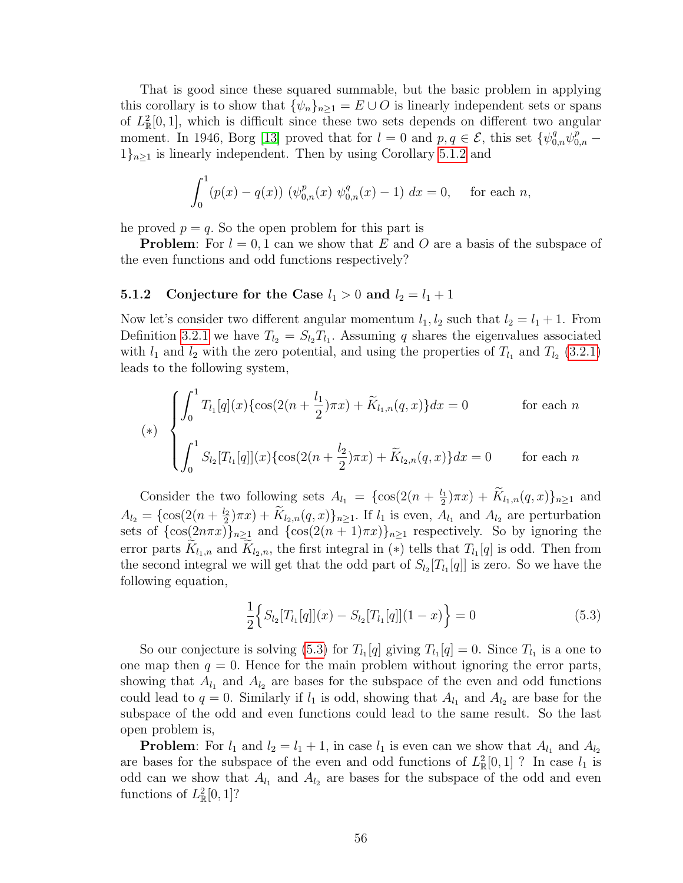That is good since these squared summable, but the basic problem in applying this corollary is to show that  $\{\psi_n\}_{n\geq 1} = E \cup O$  is linearly independent sets or spans of  $L^2_{\mathbb{R}}[0,1]$ , which is difficult since these two sets depends on different two angular moment. In 1946, Borg [\[13\]](#page-77-6) proved that for  $l=0$  and  $p,q\in\mathcal{E}$ , this set  $\{\psi_{0,n}^q\psi_{0,n}^p 1\}_{n\geq 1}$  is linearly independent. Then by using Corollary [5.1.2](#page-63-1) and

$$
\int_0^1 (p(x) - q(x)) \ (\psi_{0,n}^p(x) \ \psi_{0,n}^q(x) - 1) \ dx = 0, \quad \text{for each } n,
$$

he proved  $p = q$ . So the open problem for this part is

**Problem:** For  $l = 0, 1$  can we show that E and O are a basis of the subspace of the even functions and odd functions respectively?

#### **5.1.2** Conjecture for the Case  $l_1 > 0$  and  $l_2 = l_1 + 1$

Now let's consider two different angular momentum  $l_1, l_2$  such that  $l_2 = l_1 + 1$ . From Definition [3.2.1](#page-37-0) we have  $T_{l_2} = S_{l_2} T_{l_1}$ . Assuming q shares the eigenvalues associated with  $l_1$  and  $l_2$  with the zero potential, and using the properties of  $T_{l_1}$  and  $T_{l_2}$  [\(3.2.1\)](#page-37-1) leads to the following system,

$$
(*) \begin{cases} \int_0^1 T_{l_1}[q](x) \{ \cos(2(n + \frac{l_1}{2})\pi x) + \widetilde{K}_{l_1,n}(q,x) \} dx = 0 & \text{for each } n \\ \int_0^1 S_{l_2}[T_{l_1}[q]](x) \{ \cos(2(n + \frac{l_2}{2})\pi x) + \widetilde{K}_{l_2,n}(q,x) \} dx = 0 & \text{for each } n \end{cases}
$$

Consider the two following sets  $A_{l_1} = \{\cos(2(n + \frac{l_1}{2}))\}$  $\frac{M_1}{2}(\pi x) + K_{l_1,n}(q,x) \}_{n \ge 1}$  and  $A_{l_2} = \{\cos(2(n + \frac{l_2}{2}))\}$  $\mathcal{L}_2^{(2)}(\pi x) + K_{l_2,n}(q,x)\}_{n\geq 1}$ . If  $l_1$  is even,  $A_{l_1}$  and  $A_{l_2}$  are perturbation sets of  $\{\cos(2n\pi x)\}_{n\geq 1}$  and  $\{\cos(2(n+1)\pi x)\}_{n\geq 1}$  respectively. So by ignoring the error parts  $K_{l_1,n}$  and  $K_{l_2,n}$ , the first integral in (\*) tells that  $T_{l_1}[q]$  is odd. Then from the second integral we will get that the odd part of  $S_{l_2}[T_{l_1}[q]]$  is zero. So we have the following equation,

<span id="page-64-0"></span>
$$
\frac{1}{2}\Big\{S_{l_2}[T_{l_1}[q]](x) - S_{l_2}[T_{l_1}[q]](1-x)\Big\} = 0\tag{5.3}
$$

So our conjecture is solving [\(5.3\)](#page-64-0) for  $T_{l_1}[q]$  giving  $T_{l_1}[q] = 0$ . Since  $T_{l_1}$  is a one to one map then  $q = 0$ . Hence for the main problem without ignoring the error parts, showing that  $A_{l_1}$  and  $A_{l_2}$  are bases for the subspace of the even and odd functions could lead to  $q = 0$ . Similarly if  $l_1$  is odd, showing that  $A_{l_1}$  and  $A_{l_2}$  are base for the subspace of the odd and even functions could lead to the same result. So the last open problem is,

**Problem:** For  $l_1$  and  $l_2 = l_1 + 1$ , in case  $l_1$  is even can we show that  $A_{l_1}$  and  $A_{l_2}$ are bases for the subspace of the even and odd functions of  $L^2_{\mathbb{R}}[0,1]$ ? In case  $l_1$  is odd can we show that  $A_{l_1}$  and  $A_{l_2}$  are bases for the subspace of the odd and even functions of  $L^2_{\mathbb{R}}[0,1]$ ?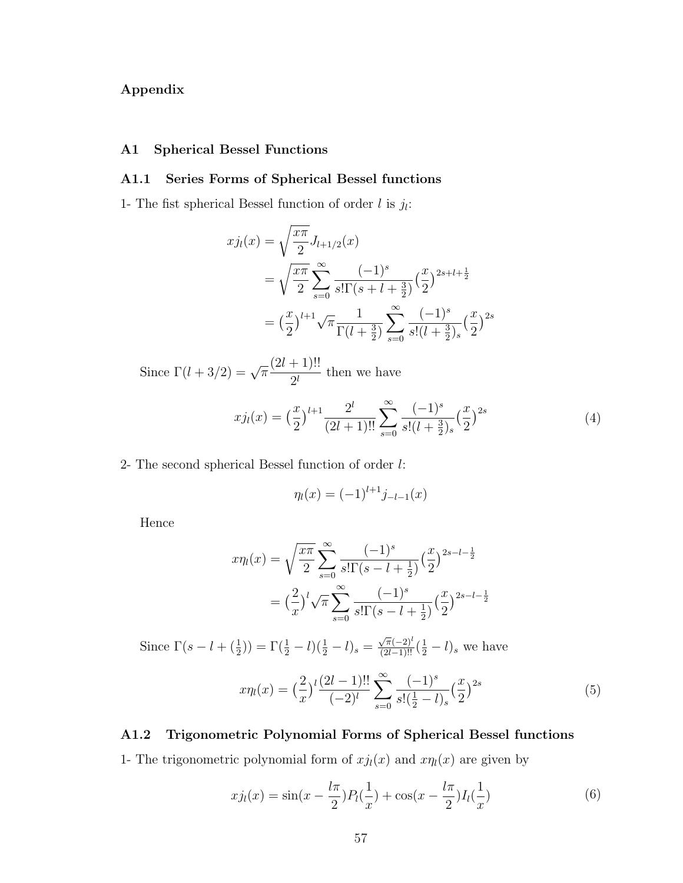# Appendix

## A1 Spherical Bessel Functions

## A1.1 Series Forms of Spherical Bessel functions

1- The fist spherical Bessel function of order  $l$  is  $j_l$ :

$$
xj_l(x) = \sqrt{\frac{x\pi}{2}} J_{l+1/2}(x)
$$
  
=  $\sqrt{\frac{x\pi}{2}} \sum_{s=0}^{\infty} \frac{(-1)^s}{s!\Gamma(s+l+\frac{3}{2})} (\frac{x}{2})^{2s+l+\frac{1}{2}}$   
=  $(\frac{x}{2})^{l+1} \sqrt{\pi} \frac{1}{\Gamma(l+\frac{3}{2})} \sum_{s=0}^{\infty} \frac{(-1)^s}{s!(l+\frac{3}{2})_s} (\frac{x}{2})^{2s}$ 

Since  $\Gamma(l+3/2) = \sqrt{\pi}$  $(2l + 1)!!$  $\frac{1}{2^l}$  then we have

$$
xj_l(x) = \left(\frac{x}{2}\right)^{l+1} \frac{2^l}{(2l+1)!!} \sum_{s=0}^{\infty} \frac{(-1)^s}{s!(l+\frac{3}{2})_s} \left(\frac{x}{2}\right)^{2s} \tag{4}
$$

2- The second spherical Bessel function of order l:

<span id="page-65-2"></span><span id="page-65-1"></span>
$$
\eta_l(x) = (-1)^{l+1} j_{-l-1}(x)
$$

Hence

$$
x\eta_l(x) = \sqrt{\frac{x\pi}{2}} \sum_{s=0}^{\infty} \frac{(-1)^s}{s!\Gamma(s-l+\frac{1}{2})} \left(\frac{x}{2}\right)^{2s-l-\frac{1}{2}}
$$

$$
= \left(\frac{2}{x}\right)^l \sqrt{\pi} \sum_{s=0}^{\infty} \frac{(-1)^s}{s!\Gamma(s-l+\frac{1}{2})} \left(\frac{x}{2}\right)^{2s-l-\frac{1}{2}}
$$

Since  $\Gamma(s - l + (\frac{1}{2})) = \Gamma(\frac{1}{2} - l)(\frac{1}{2} - l)_s =$  $\frac{\sqrt{\pi}(-2)^l}{(2l-1)!!}(\frac{1}{2}-l)_s$  we have

<span id="page-65-0"></span>
$$
x\eta_l(x) = \left(\frac{2}{x}\right)^l \frac{(2l-1)!!}{(-2)^l} \sum_{s=0}^{\infty} \frac{(-1)^s}{s!(\frac{1}{2}-l)_s} \left(\frac{x}{2}\right)^{2s} \tag{5}
$$

## A1.2 Trigonometric Polynomial Forms of Spherical Bessel functions

1- The trigonometric polynomial form of  $xj<sub>l</sub>(x)$  and  $x\eta<sub>l</sub>(x)$  are given by

$$
xj_l(x) = \sin(x - \frac{l\pi}{2})P_l(\frac{1}{x}) + \cos(x - \frac{l\pi}{2})I_l(\frac{1}{x})
$$
\n(6)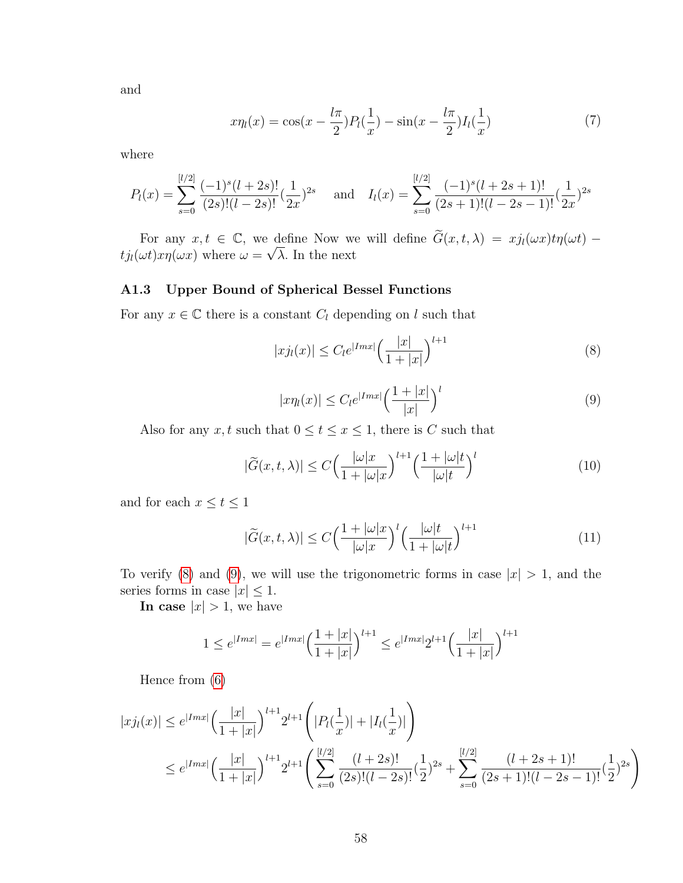<span id="page-66-2"></span>and

$$
x\eta_l(x) = \cos(x - \frac{l\pi}{2})P_l(\frac{1}{x}) - \sin(x - \frac{l\pi}{2})I_l(\frac{1}{x})
$$
\n(7)

where

$$
P_l(x) = \sum_{s=0}^{[l/2]} \frac{(-1)^s (l+2s)!}{(2s)!(l-2s)!} (\frac{1}{2x})^{2s} \quad \text{and} \quad I_l(x) = \sum_{s=0}^{[l/2]} \frac{(-1)^s (l+2s+1)!}{(2s+1)!(l-2s-1)!} (\frac{1}{2x})^{2s}
$$

For any  $x, t \in \mathbb{C}$ , we define Now we will define  $\widetilde{G}(x, t, \lambda) = xj_l(\omega x)t\eta(\omega t)$  $t j_l(\omega t) x \eta(\omega x)$  where  $\omega =$ √ λ. In the next

## A1.3 Upper Bound of Spherical Bessel Functions

For any  $x \in \mathbb{C}$  there is a constant  $C_l$  depending on l such that

<span id="page-66-0"></span>
$$
|xj_l(x)| \le C_l e^{|Imx|} \left(\frac{|x|}{1+|x|}\right)^{l+1}
$$
 (8)

$$
|x\eta_l(x)| \le C_l e^{|Imx|} \left(\frac{1+|x|}{|x|}\right)^l \tag{9}
$$

<span id="page-66-1"></span>Also for any x, t such that  $0 \le t \le x \le 1$ , there is C such that

$$
|\widetilde{G}(x,t,\lambda)| \le C \Big(\frac{|\omega|x|}{1+|\omega|x|}\Big)^{l+1} \Big(\frac{1+|\omega|t}{|\omega|t}\Big)^l \tag{10}
$$

and for each  $x \le t \le 1$ 

$$
|\widetilde{G}(x,t,\lambda)| \le C \Big(\frac{1+|\omega|x|}{|\omega|x|}\Big)^{l} \Big(\frac{|\omega|t}{1+|\omega|t}\Big)^{l+1} \tag{11}
$$

To verify [\(8\)](#page-66-0) and [\(9\)](#page-66-1), we will use the trigonometric forms in case  $|x| > 1$ , and the series forms in case  $|x| \leq 1$ .

In case  $|x| > 1$ , we have

$$
1 \le e^{|Imx|} = e^{|Imx|} \left(\frac{1+|x|}{1+|x|}\right)^{l+1} \le e^{|Imx|} 2^{l+1} \left(\frac{|x|}{1+|x|}\right)^{l+1}
$$

Hence from [\(6\)](#page-65-0)

$$
|xj_l(x)| \le e^{|Imx|} \left(\frac{|x|}{1+|x|}\right)^{l+1} 2^{l+1} \left(|P_l(\frac{1}{x})| + |I_l(\frac{1}{x})| \right)
$$
  

$$
\le e^{|Imx|} \left(\frac{|x|}{1+|x|}\right)^{l+1} 2^{l+1} \left(\sum_{s=0}^{[l/2]} \frac{(l+2s)!}{(2s)!(l-2s)!} (\frac{1}{2})^{2s} + \sum_{s=0}^{[l/2]} \frac{(l+2s+1)!}{(2s+1)!(l-2s-1)!} (\frac{1}{2})^{2s}\right)
$$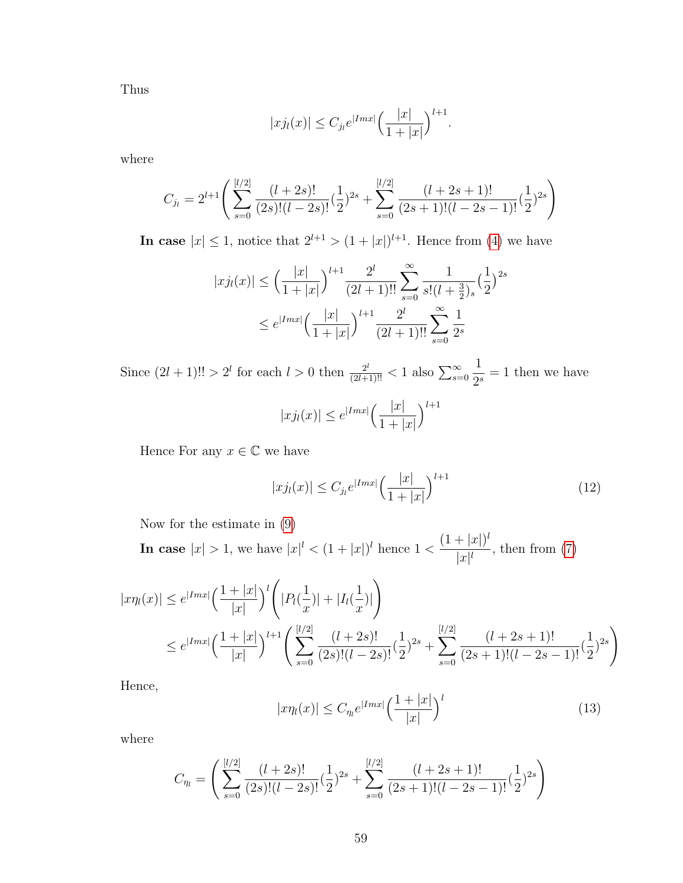Thus

$$
|xj_l(x)| \leq C_{j_l} e^{|Imx|} \left(\frac{|x|}{1+|x|}\right)^{l+1}.
$$

where

$$
C_{j_l} = 2^{l+1} \left( \sum_{s=0}^{[l/2]} \frac{(l+2s)!}{(2s)!(l-2s)!} \left(\frac{1}{2}\right)^{2s} + \sum_{s=0}^{[l/2]} \frac{(l+2s+1)!}{(2s+1)!(l-2s-1)!} \left(\frac{1}{2}\right)^{2s} \right)
$$

In case  $|x| \leq 1$ , notice that  $2^{l+1} > (1+|x|)^{l+1}$ . Hence from [\(4\)](#page-65-1) we have

$$
|xj_l(x)| \le \left(\frac{|x|}{1+|x|}\right)^{l+1} \frac{2^l}{(2l+1)!!} \sum_{s=0}^{\infty} \frac{1}{s!(l+\frac{3}{2})_s} \left(\frac{1}{2}\right)^{2s}
$$

$$
\le e^{|Imx|} \left(\frac{|x|}{1+|x|}\right)^{l+1} \frac{2^l}{(2l+1)!!} \sum_{s=0}^{\infty} \frac{1}{2^s}
$$

Since  $(2l + 1)!! > 2^l$  for each  $l > 0$  then  $\frac{2^l}{(2l+1)!!} < 1$  also  $\sum_{s=0}^{\infty}$ 1  $\frac{1}{2^s} = 1$  then we have

$$
|xj_l(x)| \leq e^{|Imx|} \left(\frac{|x|}{1+|x|}\right)^{l+1}
$$

Hence For any  $x \in \mathbb{C}$  we have

$$
|x j_l(x)| \le C_{j_l} e^{|Imx|} \left(\frac{|x|}{1+|x|}\right)^{l+1} \tag{12}
$$

Now for the estimate in [\(9\)](#page-66-1)

In case  $|x| > 1$ , we have  $|x|^l < (1+|x|)^l$  hence  $1 < \frac{(1+|x|)^l}{l!}$  $\frac{||x||}{||x||}$ , then from [\(7\)](#page-66-2)

$$
|x\eta_l(x)| \le e^{|Imx|} \left(\frac{1+|x|}{|x|}\right)^l \left(|P_l(\frac{1}{x})| + |I_l(\frac{1}{x})|\right)
$$
  

$$
\le e^{|Imx|} \left(\frac{1+|x|}{|x|}\right)^{l+1} \left(\sum_{s=0}^{[l/2]} \frac{(l+2s)!}{(2s)!(l-2s)!} (\frac{1}{2})^{2s} + \sum_{s=0}^{[l/2]} \frac{(l+2s+1)!}{(2s+1)!(l-2s-1)!} (\frac{1}{2})^{2s}\right)
$$

Hence,

$$
|x\eta_l(x)| \le C_{\eta_l} e^{|Imx|} \left(\frac{1+|x|}{|x|}\right)^l \tag{13}
$$

where

$$
C_{\eta_l} = \left( \sum_{s=0}^{[l/2]} \frac{(l+2s)!}{(2s)!(l-2s)!} \left(\frac{1}{2}\right)^{2s} + \sum_{s=0}^{[l/2]} \frac{(l+2s+1)!}{(2s+1)!(l-2s-1)!} \left(\frac{1}{2}\right)^{2s} \right)
$$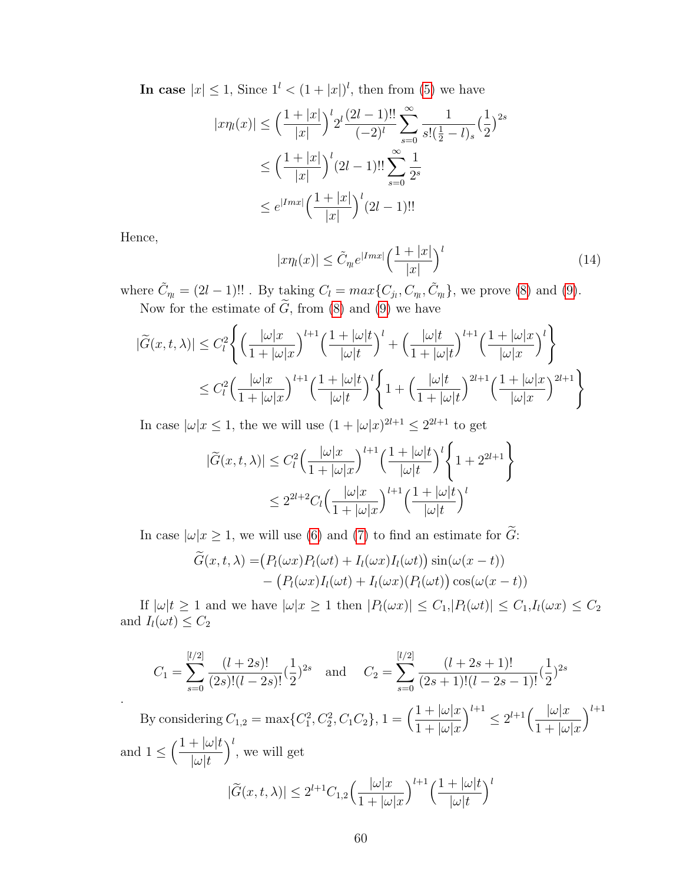In case  $|x| \leq 1$ , Since  $1^l < (1+|x|)^l$ , then from [\(5\)](#page-65-2) we have

$$
|x\eta_l(x)| \le \left(\frac{1+|x|}{|x|}\right)^l 2^l \frac{(2l-1)!!}{(-2)^l} \sum_{s=0}^{\infty} \frac{1}{s!(\frac{1}{2}-l)_s} (\frac{1}{2})^{2s}
$$
  

$$
\le \left(\frac{1+|x|}{|x|}\right)^l (2l-1)!! \sum_{s=0}^{\infty} \frac{1}{2^s}
$$
  

$$
\le e^{|Imx|} \left(\frac{1+|x|}{|x|}\right)^l (2l-1)!!
$$

Hence,

.

$$
|x\eta_l(x)| \le \tilde{C}_{\eta_l} e^{|Imx|} \Big(\frac{1+|x|}{|x|}\Big)^l \tag{14}
$$

where  $\tilde{C}_\eta = (2l - 1)!!$ . By taking  $C_l = max\{C_{j_l}, C_{\eta_l}, \tilde{C}_{\eta_l}\}$ , we prove [\(8\)](#page-66-0) and [\(9\)](#page-66-1). Now for the estimate of  $G$ , from  $(8)$  and  $(9)$  we have

$$
|\widetilde{G}(x,t,\lambda)| \leq C_l^2 \left\{ \left( \frac{|\omega|x|}{1+|\omega|x|} \right)^{l+1} \left( \frac{1+|\omega|t}{|\omega|t} \right)^l + \left( \frac{|\omega|t}{1+|\omega|t} \right)^{l+1} \left( \frac{1+|\omega|x|}{|\omega|x|} \right)^l \right\}
$$
  

$$
\leq C_l^2 \left( \frac{|\omega|x|}{1+|\omega|x|} \right)^{l+1} \left( \frac{1+|\omega|t}{|\omega|t} \right)^l \left\{ 1 + \left( \frac{|\omega|t}{1+|\omega|t} \right)^{2l+1} \left( \frac{1+|\omega|x|}{|\omega|x} \right)^{2l+1} \right\}
$$

In case  $|\omega| x \leq 1$ , the we will use  $(1 + |\omega| x)^{2l+1} \leq 2^{2l+1}$  to get

$$
|\widetilde{G}(x,t,\lambda)| \leq C_l^2 \left(\frac{|\omega|x|}{1+|\omega|x|}\right)^{l+1} \left(\frac{1+|\omega|t}{|\omega|t}\right)^l \left\{1+2^{2l+1}\right\}
$$

$$
\leq 2^{2l+2} C_l \left(\frac{|\omega|x|}{1+|\omega|x|}\right)^{l+1} \left(\frac{1+|\omega|t}{|\omega|t}\right)^l
$$

In case  $|\omega|x \geq 1$ , we will use [\(6\)](#page-65-0) and [\(7\)](#page-66-2) to find an estimate for  $\tilde{G}$ :

$$
\begin{aligned} \widehat{G}(x,t,\lambda) = & \big(P_l(\omega x)P_l(\omega t) + I_l(\omega x)I_l(\omega t)\big)\sin(\omega(x-t)) \\ &- \big(P_l(\omega x)I_l(\omega t) + I_l(\omega x)(P_l(\omega t)\big)\cos(\omega(x-t)) \end{aligned}
$$

If  $|\omega|t \geq 1$  and we have  $|\omega|x \geq 1$  then  $|P_l(\omega x)| \leq C_1, |P_l(\omega t)| \leq C_1, I_l(\omega x) \leq C_2$ and  $I_l(\omega t) \leq C_2$ 

$$
C_1 = \sum_{s=0}^{[l/2]} \frac{(l+2s)!}{(2s)!(l-2s)!} (\frac{1}{2})^{2s} \quad \text{and} \quad C_2 = \sum_{s=0}^{[l/2]} \frac{(l+2s+1)!}{(2s+1)!(l-2s-1)!} (\frac{1}{2})^{2s}
$$
\n
$$
\text{By considering } C_{1,2} = \max\{C_1^2, C_2^2, C_1C_2\}, 1 = \left(\frac{1+|\omega|x|}{1+|\omega|x|}\right)^{l+1} \le 2^{l+1} \left(\frac{|\omega|x|}{1+|\omega|x|}\right)^{l+1}
$$
\n
$$
\text{and } 1 \le \left(\frac{1+|\omega|t}{|\omega|t}\right)^l, \text{ we will get}
$$
\n
$$
|\widetilde{G}(x,t,\lambda)| \le 2^{l+1}C_{1,2}\left(\frac{|\omega|x|}{1+|\omega|x|}\right)^{l+1} \left(\frac{1+|\omega|t}{|\omega|t}\right)^l
$$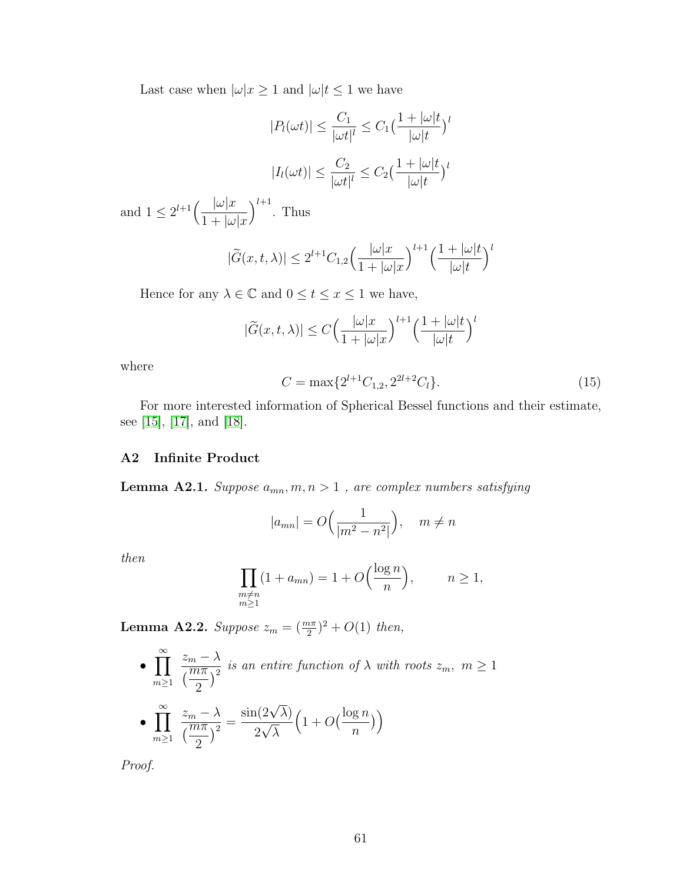Last case when  $|\omega|x \geq 1$  and  $|\omega|t \leq 1$  we have

$$
|P_l(\omega t)| \le \frac{C_1}{|\omega t|^l} \le C_1 \left(\frac{1+|\omega|t}{|\omega|t}\right)^l
$$

$$
|I_l(\omega t)| \le \frac{C_2}{|\omega t|^l} \le C_2 \left(\frac{1+|\omega|t}{|\omega|t}\right)^l
$$

and  $1 \leq 2^{l+1} \left( \frac{|\omega| x}{1+1} \right)$  $1 + |\omega| x$  $\big)^{l+1}$ . Thus

$$
|\widetilde{G}(x,t,\lambda)| \le 2^{l+1}C_{1,2}\left(\frac{|\omega| x}{1+|\omega| x}\right)^{l+1}\left(\frac{1+|\omega| t}{|\omega| t}\right)^l
$$

Hence for any  $\lambda \in \mathbb{C}$  and  $0 \le t \le x \le 1$  we have,

$$
|\widetilde{G}(x,t,\lambda)| \le C \Big(\frac{|\omega|x|}{1+|\omega|x|}\Big)^{l+1} \Big(\frac{1+|\omega|t}{|\omega|t}\Big)^l
$$

where

$$
C = \max\{2^{l+1}C_{1,2}, 2^{2l+2}C_l\}.
$$
\n(15)

For more interested information of Spherical Bessel functions and their estimate, see [\[15\]](#page-77-7), [\[17\]](#page-78-0), and [\[18\]](#page-78-1).

## A2 Infinite Product

<span id="page-69-0"></span>**Lemma A2.1.** Suppose  $a_{mn}, m, n > 1$ , are complex numbers satisfying

$$
|a_{mn}| = O\left(\frac{1}{|m^2 - n^2|}\right), \quad m \neq n
$$

then

$$
\prod_{\substack{m \neq n \\ m \ge 1}} (1 + a_{mn}) = 1 + O\left(\frac{\log n}{n}\right), \qquad n \ge 1,
$$

**Lemma A2.2.** Suppose  $z_m = (\frac{m\pi}{2})^2 + O(1)$  then,

• 
$$
\prod_{m\geq 1}^{\infty} \frac{z_m - \lambda}{\left(\frac{m\pi}{2}\right)^2}
$$
 is an entire function of  $\lambda$  with roots  $z_m$ ,  $m \geq 1$   
• 
$$
\prod_{m\geq 1}^{\infty} \frac{z_m - \lambda}{\left(\frac{m\pi}{2}\right)^2} = \frac{\sin(2\sqrt{\lambda})}{2\sqrt{\lambda}} \left(1 + O\left(\frac{\log n}{n}\right)\right)
$$

Proof.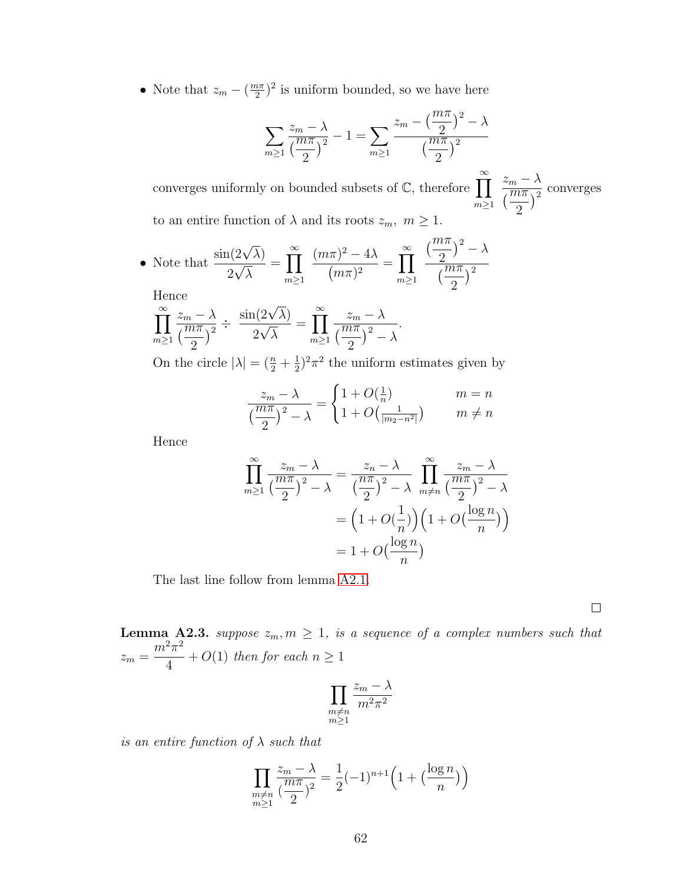• Note that  $z_m - \left(\frac{m\pi}{2}\right)$  $\frac{2\pi}{2}$ <sup>2</sup> is uniform bounded, so we have here

$$
\sum_{m\geq 1} \frac{z_m - \lambda}{\left(\frac{m\pi}{2}\right)^2} - 1 = \sum_{m\geq 1} \frac{z_m - \left(\frac{m\pi}{2}\right)^2 - \lambda}{\left(\frac{m\pi}{2}\right)^2}
$$

converges uniformly on bounded subsets of  $\mathbb{C}$ , therefore  $\prod^{\infty}$  $m \geq 1$  $z_m - \lambda$  $\sqrt{\frac{m\pi}{2}}$ 2  $)^2$ converges to an entire function of  $\lambda$  and its roots  $z_m$ ,  $m \geq 1$ .

• Note that 
$$
\frac{\sin(2\sqrt{\lambda})}{2\sqrt{\lambda}} = \prod_{m\geq 1}^{\infty} \frac{(m\pi)^2 - 4\lambda}{(m\pi)^2} = \prod_{m\geq 1}^{\infty} \frac{\left(\frac{m\pi}{2}\right)^2 - \lambda}{\left(\frac{m\pi}{2}\right)^2}
$$
  
Hence

$$
\prod_{m\geq 1}^{\infty} \frac{z_m - \lambda}{\left(\frac{m\pi}{2}\right)^2} \div \frac{\sin(2\sqrt{\lambda})}{2\sqrt{\lambda}} = \prod_{m\geq 1}^{\infty} \frac{z_m - \lambda}{\left(\frac{m\pi}{2}\right)^2 - \lambda}.
$$

On the circle  $|\lambda| = \left(\frac{n}{2} + \frac{1}{2}\right)$  $(\frac{1}{2})^2 \pi^2$  the uniform estimates given by

$$
\frac{z_m - \lambda}{\left(\frac{m\pi}{2}\right)^2 - \lambda} = \begin{cases} 1 + O(\frac{1}{n}) & m = n \\ 1 + O(\frac{1}{|m_2 - n^2|}) & m \neq n \end{cases}
$$

Hence

$$
\prod_{m\geq 1}^{\infty} \frac{z_m - \lambda}{\left(\frac{m\pi}{2}\right)^2 - \lambda} = \frac{z_n - \lambda}{\left(\frac{n\pi}{2}\right)^2 - \lambda} \prod_{m\neq n}^{\infty} \frac{z_m - \lambda}{\left(\frac{m\pi}{2}\right)^2 - \lambda}
$$

$$
= \left(1 + O\left(\frac{1}{n}\right)\right) \left(1 + O\left(\frac{\log n}{n}\right)\right)
$$

$$
= 1 + O\left(\frac{\log n}{n}\right)
$$

The last line follow from lemma [A2.1.](#page-69-0)

 $\Box$ 

**Lemma A2.3.** suppose  $z_m, m \geq 1$ , is a sequence of a complex numbers such that  $z_m =$  $m^2\pi^2$ 4 +  $O(1)$  then for each  $n \geq 1$ 

$$
\prod_{\substack{m \neq n \\ m \geq 1}} \frac{z_m - \lambda}{m^2 \pi^2}
$$

is an entire function of  $\lambda$  such that

$$
\prod_{\substack{m \neq n \\ m \ge 1}} \frac{z_m - \lambda}{\left(\frac{m\pi}{2}\right)^2} = \frac{1}{2}(-1)^{n+1}\left(1 + \left(\frac{\log n}{n}\right)\right)
$$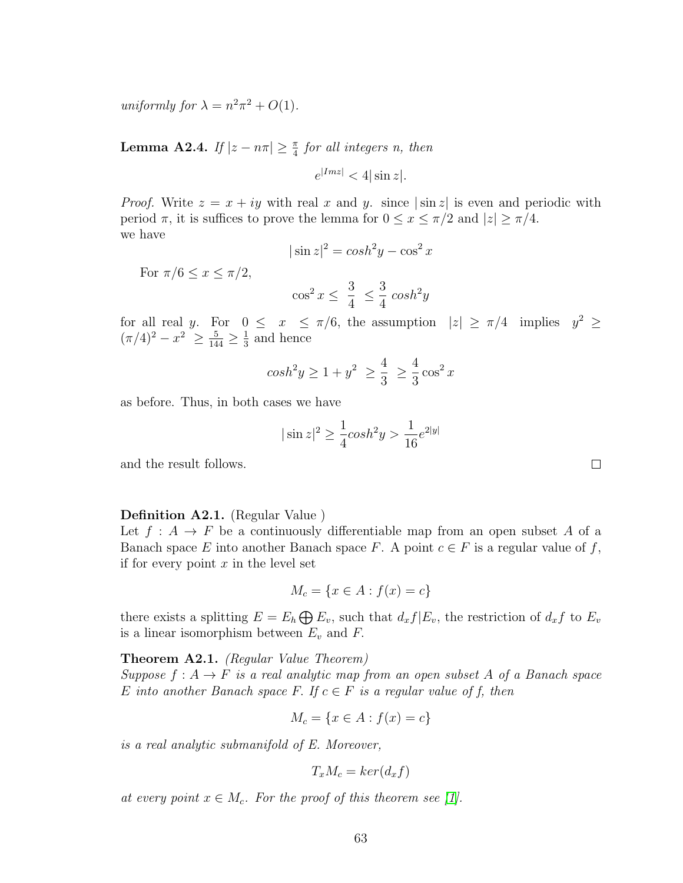uniformly for  $\lambda = n^2 \pi^2 + O(1)$ .

**Lemma A2.4.** If  $|z - n\pi| \geq \frac{\pi}{4}$  for all integers n, then

 $e^{|Im z|} < 4 |\sin z|$ .

*Proof.* Write  $z = x + iy$  with real x and y. since  $|\sin z|$  is even and periodic with period  $\pi$ , it is suffices to prove the lemma for  $0 \le x \le \pi/2$  and  $|z| \ge \pi/4$ . we have

$$
|\sin z|^2 = \cosh^2 y - \cos^2 x
$$

For  $\pi/6 \leq x \leq \pi/2$ ,

$$
\cos^2 x \leq \frac{3}{4} \leq \frac{3}{4} \cosh^2 y
$$

for all real y. For  $0 \leq x \leq \pi/6$ , the assumption  $|z| \geq \pi/4$  implies  $y^2 \geq$  $(\pi/4)^2 - x^2 \ge \frac{5}{144} \ge \frac{1}{3}$  $\frac{1}{3}$  and hence

$$
\cosh^2 y \ge 1 + y^2 \ge \frac{4}{3} \ge \frac{4}{3} \cos^2 x
$$

as before. Thus, in both cases we have

$$
|\sin z|^2 \ge \frac{1}{4}\cosh^2 y > \frac{1}{16}e^{2|y|}
$$

and the result follows.

#### Definition A2.1. (Regular Value )

Let  $f: A \to F$  be a continuously differentiable map from an open subset A of a Banach space E into another Banach space F. A point  $c \in F$  is a regular value of f, if for every point  $x$  in the level set

$$
M_c = \{x \in A : f(x) = c\}
$$

there exists a splitting  $E = E_h \bigoplus E_v$ , such that  $d_x f | E_v$ , the restriction of  $d_x f$  to  $E_v$ is a linear isomorphism between  $E_v$  and  $F$ .

<span id="page-71-0"></span>Theorem A2.1. (Regular Value Theorem) Suppose  $f: A \to F$  is a real analytic map from an open subset A of a Banach space E into another Banach space F. If  $c \in F$  is a regular value of f, then

$$
M_c = \{x \in A : f(x) = c\}
$$

is a real analytic submanifold of E. Moreover,

$$
T_x M_c = \ker(d_x f)
$$

at every point  $x \in M_c$ . For the proof of this theorem see [\[1\]](#page-77-0).

 $\Box$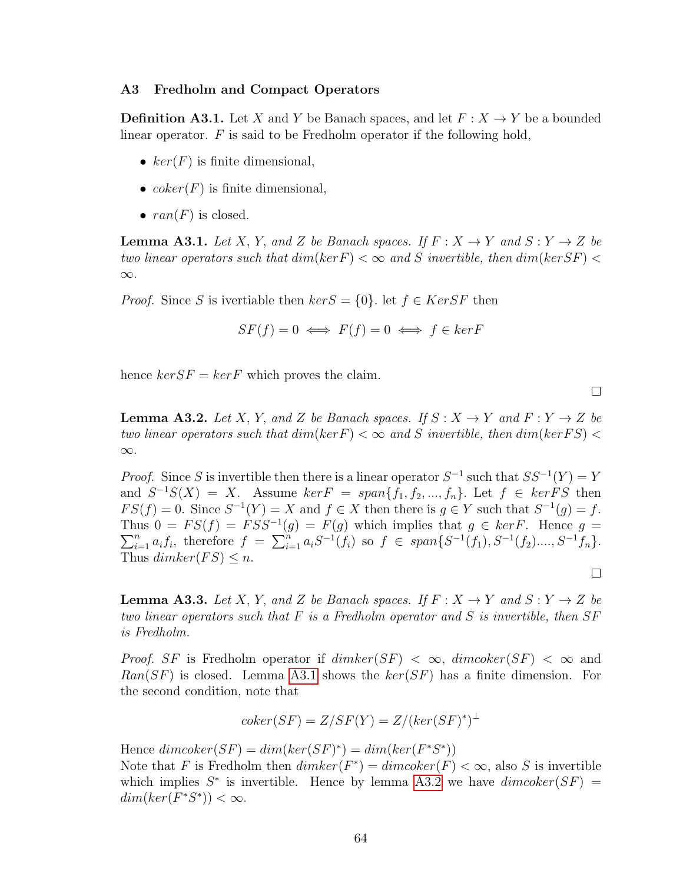### A3 Fredholm and Compact Operators

**Definition A3.1.** Let X and Y be Banach spaces, and let  $F: X \to Y$  be a bounded linear operator.  $F$  is said to be Fredholm operator if the following hold,

- $ker(F)$  is finite dimensional,
- $coker(F)$  is finite dimensional,
- $ran(F)$  is closed.

<span id="page-72-0"></span>**Lemma A3.1.** Let X, Y, and Z be Banach spaces. If  $F: X \to Y$  and  $S: Y \to Z$  be two linear operators such that  $dim(ker F) < \infty$  and S invertible, then  $dim(ker SF) <$ ∞.

*Proof.* Since S is ivertiable then  $\text{ker } S = \{0\}$ . let  $f \in \text{Ker } SF$  then

$$
SF(f) = 0 \iff F(f) = 0 \iff f \in kerF
$$

hence  $ker SF = ker F$  which proves the claim.

<span id="page-72-1"></span>**Lemma A3.2.** Let X, Y, and Z be Banach spaces. If  $S: X \to Y$  and  $F: Y \to Z$  be two linear operators such that  $dim(ker F) < \infty$  and S invertible, then  $dim(ker FS) <$ ∞.

 $\Box$ 

 $\Box$ 

*Proof.* Since S is invertible then there is a linear operator  $S^{-1}$  such that  $SS^{-1}(Y) = Y$ and  $S^{-1}S(X) = X$ . Assume  $ker F = span{f_1, f_2, ..., f_n}$ . Let  $f \in ker FS$  then  $FS(f) = 0$ . Since  $S^{-1}(Y) = X$  and  $f \in X$  then there is  $g \in Y$  such that  $S^{-1}(g) = f$ . Thus  $0 = FS(f) = FSS^{-1}(g) = F(g)$  which implies that  $g \in kerF$ . Hence  $g =$  $\sum_{i=1}^n a_i f_i$ , therefore  $f = \sum_{i=1}^n a_i S^{-1}(f_i)$  so  $f \in span\{S^{-1}(f_1), S^{-1}(f_2),..., S^{-1}(f_n)\}.$ Thus  $dimker(FS) \leq n$ .

<span id="page-72-2"></span>**Lemma A3.3.** Let X, Y, and Z be Banach spaces. If  $F: X \to Y$  and  $S: Y \to Z$  be two linear operators such that  $F$  is a Fredholm operator and  $S$  is invertible, then  $SF$ is Fredholm.

*Proof.* SF is Fredholm operator if  $dim \ker(SF) < \infty$ ,  $dim \operatorname{coker}(SF) < \infty$  and  $Ran(SF)$  is closed. Lemma [A3.1](#page-72-0) shows the  $ker(SF)$  has a finite dimension. For the second condition, note that

$$
coker(SF) = Z/SF(Y) = Z/(ker(SF)^*)^{\perp}
$$

Hence  $dim \, coker(SF) = dim(ker(SF)^*) = dim(ker(F^*S^*))$ Note that F is Fredholm then  $dimker(F^*) = dimcoker(F) < \infty$ , also S is invertible which implies  $S^*$  is invertible. Hence by lemma [A3.2](#page-72-1) we have  $dim \, \text{coker}(SF) =$  $dim(ker(F^*S^*)) < \infty.$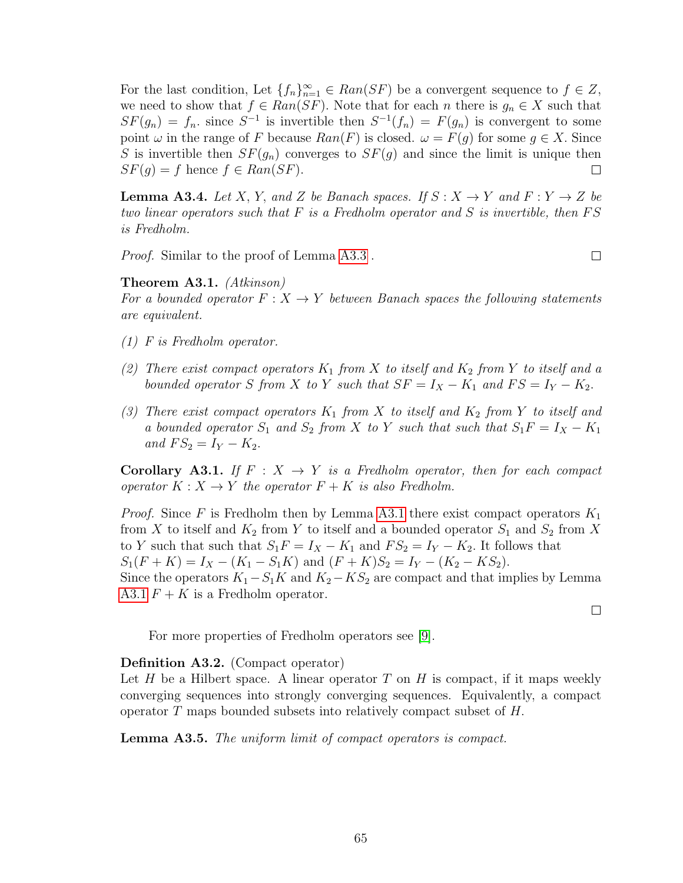For the last condition, Let  $\{f_n\}_{n=1}^{\infty} \in Ran(SF)$  be a convergent sequence to  $f \in Z$ , we need to show that  $f \in Ran(SF)$ . Note that for each n there is  $g_n \in X$  such that  $SF(g_n) = f_n$  since  $S^{-1}$  is invertible then  $S^{-1}(f_n) = F(g_n)$  is convergent to some point  $\omega$  in the range of F because  $Ran(F)$  is closed.  $\omega = F(g)$  for some  $g \in X$ . Since S is invertible then  $SF(g_n)$  converges to  $SF(g)$  and since the limit is unique then  $SF(g) = f$  hence  $f \in Ran(SF)$ .  $\Box$ 

**Lemma A3.4.** Let X, Y, and Z be Banach spaces. If  $S: X \rightarrow Y$  and  $F: Y \rightarrow Z$  be two linear operators such that  $F$  is a Fredholm operator and  $S$  is invertible, then  $FS$ is Fredholm.

Proof. Similar to the proof of Lemma [A3.3](#page-72-2) .

### <span id="page-73-0"></span>Theorem A3.1. (Atkinson)

For a bounded operator  $F: X \to Y$  between Banach spaces the following statements are equivalent.

- (1) F is Fredholm operator.
- (2) There exist compact operators  $K_1$  from X to itself and  $K_2$  from Y to itself and a bounded operator S from X to Y such that  $SF = I_X - K_1$  and  $FS = I_Y - K_2$ .
- (3) There exist compact operators  $K_1$  from X to itself and  $K_2$  from Y to itself and a bounded operator  $S_1$  and  $S_2$  from X to Y such that such that  $S_1F = I_X - K_1$ and  $FS_2 = I_Y - K_2$ .

**Corollary A3.1.** If  $F: X \rightarrow Y$  is a Fredholm operator, then for each compact operator  $K: X \to Y$  the operator  $F + K$  is also Fredholm.

*Proof.* Since F is Fredholm then by Lemma [A3.1](#page-73-0) there exist compact operators  $K_1$ from X to itself and  $K_2$  from Y to itself and a bounded operator  $S_1$  and  $S_2$  from X to Y such that such that  $S_1F = I_X - K_1$  and  $FS_2 = I_Y - K_2$ . It follows that  $S_1(F+K) = I_X - (K_1 - S_1K)$  and  $(F+K)S_2 = I_Y - (K_2 - KS_2)$ . Since the operators  $K_1-S_1K$  and  $K_2-KS_2$  are compact and that implies by Lemma [A3.1](#page-73-0)  $F + K$  is a Fredholm operator.

 $\Box$ 

 $\Box$ 

For more properties of Fredholm operators see [\[9\]](#page-77-0).

#### Definition A3.2. (Compact operator)

Let H be a Hilbert space. A linear operator T on H is compact, if it maps weekly converging sequences into strongly converging sequences. Equivalently, a compact operator T maps bounded subsets into relatively compact subset of H.

<span id="page-73-1"></span>Lemma A3.5. The uniform limit of compact operators is compact.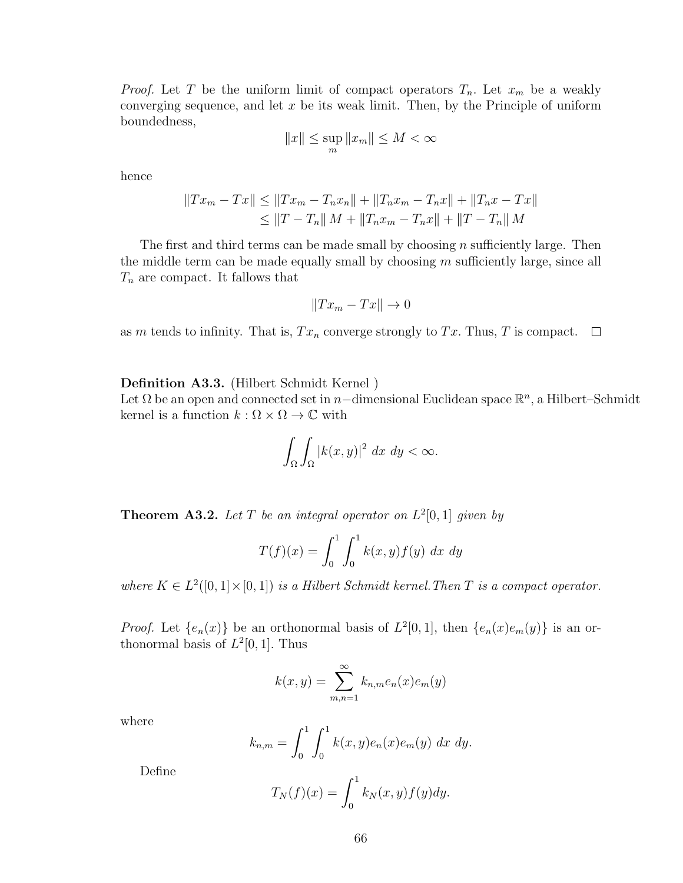*Proof.* Let T be the uniform limit of compact operators  $T_n$ . Let  $x_m$  be a weakly converging sequence, and let  $x$  be its weak limit. Then, by the Principle of uniform boundedness,

$$
||x|| \le \sup_m ||x_m|| \le M < \infty
$$

hence

$$
||Tx_m - Tx|| \le ||Tx_m - T_nx_n|| + ||T_nx_m - T_nx|| + ||T_nx - Tx||
$$
  

$$
\le ||T - T_n|| M + ||T_nx_m - T_nx|| + ||T - T_n|| M
$$

The first and third terms can be made small by choosing  $n$  sufficiently large. Then the middle term can be made equally small by choosing  $m$  sufficiently large, since all  $T_n$  are compact. It fallows that

$$
||Tx_m - Tx|| \to 0
$$

as m tends to infinity. That is,  $Tx_n$  converge strongly to  $Tx$ . Thus, T is compact.  $\Box$ 

Definition A3.3. (Hilbert Schmidt Kernel )

Let  $\Omega$  be an open and connected set in n–dimensional Euclidean space  $\mathbb{R}^n$ , a Hilbert–Schmidt kernel is a function  $k : \Omega \times \Omega \to \mathbb{C}$  with

$$
\int_{\Omega} \int_{\Omega} |k(x, y)|^2 \ dx \ dy < \infty.
$$

**Theorem A3.2.** Let T be an integral operator on  $L^2[0,1]$  given by

$$
T(f)(x) = \int_0^1 \int_0^1 k(x, y) f(y) \, dx \, dy
$$

where  $K \in L^2([0,1] \times [0,1])$  is a Hilbert Schmidt kernel. Then T is a compact operator.

*Proof.* Let  $\{e_n(x)\}\$ be an orthonormal basis of  $L^2[0,1]$ , then  $\{e_n(x)e_m(y)\}\$ is an orthonormal basis of  $L^2[0,1]$ . Thus

$$
k(x,y) = \sum_{m,n=1}^{\infty} k_{n,m} e_n(x) e_m(y)
$$

where

$$
k_{n,m} = \int_0^1 \int_0^1 k(x,y)e_n(x)e_m(y) \, dx \, dy.
$$

Define

$$
T_N(f)(x) = \int_0^1 k_N(x, y) f(y) dy.
$$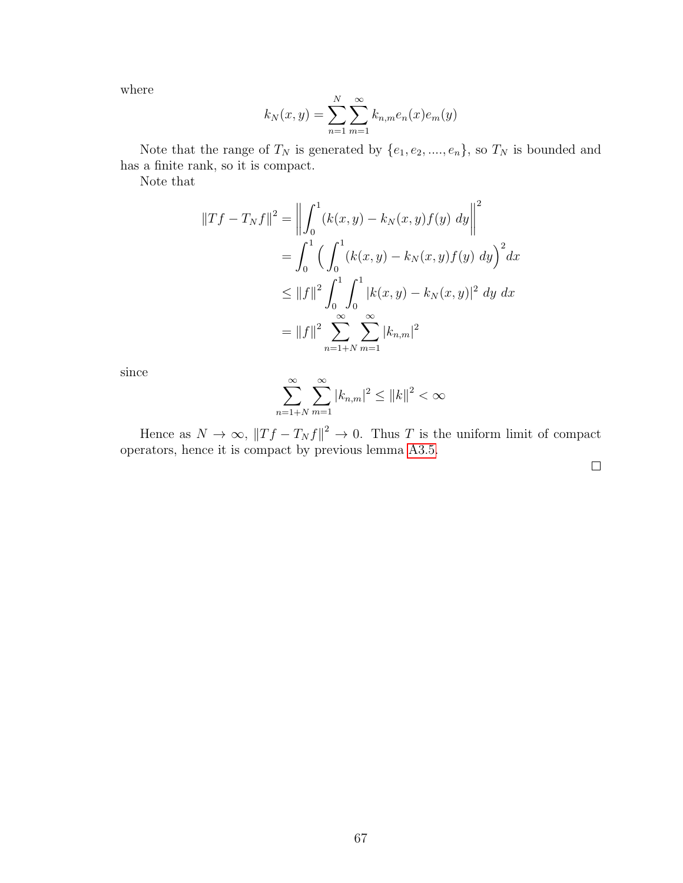where

$$
k_N(x, y) = \sum_{n=1}^{N} \sum_{m=1}^{\infty} k_{n,m} e_n(x) e_m(y)
$$

Note that the range of  $T_N$  is generated by  $\{e_1, e_2, \ldots, e_n\}$ , so  $T_N$  is bounded and has a finite rank, so it is compact.

Note that

$$
||Tf - T_Nf||^2 = \left\| \int_0^1 (k(x, y) - k_N(x, y)f(y) \, dy) \right\|^2
$$
  
= 
$$
\int_0^1 \left( \int_0^1 (k(x, y) - k_N(x, y)f(y) \, dy) \right)^2 dx
$$
  

$$
\leq ||f||^2 \int_0^1 \int_0^1 |k(x, y) - k_N(x, y)|^2 \, dy \, dx
$$
  
= 
$$
||f||^2 \sum_{n=1+N}^\infty \sum_{m=1}^\infty |k_{n,m}|^2
$$

since

$$
\sum_{n=1+N}^{\infty} \sum_{m=1}^{\infty} |k_{n,m}|^2 \le ||k||^2 < \infty
$$

Hence as  $N \to \infty$ ,  $||Tf - T_N f||^2 \to 0$ . Thus T is the uniform limit of compact operators, hence it is compact by previous lemma [A3.5.](#page-73-1)

 $\Box$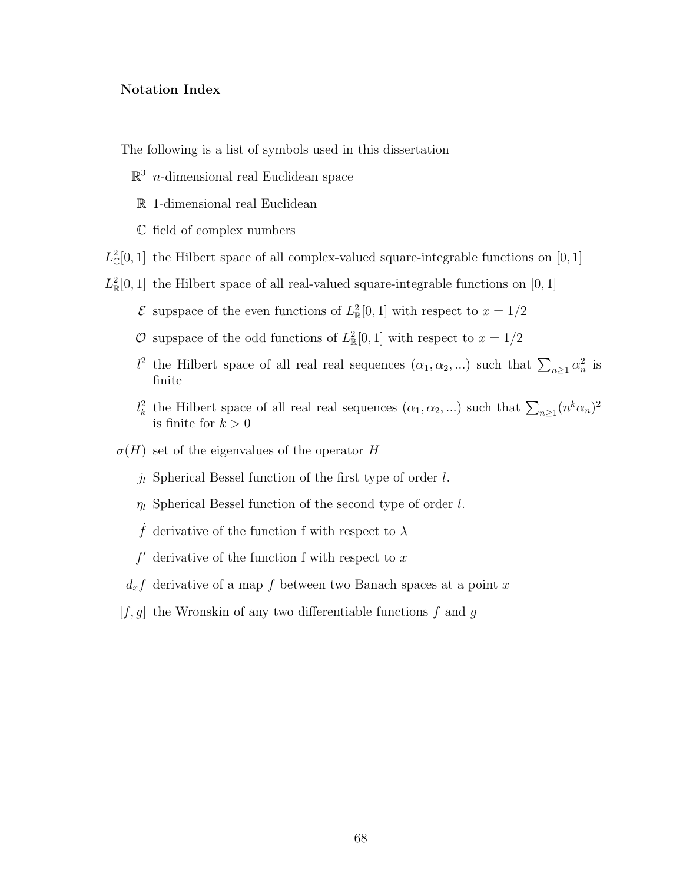### Notation Index

The following is a list of symbols used in this dissertation

- $\mathbb{R}^3$  *n*-dimensional real Euclidean space
- R 1-dimensional real Euclidean
- C field of complex numbers
- $L_{\mathbb{C}}^2[0,1]$  the Hilbert space of all complex-valued square-integrable functions on  $[0,1]$
- $L^2_{\mathbb{R}}[0,1]$  the Hilbert space of all real-valued square-integrable functions on [0, 1]
	- $\mathcal E$  supspace of the even functions of  $L^2_{\mathbb R}[0,1]$  with respect to  $x=1/2$
	- O supspace of the odd functions of  $L^2_{\mathbb{R}}[0,1]$  with respect to  $x=1/2$
	- $l^2$  the Hilbert space of all real real sequences  $(\alpha_1, \alpha_2, ...)$  such that  $\sum_{n\geq 1} \alpha_n^2$  is finite
	- $l_k^2$  the Hilbert space of all real real sequences  $(\alpha_1, \alpha_2, ...)$  such that  $\sum_{n\geq 1} (n^k \alpha_n)^2$ is finite for  $k > 0$
	- $\sigma(H)$  set of the eigenvalues of the operator H
		- $j_l$  Spherical Bessel function of the first type of order l.
		- $\eta_l$  Spherical Bessel function of the second type of order l.
		- f derivative of the function f with respect to  $\lambda$
		- $f'$  derivative of the function f with respect to x
		- $d_x f$  derivative of a map f between two Banach spaces at a point x
	- $[f, g]$  the Wronskin of any two differentiable functions f and g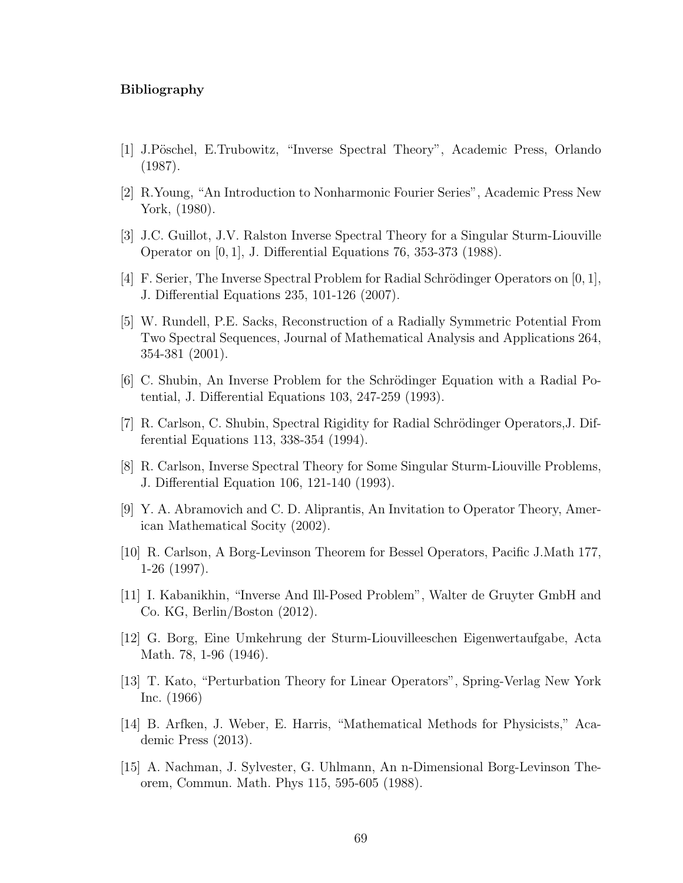### Bibliography

- [1] J.Pöschel, E.Trubowitz, "Inverse Spectral Theory", Academic Press, Orlando (1987).
- [2] R.Young, "An Introduction to Nonharmonic Fourier Series", Academic Press New York, (1980).
- [3] J.C. Guillot, J.V. Ralston Inverse Spectral Theory for a Singular Sturm-Liouville Operator on [0, 1], J. Differential Equations 76, 353-373 (1988).
- [4] F. Serier, The Inverse Spectral Problem for Radial Schrödinger Operators on  $[0, 1]$ , J. Differential Equations 235, 101-126 (2007).
- [5] W. Rundell, P.E. Sacks, Reconstruction of a Radially Symmetric Potential From Two Spectral Sequences, Journal of Mathematical Analysis and Applications 264, 354-381 (2001).
- [6] C. Shubin, An Inverse Problem for the Schrödinger Equation with a Radial Potential, J. Differential Equations 103, 247-259 (1993).
- [7] R. Carlson, C. Shubin, Spectral Rigidity for Radial Schrödinger Operators, J. Differential Equations 113, 338-354 (1994).
- [8] R. Carlson, Inverse Spectral Theory for Some Singular Sturm-Liouville Problems, J. Differential Equation 106, 121-140 (1993).
- <span id="page-77-0"></span>[9] Y. A. Abramovich and C. D. Aliprantis, An Invitation to Operator Theory, American Mathematical Socity (2002).
- [10] R. Carlson, A Borg-Levinson Theorem for Bessel Operators, Pacific J.Math 177, 1-26 (1997).
- [11] I. Kabanikhin, "Inverse And Ill-Posed Problem", Walter de Gruyter GmbH and Co. KG, Berlin/Boston (2012).
- [12] G. Borg, Eine Umkehrung der Sturm-Liouvilleeschen Eigenwertaufgabe, Acta Math. 78, 1-96 (1946).
- [13] T. Kato, "Perturbation Theory for Linear Operators", Spring-Verlag New York Inc. (1966)
- [14] B. Arfken, J. Weber, E. Harris, "Mathematical Methods for Physicists," Academic Press (2013).
- [15] A. Nachman, J. Sylvester, G. Uhlmann, An n-Dimensional Borg-Levinson Theorem, Commun. Math. Phys 115, 595-605 (1988).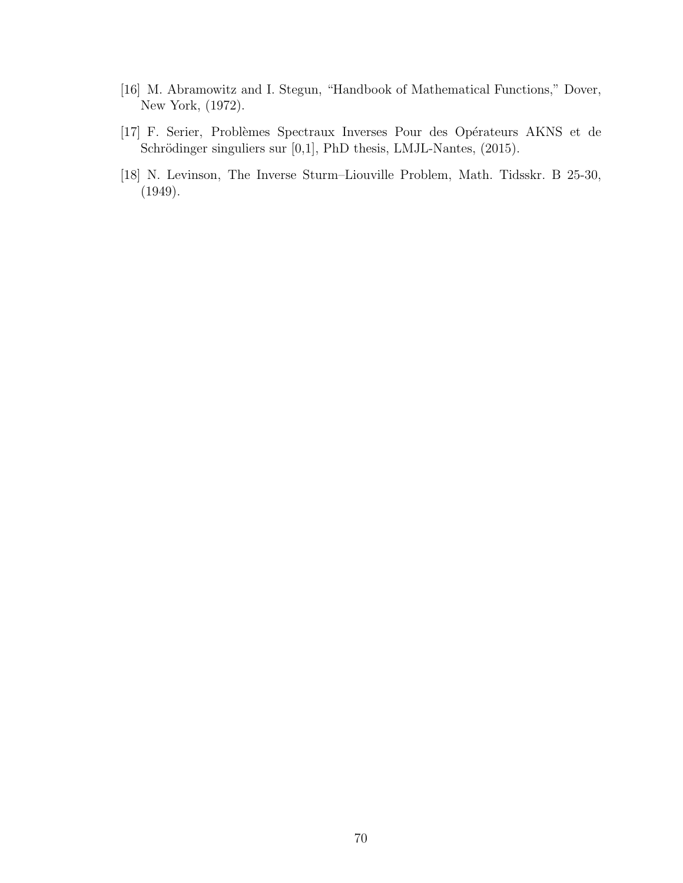- [16] M. Abramowitz and I. Stegun, "Handbook of Mathematical Functions," Dover, New York, (1972).
- [17] F. Serier, Problèmes Spectraux Inverses Pour des Opérateurs AKNS et de Schrödinger singuliers sur [0,1], PhD thesis, LMJL-Nantes, (2015).
- [18] N. Levinson, The Inverse Sturm–Liouville Problem, Math. Tidsskr. B 25-30, (1949).